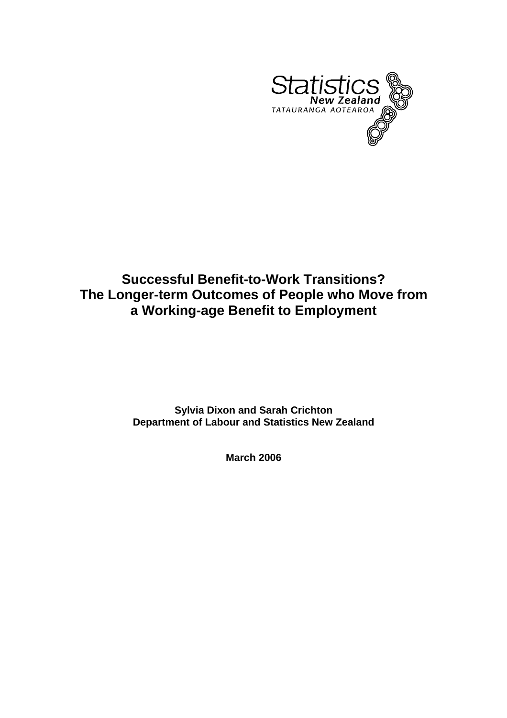

# **Successful Benefit-to-Work Transitions? The Longer-term Outcomes of People who Move from a Working-age Benefit to Employment**

**Sylvia Dixon and Sarah Crichton Department of Labour and Statistics New Zealand** 

**March 2006**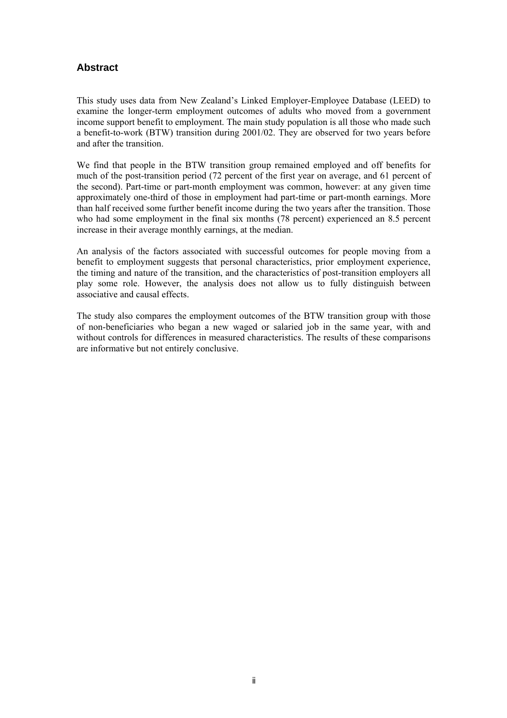# **Abstract**

This study uses data from New Zealand's Linked Employer-Employee Database (LEED) to examine the longer-term employment outcomes of adults who moved from a government income support benefit to employment. The main study population is all those who made such a benefit-to-work (BTW) transition during 2001/02. They are observed for two years before and after the transition.

We find that people in the BTW transition group remained employed and off benefits for much of the post-transition period (72 percent of the first year on average, and 61 percent of the second). Part-time or part-month employment was common, however: at any given time approximately one-third of those in employment had part-time or part-month earnings. More than half received some further benefit income during the two years after the transition. Those who had some employment in the final six months (78 percent) experienced an 8.5 percent increase in their average monthly earnings, at the median.

An analysis of the factors associated with successful outcomes for people moving from a benefit to employment suggests that personal characteristics, prior employment experience, the timing and nature of the transition, and the characteristics of post-transition employers all play some role. However, the analysis does not allow us to fully distinguish between associative and causal effects.

The study also compares the employment outcomes of the BTW transition group with those of non-beneficiaries who began a new waged or salaried job in the same year, with and without controls for differences in measured characteristics. The results of these comparisons are informative but not entirely conclusive.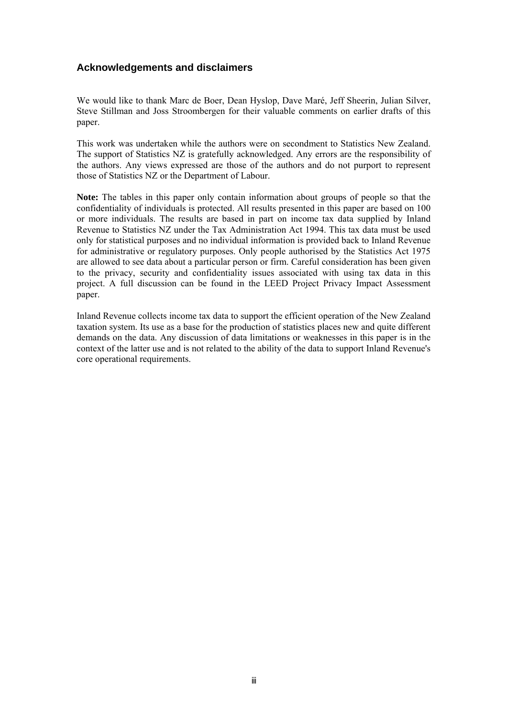# **Acknowledgements and disclaimers**

We would like to thank Marc de Boer, Dean Hyslop, Dave Maré, Jeff Sheerin, Julian Silver, Steve Stillman and Joss Stroombergen for their valuable comments on earlier drafts of this paper.

This work was undertaken while the authors were on secondment to Statistics New Zealand. The support of Statistics NZ is gratefully acknowledged. Any errors are the responsibility of the authors. Any views expressed are those of the authors and do not purport to represent those of Statistics NZ or the Department of Labour.

**Note:** The tables in this paper only contain information about groups of people so that the confidentiality of individuals is protected. All results presented in this paper are based on 100 or more individuals. The results are based in part on income tax data supplied by Inland Revenue to Statistics NZ under the Tax Administration Act 1994. This tax data must be used only for statistical purposes and no individual information is provided back to Inland Revenue for administrative or regulatory purposes. Only people authorised by the Statistics Act 1975 are allowed to see data about a particular person or firm. Careful consideration has been given to the privacy, security and confidentiality issues associated with using tax data in this project. A full discussion can be found in the LEED Project Privacy Impact Assessment paper.

Inland Revenue collects income tax data to support the efficient operation of the New Zealand taxation system. Its use as a base for the production of statistics places new and quite different demands on the data. Any discussion of data limitations or weaknesses in this paper is in the context of the latter use and is not related to the ability of the data to support Inland Revenue's core operational requirements.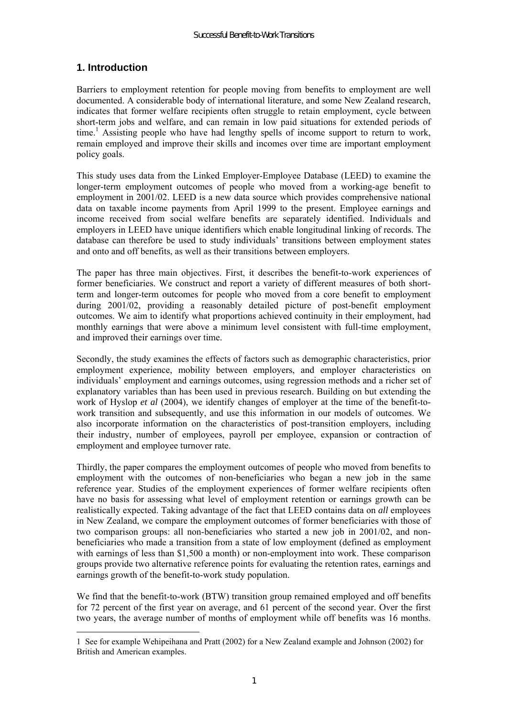# **1. Introduction**

 $\overline{a}$ 

Barriers to employment retention for people moving from benefits to employment are well documented. A considerable body of international literature, and some New Zealand research, indicates that former welfare recipients often struggle to retain employment, cycle between short-term jobs and welfare, and can remain in low paid situations for extended periods of time.<sup>1</sup> Assisting people who have had lengthy spells of income support to return to work, remain employed and improve their skills and incomes over time are important employment policy goals.

This study uses data from the Linked Employer-Employee Database (LEED) to examine the longer-term employment outcomes of people who moved from a working-age benefit to employment in 2001/02. LEED is a new data source which provides comprehensive national data on taxable income payments from April 1999 to the present. Employee earnings and income received from social welfare benefits are separately identified. Individuals and employers in LEED have unique identifiers which enable longitudinal linking of records. The database can therefore be used to study individuals' transitions between employment states and onto and off benefits, as well as their transitions between employers.

The paper has three main objectives. First, it describes the benefit-to-work experiences of former beneficiaries. We construct and report a variety of different measures of both shortterm and longer-term outcomes for people who moved from a core benefit to employment during 2001/02, providing a reasonably detailed picture of post-benefit employment outcomes. We aim to identify what proportions achieved continuity in their employment, had monthly earnings that were above a minimum level consistent with full-time employment, and improved their earnings over time.

Secondly, the study examines the effects of factors such as demographic characteristics, prior employment experience, mobility between employers, and employer characteristics on individuals' employment and earnings outcomes, using regression methods and a richer set of explanatory variables than has been used in previous research. Building on but extending the work of Hyslop *et al* (2004), we identify changes of employer at the time of the benefit-towork transition and subsequently, and use this information in our models of outcomes. We also incorporate information on the characteristics of post-transition employers, including their industry, number of employees, payroll per employee, expansion or contraction of employment and employee turnover rate.

Thirdly, the paper compares the employment outcomes of people who moved from benefits to employment with the outcomes of non-beneficiaries who began a new job in the same reference year. Studies of the employment experiences of former welfare recipients often have no basis for assessing what level of employment retention or earnings growth can be realistically expected. Taking advantage of the fact that LEED contains data on *all* employees in New Zealand, we compare the employment outcomes of former beneficiaries with those of two comparison groups: all non-beneficiaries who started a new job in 2001/02, and nonbeneficiaries who made a transition from a state of low employment (defined as employment with earnings of less than \$1,500 a month) or non-employment into work. These comparison groups provide two alternative reference points for evaluating the retention rates, earnings and earnings growth of the benefit-to-work study population.

We find that the benefit-to-work (BTW) transition group remained employed and off benefits for 72 percent of the first year on average, and 61 percent of the second year. Over the first two years, the average number of months of employment while off benefits was 16 months.

<sup>1</sup> See for example Wehipeihana and Pratt (2002) for a New Zealand example and Johnson (2002) for British and American examples.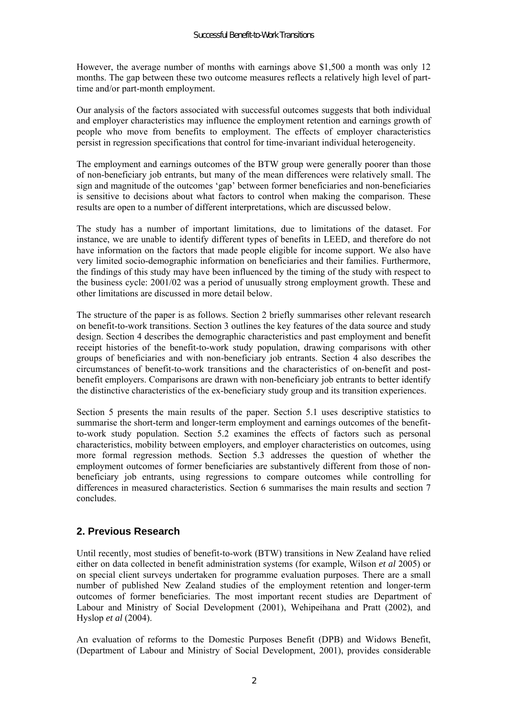However, the average number of months with earnings above \$1,500 a month was only 12 months. The gap between these two outcome measures reflects a relatively high level of parttime and/or part-month employment.

Our analysis of the factors associated with successful outcomes suggests that both individual and employer characteristics may influence the employment retention and earnings growth of people who move from benefits to employment. The effects of employer characteristics persist in regression specifications that control for time-invariant individual heterogeneity.

The employment and earnings outcomes of the BTW group were generally poorer than those of non-beneficiary job entrants, but many of the mean differences were relatively small. The sign and magnitude of the outcomes 'gap' between former beneficiaries and non-beneficiaries is sensitive to decisions about what factors to control when making the comparison. These results are open to a number of different interpretations, which are discussed below.

The study has a number of important limitations, due to limitations of the dataset. For instance, we are unable to identify different types of benefits in LEED, and therefore do not have information on the factors that made people eligible for income support. We also have very limited socio-demographic information on beneficiaries and their families. Furthermore, the findings of this study may have been influenced by the timing of the study with respect to the business cycle: 2001/02 was a period of unusually strong employment growth. These and other limitations are discussed in more detail below.

The structure of the paper is as follows. Section 2 briefly summarises other relevant research on benefit-to-work transitions. Section 3 outlines the key features of the data source and study design. Section 4 describes the demographic characteristics and past employment and benefit receipt histories of the benefit-to-work study population, drawing comparisons with other groups of beneficiaries and with non-beneficiary job entrants. Section 4 also describes the circumstances of benefit-to-work transitions and the characteristics of on-benefit and postbenefit employers. Comparisons are drawn with non-beneficiary job entrants to better identify the distinctive characteristics of the ex-beneficiary study group and its transition experiences.

Section 5 presents the main results of the paper. Section 5.1 uses descriptive statistics to summarise the short-term and longer-term employment and earnings outcomes of the benefitto-work study population. Section 5.2 examines the effects of factors such as personal characteristics, mobility between employers, and employer characteristics on outcomes, using more formal regression methods. Section 5.3 addresses the question of whether the employment outcomes of former beneficiaries are substantively different from those of nonbeneficiary job entrants, using regressions to compare outcomes while controlling for differences in measured characteristics. Section 6 summarises the main results and section 7 concludes.

# **2. Previous Research**

Until recently, most studies of benefit-to-work (BTW) transitions in New Zealand have relied either on data collected in benefit administration systems (for example, Wilson *et al* 2005) or on special client surveys undertaken for programme evaluation purposes. There are a small number of published New Zealand studies of the employment retention and longer-term outcomes of former beneficiaries. The most important recent studies are Department of Labour and Ministry of Social Development (2001), Wehipeihana and Pratt (2002), and Hyslop *et al* (2004).

An evaluation of reforms to the Domestic Purposes Benefit (DPB) and Widows Benefit, (Department of Labour and Ministry of Social Development, 2001), provides considerable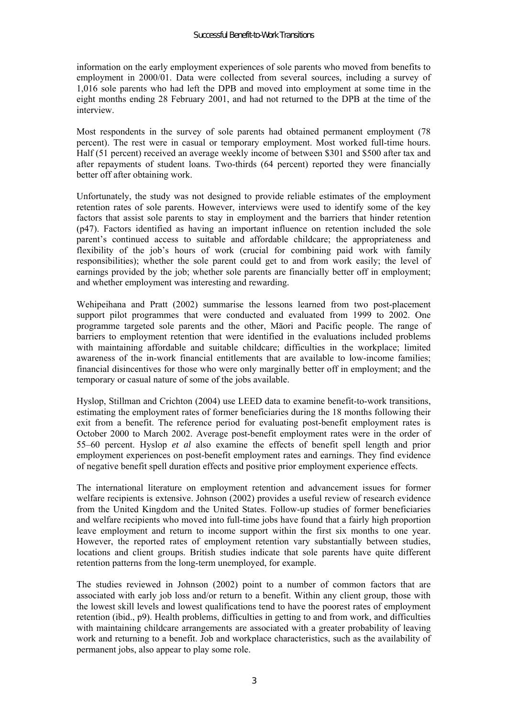information on the early employment experiences of sole parents who moved from benefits to employment in 2000/01. Data were collected from several sources, including a survey of 1,016 sole parents who had left the DPB and moved into employment at some time in the eight months ending 28 February 2001, and had not returned to the DPB at the time of the interview.

Most respondents in the survey of sole parents had obtained permanent employment (78 percent). The rest were in casual or temporary employment. Most worked full-time hours. Half (51 percent) received an average weekly income of between \$301 and \$500 after tax and after repayments of student loans. Two-thirds (64 percent) reported they were financially better off after obtaining work.

Unfortunately, the study was not designed to provide reliable estimates of the employment retention rates of sole parents. However, interviews were used to identify some of the key factors that assist sole parents to stay in employment and the barriers that hinder retention (p47). Factors identified as having an important influence on retention included the sole parent's continued access to suitable and affordable childcare; the appropriateness and flexibility of the job's hours of work (crucial for combining paid work with family responsibilities); whether the sole parent could get to and from work easily; the level of earnings provided by the job; whether sole parents are financially better off in employment; and whether employment was interesting and rewarding.

Wehipeihana and Pratt (2002) summarise the lessons learned from two post-placement support pilot programmes that were conducted and evaluated from 1999 to 2002. One programme targeted sole parents and the other, Māori and Pacific people. The range of barriers to employment retention that were identified in the evaluations included problems with maintaining affordable and suitable childcare; difficulties in the workplace; limited awareness of the in-work financial entitlements that are available to low-income families; financial disincentives for those who were only marginally better off in employment; and the temporary or casual nature of some of the jobs available.

Hyslop, Stillman and Crichton (2004) use LEED data to examine benefit-to-work transitions, estimating the employment rates of former beneficiaries during the 18 months following their exit from a benefit. The reference period for evaluating post-benefit employment rates is October 2000 to March 2002. Average post-benefit employment rates were in the order of 55–60 percent. Hyslop *et al* also examine the effects of benefit spell length and prior employment experiences on post-benefit employment rates and earnings. They find evidence of negative benefit spell duration effects and positive prior employment experience effects.

The international literature on employment retention and advancement issues for former welfare recipients is extensive. Johnson (2002) provides a useful review of research evidence from the United Kingdom and the United States. Follow-up studies of former beneficiaries and welfare recipients who moved into full-time jobs have found that a fairly high proportion leave employment and return to income support within the first six months to one year. However, the reported rates of employment retention vary substantially between studies, locations and client groups. British studies indicate that sole parents have quite different retention patterns from the long-term unemployed, for example.

The studies reviewed in Johnson (2002) point to a number of common factors that are associated with early job loss and/or return to a benefit. Within any client group, those with the lowest skill levels and lowest qualifications tend to have the poorest rates of employment retention (ibid., p9). Health problems, difficulties in getting to and from work, and difficulties with maintaining childcare arrangements are associated with a greater probability of leaving work and returning to a benefit. Job and workplace characteristics, such as the availability of permanent jobs, also appear to play some role.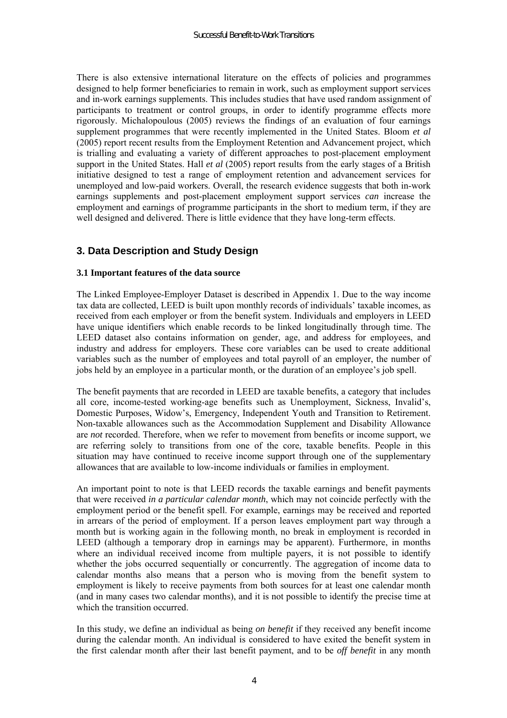There is also extensive international literature on the effects of policies and programmes designed to help former beneficiaries to remain in work, such as employment support services and in-work earnings supplements. This includes studies that have used random assignment of participants to treatment or control groups, in order to identify programme effects more rigorously. Michalopoulous (2005) reviews the findings of an evaluation of four earnings supplement programmes that were recently implemented in the United States. Bloom *et al* (2005) report recent results from the Employment Retention and Advancement project, which is trialling and evaluating a variety of different approaches to post-placement employment support in the United States. Hall *et al* (2005) report results from the early stages of a British initiative designed to test a range of employment retention and advancement services for unemployed and low-paid workers. Overall, the research evidence suggests that both in-work earnings supplements and post-placement employment support services *can* increase the employment and earnings of programme participants in the short to medium term, if they are well designed and delivered. There is little evidence that they have long-term effects.

# **3. Data Description and Study Design**

### **3.1 Important features of the data source**

The Linked Employee-Employer Dataset is described in Appendix 1. Due to the way income tax data are collected, LEED is built upon monthly records of individuals' taxable incomes, as received from each employer or from the benefit system. Individuals and employers in LEED have unique identifiers which enable records to be linked longitudinally through time. The LEED dataset also contains information on gender, age, and address for employees, and industry and address for employers. These core variables can be used to create additional variables such as the number of employees and total payroll of an employer, the number of jobs held by an employee in a particular month, or the duration of an employee's job spell.

The benefit payments that are recorded in LEED are taxable benefits, a category that includes all core, income-tested working-age benefits such as Unemployment, Sickness, Invalidís, Domestic Purposes, Widow's, Emergency, Independent Youth and Transition to Retirement. Non-taxable allowances such as the Accommodation Supplement and Disability Allowance are *not* recorded. Therefore, when we refer to movement from benefits or income support, we are referring solely to transitions from one of the core, taxable benefits. People in this situation may have continued to receive income support through one of the supplementary allowances that are available to low-income individuals or families in employment.

An important point to note is that LEED records the taxable earnings and benefit payments that were received *in a particular calendar month*, which may not coincide perfectly with the employment period or the benefit spell. For example, earnings may be received and reported in arrears of the period of employment. If a person leaves employment part way through a month but is working again in the following month, no break in employment is recorded in LEED (although a temporary drop in earnings may be apparent). Furthermore, in months where an individual received income from multiple payers, it is not possible to identify whether the jobs occurred sequentially or concurrently. The aggregation of income data to calendar months also means that a person who is moving from the benefit system to employment is likely to receive payments from both sources for at least one calendar month (and in many cases two calendar months), and it is not possible to identify the precise time at which the transition occurred.

In this study, we define an individual as being *on benefit* if they received any benefit income during the calendar month. An individual is considered to have exited the benefit system in the first calendar month after their last benefit payment, and to be *off benefit* in any month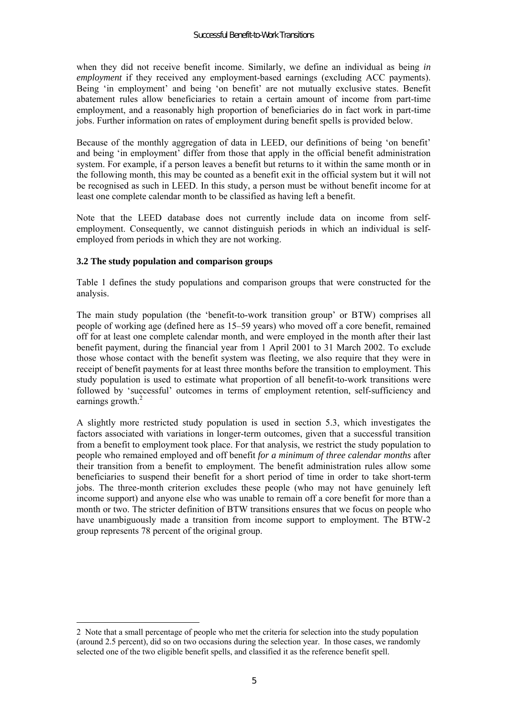when they did not receive benefit income. Similarly, we define an individual as being *in employment* if they received any employment-based earnings (excluding ACC payments). Being 'in employment' and being 'on benefit' are not mutually exclusive states. Benefit abatement rules allow beneficiaries to retain a certain amount of income from part-time employment, and a reasonably high proportion of beneficiaries do in fact work in part-time jobs. Further information on rates of employment during benefit spells is provided below.

Because of the monthly aggregation of data in LEED, our definitions of being 'on benefit' and being 'in employment' differ from those that apply in the official benefit administration system. For example, if a person leaves a benefit but returns to it within the same month or in the following month, this may be counted as a benefit exit in the official system but it will not be recognised as such in LEED. In this study, a person must be without benefit income for at least one complete calendar month to be classified as having left a benefit.

Note that the LEED database does not currently include data on income from selfemployment. Consequently, we cannot distinguish periods in which an individual is selfemployed from periods in which they are not working.

### **3.2 The study population and comparison groups**

 $\overline{a}$ 

Table 1 defines the study populations and comparison groups that were constructed for the analysis.

The main study population (the 'benefit-to-work transition group' or BTW) comprises all people of working age (defined here as 15–59 years) who moved off a core benefit, remained off for at least one complete calendar month, and were employed in the month after their last benefit payment, during the financial year from 1 April 2001 to 31 March 2002. To exclude those whose contact with the benefit system was fleeting, we also require that they were in receipt of benefit payments for at least three months before the transition to employment. This study population is used to estimate what proportion of all benefit-to-work transitions were followed by 'successful' outcomes in terms of employment retention, self-sufficiency and earnings growth. $2$ 

A slightly more restricted study population is used in section 5.3, which investigates the factors associated with variations in longer-term outcomes, given that a successful transition from a benefit to employment took place. For that analysis, we restrict the study population to people who remained employed and off benefit *for a minimum of three calendar months* after their transition from a benefit to employment. The benefit administration rules allow some beneficiaries to suspend their benefit for a short period of time in order to take short-term jobs. The three-month criterion excludes these people (who may not have genuinely left income support) and anyone else who was unable to remain off a core benefit for more than a month or two. The stricter definition of BTW transitions ensures that we focus on people who have unambiguously made a transition from income support to employment. The BTW-2 group represents 78 percent of the original group.

<sup>2</sup> Note that a small percentage of people who met the criteria for selection into the study population (around 2.5 percent), did so on two occasions during the selection year. In those cases, we randomly selected one of the two eligible benefit spells, and classified it as the reference benefit spell.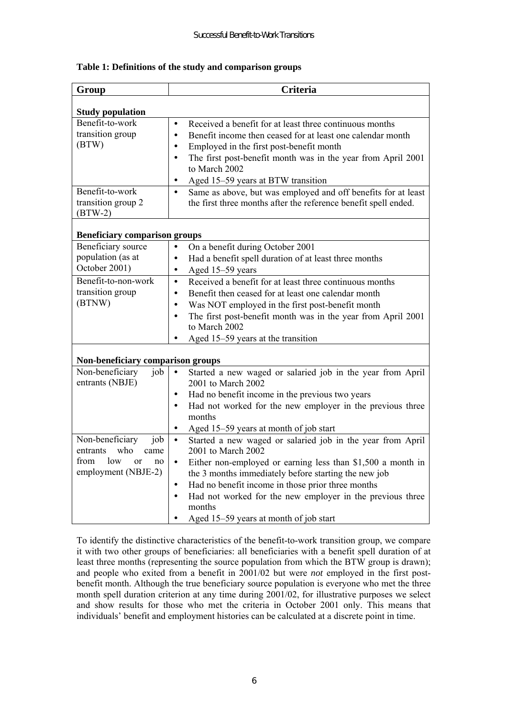| Group                                | Criteria                                                                                   |
|--------------------------------------|--------------------------------------------------------------------------------------------|
|                                      |                                                                                            |
| <b>Study population</b>              |                                                                                            |
| Benefit-to-work                      | Received a benefit for at least three continuous months<br>$\bullet$                       |
| transition group                     | Benefit income then ceased for at least one calendar month<br>$\bullet$                    |
| (BTW)                                | Employed in the first post-benefit month<br>$\bullet$                                      |
|                                      | The first post-benefit month was in the year from April 2001<br>$\bullet$<br>to March 2002 |
|                                      | Aged 15-59 years at BTW transition<br>$\bullet$                                            |
| Benefit-to-work                      | Same as above, but was employed and off benefits for at least<br>$\bullet$                 |
| transition group 2                   | the first three months after the reference benefit spell ended.                            |
| $(BTW-2)$                            |                                                                                            |
|                                      |                                                                                            |
| <b>Beneficiary comparison groups</b> |                                                                                            |
| Beneficiary source                   | On a benefit during October 2001<br>$\bullet$                                              |
| population (as at                    | Had a benefit spell duration of at least three months<br>$\bullet$                         |
| October 2001)                        | Aged 15-59 years<br>$\bullet$                                                              |
| Benefit-to-non-work                  | Received a benefit for at least three continuous months<br>$\bullet$                       |
| transition group                     | Benefit then ceased for at least one calendar month<br>$\bullet$                           |
| (BTNW)                               | Was NOT employed in the first post-benefit month<br>$\bullet$                              |
|                                      | The first post-benefit month was in the year from April 2001<br>$\bullet$                  |
|                                      | to March 2002                                                                              |
|                                      | Aged 15-59 years at the transition<br>$\bullet$                                            |
|                                      |                                                                                            |
| Non-beneficiary comparison groups    |                                                                                            |
| Non-beneficiary<br>job               | Started a new waged or salaried job in the year from April<br>$\bullet$                    |
| entrants (NBJE)                      | 2001 to March 2002                                                                         |
|                                      | Had no benefit income in the previous two years<br>$\bullet$                               |
|                                      | Had not worked for the new employer in the previous three<br>$\bullet$                     |
|                                      | months                                                                                     |
|                                      | Aged 15–59 years at month of job start<br>$\bullet$                                        |
| Non-beneficiary<br>job               | Started a new waged or salaried job in the year from April<br>$\bullet$                    |
| who<br>entrants<br>came              | 2001 to March 2002                                                                         |
| from<br>low<br>$\alpha$<br>no        | Either non-employed or earning less than \$1,500 a month in<br>$\bullet$                   |
| employment (NBJE-2)                  | the 3 months immediately before starting the new job                                       |
|                                      | Had no benefit income in those prior three months<br>$\bullet$                             |
|                                      | Had not worked for the new employer in the previous three<br>$\bullet$                     |
|                                      | months                                                                                     |
|                                      | Aged 15-59 years at month of job start                                                     |

#### **Table 1: Definitions of the study and comparison groups**

To identify the distinctive characteristics of the benefit-to-work transition group, we compare it with two other groups of beneficiaries: all beneficiaries with a benefit spell duration of at least three months (representing the source population from which the BTW group is drawn); and people who exited from a benefit in 2001/02 but were *not* employed in the first postbenefit month. Although the true beneficiary source population is everyone who met the three month spell duration criterion at any time during 2001/02, for illustrative purposes we select and show results for those who met the criteria in October 2001 only. This means that individuals' benefit and employment histories can be calculated at a discrete point in time.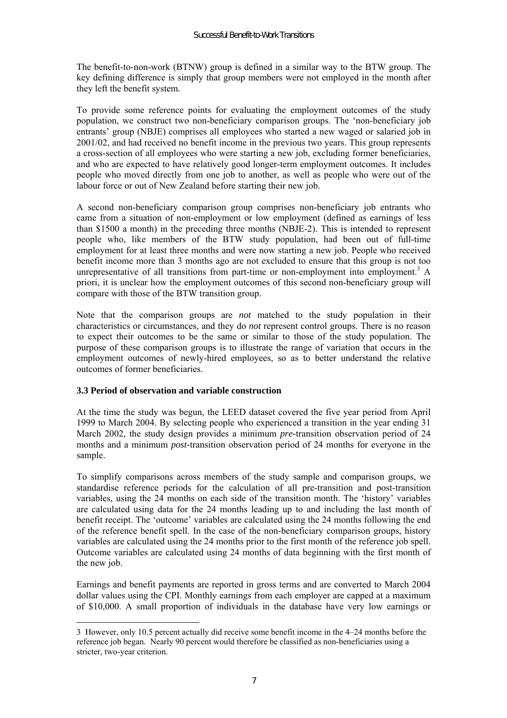The benefit-to-non-work (BTNW) group is defined in a similar way to the BTW group. The key defining difference is simply that group members were not employed in the month after they left the benefit system.

To provide some reference points for evaluating the employment outcomes of the study population, we construct two non-beneficiary comparison groups. The 'non-beneficiary job entrants' group (NBJE) comprises all employees who started a new waged or salaried job in 2001/02, and had received no benefit income in the previous two years. This group represents a cross-section of all employees who were starting a new job, excluding former beneficiaries, and who are expected to have relatively good longer-term employment outcomes. It includes people who moved directly from one job to another, as well as people who were out of the labour force or out of New Zealand before starting their new job.

A second non-beneficiary comparison group comprises non-beneficiary job entrants who came from a situation of non-employment or low employment (defined as earnings of less than \$1500 a month) in the preceding three months (NBJE-2). This is intended to represent people who, like members of the BTW study population, had been out of full-time employment for at least three months and were now starting a new job. People who received benefit income more than 3 months ago are not excluded to ensure that this group is not too unrepresentative of all transitions from part-time or non-employment into employment.<sup>3</sup> A priori, it is unclear how the employment outcomes of this second non-beneficiary group will compare with those of the BTW transition group.

Note that the comparison groups are *not* matched to the study population in their characteristics or circumstances, and they do *not* represent control groups. There is no reason to expect their outcomes to be the same or similar to those of the study population. The purpose of these comparison groups is to illustrate the range of variation that occurs in the employment outcomes of newly-hired employees, so as to better understand the relative outcomes of former beneficiaries.

#### **3.3 Period of observation and variable construction**

 $\overline{a}$ 

At the time the study was begun, the LEED dataset covered the five year period from April 1999 to March 2004. By selecting people who experienced a transition in the year ending 31 March 2002, the study design provides a minimum *pre-*transition observation period of 24 months and a minimum *post-*transition observation period of 24 months for everyone in the sample.

To simplify comparisons across members of the study sample and comparison groups, we standardise reference periods for the calculation of all pre-transition and post-transition variables, using the  $24$  months on each side of the transition month. The 'history' variables are calculated using data for the 24 months leading up to and including the last month of benefit receipt. The 'outcome' variables are calculated using the 24 months following the end of the reference benefit spell. In the case of the non-beneficiary comparison groups, history variables are calculated using the 24 months prior to the first month of the reference job spell. Outcome variables are calculated using 24 months of data beginning with the first month of the new job.

Earnings and benefit payments are reported in gross terms and are converted to March 2004 dollar values using the CPI. Monthly earnings from each employer are capped at a maximum of \$10,000. A small proportion of individuals in the database have very low earnings or

 $3$  However, only 10.5 percent actually did receive some benefit income in the  $4-24$  months before the reference job began. Nearly 90 percent would therefore be classified as non-beneficiaries using a stricter, two-year criterion.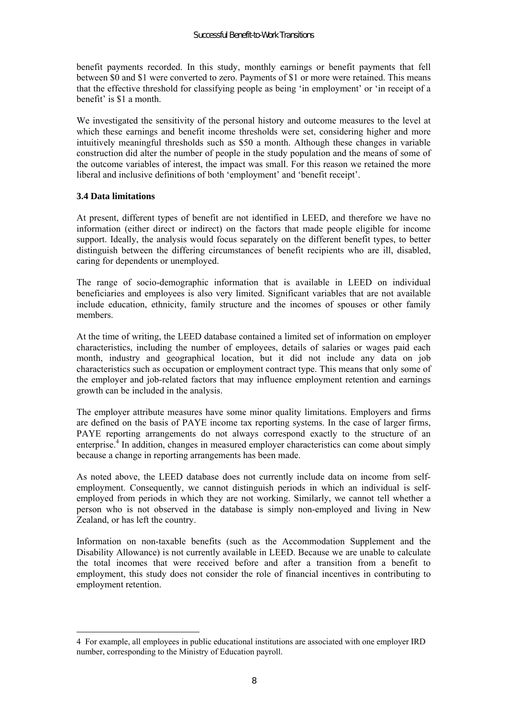benefit payments recorded. In this study, monthly earnings or benefit payments that fell between \$0 and \$1 were converted to zero. Payments of \$1 or more were retained. This means that the effective threshold for classifying people as being 'in employment' or 'in receipt of a benefit' is \$1 a month.

We investigated the sensitivity of the personal history and outcome measures to the level at which these earnings and benefit income thresholds were set, considering higher and more intuitively meaningful thresholds such as \$50 a month. Although these changes in variable construction did alter the number of people in the study population and the means of some of the outcome variables of interest, the impact was small. For this reason we retained the more liberal and inclusive definitions of both 'employment' and 'benefit receipt'.

### **3.4 Data limitations**

 $\overline{a}$ 

At present, different types of benefit are not identified in LEED, and therefore we have no information (either direct or indirect) on the factors that made people eligible for income support. Ideally, the analysis would focus separately on the different benefit types, to better distinguish between the differing circumstances of benefit recipients who are ill, disabled, caring for dependents or unemployed.

The range of socio-demographic information that is available in LEED on individual beneficiaries and employees is also very limited. Significant variables that are not available include education, ethnicity, family structure and the incomes of spouses or other family members.

At the time of writing, the LEED database contained a limited set of information on employer characteristics, including the number of employees, details of salaries or wages paid each month, industry and geographical location, but it did not include any data on job characteristics such as occupation or employment contract type. This means that only some of the employer and job-related factors that may influence employment retention and earnings growth can be included in the analysis.

The employer attribute measures have some minor quality limitations. Employers and firms are defined on the basis of PAYE income tax reporting systems. In the case of larger firms, PAYE reporting arrangements do not always correspond exactly to the structure of an enterprise.<sup>4</sup> In addition, changes in measured employer characteristics can come about simply because a change in reporting arrangements has been made.

As noted above, the LEED database does not currently include data on income from selfemployment. Consequently, we cannot distinguish periods in which an individual is selfemployed from periods in which they are not working. Similarly, we cannot tell whether a person who is not observed in the database is simply non-employed and living in New Zealand, or has left the country.

Information on non-taxable benefits (such as the Accommodation Supplement and the Disability Allowance) is not currently available in LEED. Because we are unable to calculate the total incomes that were received before and after a transition from a benefit to employment, this study does not consider the role of financial incentives in contributing to employment retention.

<sup>4</sup> For example, all employees in public educational institutions are associated with one employer IRD number, corresponding to the Ministry of Education payroll.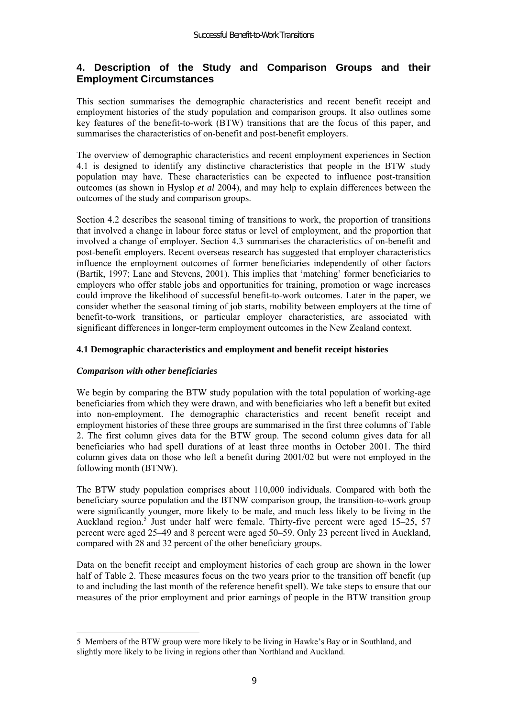# **4. Description of the Study and Comparison Groups and their Employment Circumstances**

This section summarises the demographic characteristics and recent benefit receipt and employment histories of the study population and comparison groups. It also outlines some key features of the benefit-to-work (BTW) transitions that are the focus of this paper, and summarises the characteristics of on-benefit and post-benefit employers.

The overview of demographic characteristics and recent employment experiences in Section 4.1 is designed to identify any distinctive characteristics that people in the BTW study population may have. These characteristics can be expected to influence post-transition outcomes (as shown in Hyslop *et al* 2004), and may help to explain differences between the outcomes of the study and comparison groups.

Section 4.2 describes the seasonal timing of transitions to work, the proportion of transitions that involved a change in labour force status or level of employment, and the proportion that involved a change of employer. Section 4.3 summarises the characteristics of on-benefit and post-benefit employers. Recent overseas research has suggested that employer characteristics influence the employment outcomes of former beneficiaries independently of other factors (Bartik, 1997; Lane and Stevens, 2001). This implies that 'matching' former beneficiaries to employers who offer stable jobs and opportunities for training, promotion or wage increases could improve the likelihood of successful benefit-to-work outcomes. Later in the paper, we consider whether the seasonal timing of job starts, mobility between employers at the time of benefit-to-work transitions, or particular employer characteristics, are associated with significant differences in longer-term employment outcomes in the New Zealand context.

# **4.1 Demographic characteristics and employment and benefit receipt histories**

# *Comparison with other beneficiaries*

We begin by comparing the BTW study population with the total population of working-age beneficiaries from which they were drawn, and with beneficiaries who left a benefit but exited into non-employment. The demographic characteristics and recent benefit receipt and employment histories of these three groups are summarised in the first three columns of Table 2. The first column gives data for the BTW group. The second column gives data for all beneficiaries who had spell durations of at least three months in October 2001. The third column gives data on those who left a benefit during 2001/02 but were not employed in the following month (BTNW).

The BTW study population comprises about 110,000 individuals. Compared with both the beneficiary source population and the BTNW comparison group, the transition-to-work group were significantly younger, more likely to be male, and much less likely to be living in the Auckland region.<sup>5</sup> Just under half were female. Thirty-five percent were aged 15–25, 57 percent were aged 25–49 and 8 percent were aged 50–59. Only 23 percent lived in Auckland, compared with 28 and 32 percent of the other beneficiary groups.

Data on the benefit receipt and employment histories of each group are shown in the lower half of Table 2. These measures focus on the two years prior to the transition off benefit (up to and including the last month of the reference benefit spell). We take steps to ensure that our measures of the prior employment and prior earnings of people in the BTW transition group

 $\overline{a}$ 5 Members of the BTW group were more likely to be living in Hawkeís Bay or in Southland, and slightly more likely to be living in regions other than Northland and Auckland.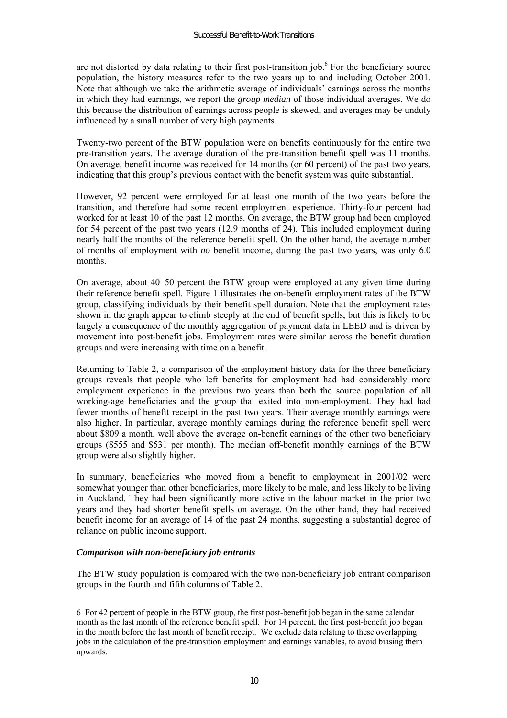are not distorted by data relating to their first post-transition job.<sup>6</sup> For the beneficiary source population, the history measures refer to the two years up to and including October 2001. Note that although we take the arithmetic average of individuals' earnings across the months in which they had earnings, we report the *group median* of those individual averages. We do this because the distribution of earnings across people is skewed, and averages may be unduly influenced by a small number of very high payments.

Twenty-two percent of the BTW population were on benefits continuously for the entire two pre-transition years. The average duration of the pre-transition benefit spell was 11 months. On average, benefit income was received for 14 months (or 60 percent) of the past two years, indicating that this group's previous contact with the benefit system was quite substantial.

However, 92 percent were employed for at least one month of the two years before the transition, and therefore had some recent employment experience. Thirty-four percent had worked for at least 10 of the past 12 months. On average, the BTW group had been employed for 54 percent of the past two years (12.9 months of 24). This included employment during nearly half the months of the reference benefit spell. On the other hand, the average number of months of employment with *no* benefit income, during the past two years, was only 6.0 months.

On average, about 40–50 percent the BTW group were employed at any given time during their reference benefit spell. Figure 1 illustrates the on-benefit employment rates of the BTW group, classifying individuals by their benefit spell duration. Note that the employment rates shown in the graph appear to climb steeply at the end of benefit spells, but this is likely to be largely a consequence of the monthly aggregation of payment data in LEED and is driven by movement into post-benefit jobs. Employment rates were similar across the benefit duration groups and were increasing with time on a benefit.

Returning to Table 2, a comparison of the employment history data for the three beneficiary groups reveals that people who left benefits for employment had had considerably more employment experience in the previous two years than both the source population of all working-age beneficiaries and the group that exited into non-employment. They had had fewer months of benefit receipt in the past two years. Their average monthly earnings were also higher. In particular, average monthly earnings during the reference benefit spell were about \$809 a month, well above the average on-benefit earnings of the other two beneficiary groups (\$555 and \$531 per month). The median off-benefit monthly earnings of the BTW group were also slightly higher.

In summary, beneficiaries who moved from a benefit to employment in 2001/02 were somewhat younger than other beneficiaries, more likely to be male, and less likely to be living in Auckland. They had been significantly more active in the labour market in the prior two years and they had shorter benefit spells on average. On the other hand, they had received benefit income for an average of 14 of the past 24 months, suggesting a substantial degree of reliance on public income support.

#### *Comparison with non-beneficiary job entrants*

 $\overline{a}$ 

The BTW study population is compared with the two non-beneficiary job entrant comparison groups in the fourth and fifth columns of Table 2.

<sup>6</sup> For 42 percent of people in the BTW group, the first post-benefit job began in the same calendar month as the last month of the reference benefit spell. For 14 percent, the first post-benefit job began in the month before the last month of benefit receipt. We exclude data relating to these overlapping jobs in the calculation of the pre-transition employment and earnings variables, to avoid biasing them upwards.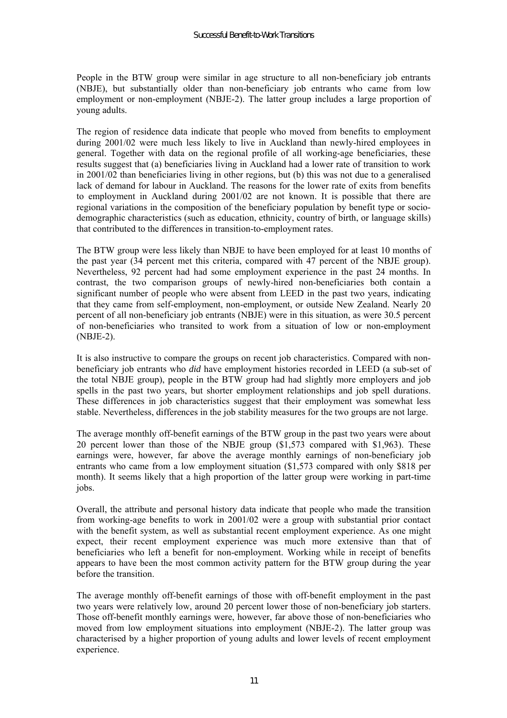People in the BTW group were similar in age structure to all non-beneficiary job entrants (NBJE), but substantially older than non-beneficiary job entrants who came from low employment or non-employment (NBJE-2). The latter group includes a large proportion of young adults.

The region of residence data indicate that people who moved from benefits to employment during 2001/02 were much less likely to live in Auckland than newly-hired employees in general. Together with data on the regional profile of all working-age beneficiaries, these results suggest that (a) beneficiaries living in Auckland had a lower rate of transition to work in 2001/02 than beneficiaries living in other regions, but (b) this was not due to a generalised lack of demand for labour in Auckland. The reasons for the lower rate of exits from benefits to employment in Auckland during 2001/02 are not known. It is possible that there are regional variations in the composition of the beneficiary population by benefit type or sociodemographic characteristics (such as education, ethnicity, country of birth, or language skills) that contributed to the differences in transition-to-employment rates.

The BTW group were less likely than NBJE to have been employed for at least 10 months of the past year (34 percent met this criteria, compared with 47 percent of the NBJE group). Nevertheless, 92 percent had had some employment experience in the past 24 months. In contrast, the two comparison groups of newly-hired non-beneficiaries both contain a significant number of people who were absent from LEED in the past two years, indicating that they came from self-employment, non-employment, or outside New Zealand. Nearly 20 percent of all non-beneficiary job entrants (NBJE) were in this situation, as were 30.5 percent of non-beneficiaries who transited to work from a situation of low or non-employment (NBJE-2).

It is also instructive to compare the groups on recent job characteristics. Compared with nonbeneficiary job entrants who *did* have employment histories recorded in LEED (a sub-set of the total NBJE group), people in the BTW group had had slightly more employers and job spells in the past two years, but shorter employment relationships and job spell durations. These differences in job characteristics suggest that their employment was somewhat less stable. Nevertheless, differences in the job stability measures for the two groups are not large.

The average monthly off-benefit earnings of the BTW group in the past two years were about 20 percent lower than those of the NBJE group (\$1,573 compared with \$1,963). These earnings were, however, far above the average monthly earnings of non-beneficiary job entrants who came from a low employment situation (\$1,573 compared with only \$818 per month). It seems likely that a high proportion of the latter group were working in part-time jobs.

Overall, the attribute and personal history data indicate that people who made the transition from working-age benefits to work in 2001/02 were a group with substantial prior contact with the benefit system, as well as substantial recent employment experience. As one might expect, their recent employment experience was much more extensive than that of beneficiaries who left a benefit for non-employment. Working while in receipt of benefits appears to have been the most common activity pattern for the BTW group during the year before the transition.

The average monthly off-benefit earnings of those with off-benefit employment in the past two years were relatively low, around 20 percent lower those of non-beneficiary job starters. Those off-benefit monthly earnings were, however, far above those of non-beneficiaries who moved from low employment situations into employment (NBJE-2). The latter group was characterised by a higher proportion of young adults and lower levels of recent employment experience.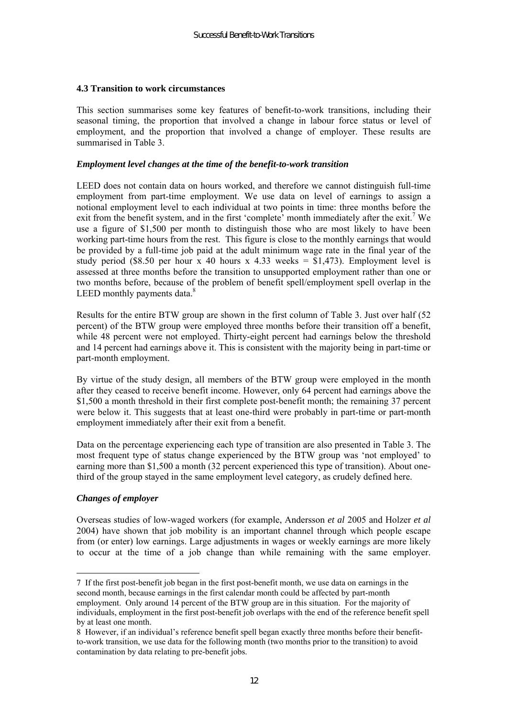#### **4.3 Transition to work circumstances**

This section summarises some key features of benefit-to-work transitions, including their seasonal timing, the proportion that involved a change in labour force status or level of employment, and the proportion that involved a change of employer. These results are summarised in Table 3.

#### *Employment level changes at the time of the benefit-to-work transition*

LEED does not contain data on hours worked, and therefore we cannot distinguish full-time employment from part-time employment. We use data on level of earnings to assign a notional employment level to each individual at two points in time: three months before the exit from the benefit system, and in the first 'complete' month immediately after the exit.<sup>7</sup> We use a figure of \$1,500 per month to distinguish those who are most likely to have been working part-time hours from the rest. This figure is close to the monthly earnings that would be provided by a full-time job paid at the adult minimum wage rate in the final year of the study period (\$8.50 per hour x 40 hours x 4.33 weeks =  $$1,473$ ). Employment level is assessed at three months before the transition to unsupported employment rather than one or two months before, because of the problem of benefit spell/employment spell overlap in the LEED monthly payments data. $8$ 

Results for the entire BTW group are shown in the first column of Table 3. Just over half (52 percent) of the BTW group were employed three months before their transition off a benefit, while 48 percent were not employed. Thirty-eight percent had earnings below the threshold and 14 percent had earnings above it. This is consistent with the majority being in part-time or part-month employment.

By virtue of the study design, all members of the BTW group were employed in the month after they ceased to receive benefit income. However, only 64 percent had earnings above the \$1,500 a month threshold in their first complete post-benefit month; the remaining 37 percent were below it. This suggests that at least one-third were probably in part-time or part-month employment immediately after their exit from a benefit.

Data on the percentage experiencing each type of transition are also presented in Table 3. The most frequent type of status change experienced by the BTW group was 'not employed' to earning more than \$1,500 a month (32 percent experienced this type of transition). About onethird of the group stayed in the same employment level category, as crudely defined here.

#### *Changes of employer*

 $\overline{a}$ 

Overseas studies of low-waged workers (for example, Andersson *et al* 2005 and Holzer *et al* 2004) have shown that job mobility is an important channel through which people escape from (or enter) low earnings. Large adjustments in wages or weekly earnings are more likely to occur at the time of a job change than while remaining with the same employer.

<sup>7</sup> If the first post-benefit job began in the first post-benefit month, we use data on earnings in the second month, because earnings in the first calendar month could be affected by part-month employment. Only around 14 percent of the BTW group are in this situation. For the majority of individuals, employment in the first post-benefit job overlaps with the end of the reference benefit spell by at least one month.

<sup>8</sup> However, if an individual's reference benefit spell began exactly three months before their benefitto-work transition, we use data for the following month (two months prior to the transition) to avoid contamination by data relating to pre-benefit jobs.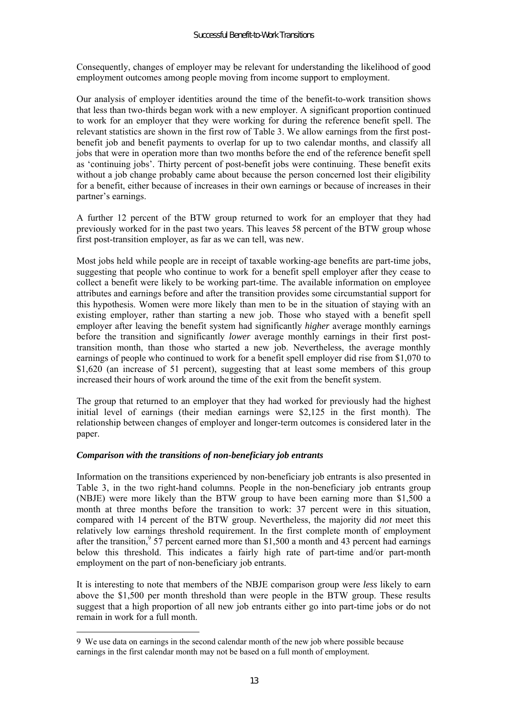Consequently, changes of employer may be relevant for understanding the likelihood of good employment outcomes among people moving from income support to employment.

Our analysis of employer identities around the time of the benefit-to-work transition shows that less than two-thirds began work with a new employer. A significant proportion continued to work for an employer that they were working for during the reference benefit spell. The relevant statistics are shown in the first row of Table 3. We allow earnings from the first postbenefit job and benefit payments to overlap for up to two calendar months, and classify all jobs that were in operation more than two months before the end of the reference benefit spell as 'continuing jobs'. Thirty percent of post-benefit jobs were continuing. These benefit exits without a job change probably came about because the person concerned lost their eligibility for a benefit, either because of increases in their own earnings or because of increases in their partner's earnings.

A further 12 percent of the BTW group returned to work for an employer that they had previously worked for in the past two years. This leaves 58 percent of the BTW group whose first post-transition employer, as far as we can tell, was new.

Most jobs held while people are in receipt of taxable working-age benefits are part-time jobs, suggesting that people who continue to work for a benefit spell employer after they cease to collect a benefit were likely to be working part-time. The available information on employee attributes and earnings before and after the transition provides some circumstantial support for this hypothesis. Women were more likely than men to be in the situation of staying with an existing employer, rather than starting a new job. Those who stayed with a benefit spell employer after leaving the benefit system had significantly *higher* average monthly earnings before the transition and significantly *lower* average monthly earnings in their first posttransition month, than those who started a new job. Nevertheless, the average monthly earnings of people who continued to work for a benefit spell employer did rise from \$1,070 to \$1,620 (an increase of 51 percent), suggesting that at least some members of this group increased their hours of work around the time of the exit from the benefit system.

The group that returned to an employer that they had worked for previously had the highest initial level of earnings (their median earnings were \$2,125 in the first month). The relationship between changes of employer and longer-term outcomes is considered later in the paper.

#### *Comparison with the transitions of non-beneficiary job entrants*

 $\overline{a}$ 

Information on the transitions experienced by non-beneficiary job entrants is also presented in Table 3, in the two right-hand columns. People in the non-beneficiary job entrants group (NBJE) were more likely than the BTW group to have been earning more than \$1,500 a month at three months before the transition to work: 37 percent were in this situation, compared with 14 percent of the BTW group. Nevertheless, the majority did *not* meet this relatively low earnings threshold requirement. In the first complete month of employment after the transition,  $3\frac{57}{7}$  percent earned more than \$1,500 a month and 43 percent had earnings below this threshold. This indicates a fairly high rate of part-time and/or part-month employment on the part of non-beneficiary job entrants.

It is interesting to note that members of the NBJE comparison group were *less* likely to earn above the \$1,500 per month threshold than were people in the BTW group. These results suggest that a high proportion of all new job entrants either go into part-time jobs or do not remain in work for a full month.

<sup>9</sup> We use data on earnings in the second calendar month of the new job where possible because earnings in the first calendar month may not be based on a full month of employment.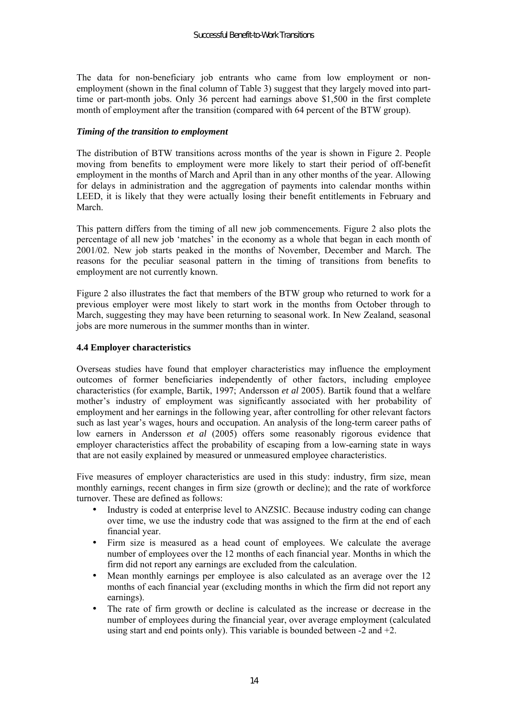The data for non-beneficiary job entrants who came from low employment or nonemployment (shown in the final column of Table 3) suggest that they largely moved into parttime or part-month jobs. Only 36 percent had earnings above \$1,500 in the first complete month of employment after the transition (compared with 64 percent of the BTW group).

#### *Timing of the transition to employment*

The distribution of BTW transitions across months of the year is shown in Figure 2. People moving from benefits to employment were more likely to start their period of off-benefit employment in the months of March and April than in any other months of the year. Allowing for delays in administration and the aggregation of payments into calendar months within LEED, it is likely that they were actually losing their benefit entitlements in February and March.

This pattern differs from the timing of all new job commencements. Figure 2 also plots the percentage of all new job 'matches' in the economy as a whole that began in each month of 2001/02. New job starts peaked in the months of November, December and March. The reasons for the peculiar seasonal pattern in the timing of transitions from benefits to employment are not currently known.

Figure 2 also illustrates the fact that members of the BTW group who returned to work for a previous employer were most likely to start work in the months from October through to March, suggesting they may have been returning to seasonal work. In New Zealand, seasonal jobs are more numerous in the summer months than in winter.

### **4.4 Employer characteristics**

Overseas studies have found that employer characteristics may influence the employment outcomes of former beneficiaries independently of other factors, including employee characteristics (for example, Bartik, 1997; Andersson *et al* 2005). Bartik found that a welfare mother's industry of employment was significantly associated with her probability of employment and her earnings in the following year, after controlling for other relevant factors such as last year's wages, hours and occupation. An analysis of the long-term career paths of low earners in Andersson *et al* (2005) offers some reasonably rigorous evidence that employer characteristics affect the probability of escaping from a low-earning state in ways that are not easily explained by measured or unmeasured employee characteristics.

Five measures of employer characteristics are used in this study: industry, firm size, mean monthly earnings, recent changes in firm size (growth or decline); and the rate of workforce turnover. These are defined as follows:

- Industry is coded at enterprise level to ANZSIC. Because industry coding can change over time, we use the industry code that was assigned to the firm at the end of each financial year.
- Firm size is measured as a head count of employees. We calculate the average number of employees over the 12 months of each financial year. Months in which the firm did not report any earnings are excluded from the calculation.
- Mean monthly earnings per employee is also calculated as an average over the 12 months of each financial year (excluding months in which the firm did not report any earnings).
- The rate of firm growth or decline is calculated as the increase or decrease in the number of employees during the financial year, over average employment (calculated using start and end points only). This variable is bounded between -2 and +2.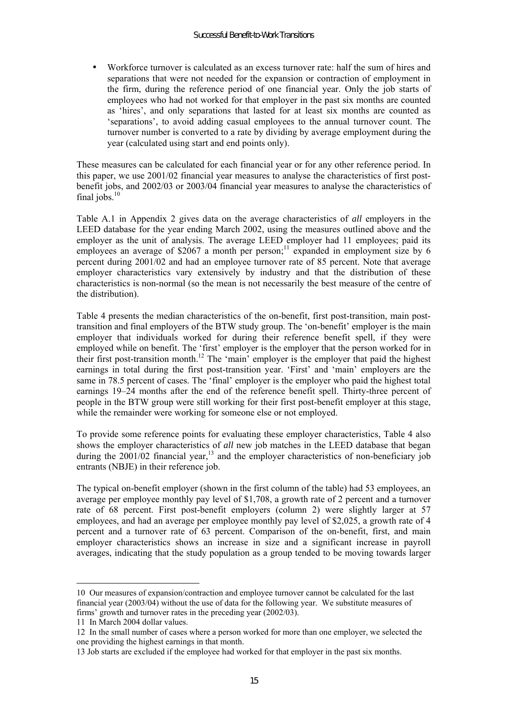• Workforce turnover is calculated as an excess turnover rate: half the sum of hires and separations that were not needed for the expansion or contraction of employment in the firm, during the reference period of one financial year. Only the job starts of employees who had not worked for that employer in the past six months are counted as ëhiresí, and only separations that lasted for at least six months are counted as ëseparationsí, to avoid adding casual employees to the annual turnover count. The turnover number is converted to a rate by dividing by average employment during the year (calculated using start and end points only).

These measures can be calculated for each financial year or for any other reference period. In this paper, we use 2001/02 financial year measures to analyse the characteristics of first postbenefit jobs, and 2002/03 or 2003/04 financial year measures to analyse the characteristics of final jobs. $10$ 

Table A.1 in Appendix 2 gives data on the average characteristics of *all* employers in the LEED database for the year ending March 2002, using the measures outlined above and the employer as the unit of analysis. The average LEED employer had 11 employees; paid its employees an average of  $$2067$  a month per person;<sup>11</sup> expanded in employment size by 6 percent during 2001/02 and had an employee turnover rate of 85 percent. Note that average employer characteristics vary extensively by industry and that the distribution of these characteristics is non-normal (so the mean is not necessarily the best measure of the centre of the distribution).

Table 4 presents the median characteristics of the on-benefit, first post-transition, main posttransition and final employers of the BTW study group. The 'on-benefit' employer is the main employer that individuals worked for during their reference benefit spell, if they were employed while on benefit. The 'first' employer is the employer that the person worked for in their first post-transition month.<sup>12</sup> The 'main' employer is the employer that paid the highest earnings in total during the first post-transition year. 'First' and 'main' employers are the same in 78.5 percent of cases. The 'final' employer is the employer who paid the highest total earnings 19–24 months after the end of the reference benefit spell. Thirty-three percent of people in the BTW group were still working for their first post-benefit employer at this stage, while the remainder were working for someone else or not employed.

To provide some reference points for evaluating these employer characteristics, Table 4 also shows the employer characteristics of *all* new job matches in the LEED database that began during the  $2001/02$  financial year,<sup>13</sup> and the employer characteristics of non-beneficiary job entrants (NBJE) in their reference job.

The typical on-benefit employer (shown in the first column of the table) had 53 employees, an average per employee monthly pay level of \$1,708, a growth rate of 2 percent and a turnover rate of 68 percent. First post-benefit employers (column 2) were slightly larger at 57 employees, and had an average per employee monthly pay level of \$2,025, a growth rate of 4 percent and a turnover rate of 63 percent. Comparison of the on-benefit, first, and main employer characteristics shows an increase in size and a significant increase in payroll averages, indicating that the study population as a group tended to be moving towards larger

 $\overline{a}$ 

<sup>10</sup> Our measures of expansion/contraction and employee turnover cannot be calculated for the last financial year (2003/04) without the use of data for the following year. We substitute measures of firms' growth and turnover rates in the preceding year  $(2002/03)$ .

<sup>11</sup> In March 2004 dollar values.

<sup>12</sup> In the small number of cases where a person worked for more than one employer, we selected the one providing the highest earnings in that month.

<sup>13</sup> Job starts are excluded if the employee had worked for that employer in the past six months.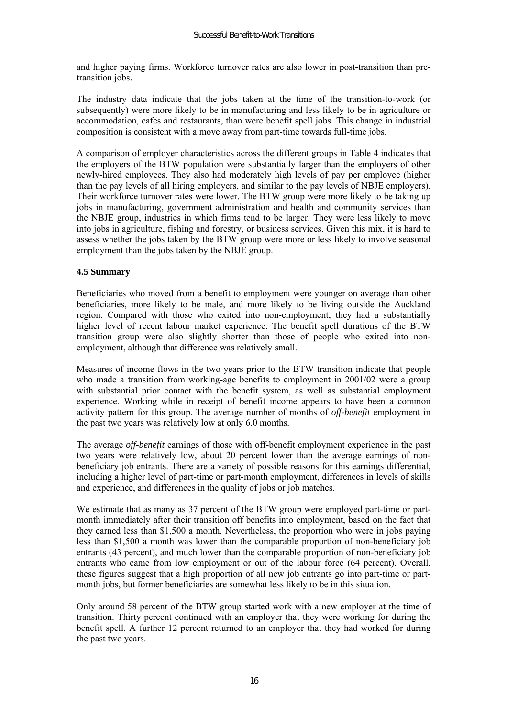and higher paying firms. Workforce turnover rates are also lower in post-transition than pretransition jobs.

The industry data indicate that the jobs taken at the time of the transition-to-work (or subsequently) were more likely to be in manufacturing and less likely to be in agriculture or accommodation, cafes and restaurants, than were benefit spell jobs. This change in industrial composition is consistent with a move away from part-time towards full-time jobs.

A comparison of employer characteristics across the different groups in Table 4 indicates that the employers of the BTW population were substantially larger than the employers of other newly-hired employees. They also had moderately high levels of pay per employee (higher than the pay levels of all hiring employers, and similar to the pay levels of NBJE employers). Their workforce turnover rates were lower. The BTW group were more likely to be taking up jobs in manufacturing, government administration and health and community services than the NBJE group, industries in which firms tend to be larger. They were less likely to move into jobs in agriculture, fishing and forestry, or business services. Given this mix, it is hard to assess whether the jobs taken by the BTW group were more or less likely to involve seasonal employment than the jobs taken by the NBJE group.

### **4.5 Summary**

Beneficiaries who moved from a benefit to employment were younger on average than other beneficiaries, more likely to be male, and more likely to be living outside the Auckland region. Compared with those who exited into non-employment, they had a substantially higher level of recent labour market experience. The benefit spell durations of the BTW transition group were also slightly shorter than those of people who exited into nonemployment, although that difference was relatively small.

Measures of income flows in the two years prior to the BTW transition indicate that people who made a transition from working-age benefits to employment in 2001/02 were a group with substantial prior contact with the benefit system, as well as substantial employment experience. Working while in receipt of benefit income appears to have been a common activity pattern for this group. The average number of months of *off-benefit* employment in the past two years was relatively low at only 6.0 months.

The average *off-benefit* earnings of those with off-benefit employment experience in the past two years were relatively low, about 20 percent lower than the average earnings of nonbeneficiary job entrants. There are a variety of possible reasons for this earnings differential, including a higher level of part-time or part-month employment, differences in levels of skills and experience, and differences in the quality of jobs or job matches.

We estimate that as many as 37 percent of the BTW group were employed part-time or partmonth immediately after their transition off benefits into employment, based on the fact that they earned less than \$1,500 a month. Nevertheless, the proportion who were in jobs paying less than \$1,500 a month was lower than the comparable proportion of non-beneficiary job entrants (43 percent), and much lower than the comparable proportion of non-beneficiary job entrants who came from low employment or out of the labour force (64 percent). Overall, these figures suggest that a high proportion of all new job entrants go into part-time or partmonth jobs, but former beneficiaries are somewhat less likely to be in this situation.

Only around 58 percent of the BTW group started work with a new employer at the time of transition. Thirty percent continued with an employer that they were working for during the benefit spell. A further 12 percent returned to an employer that they had worked for during the past two years.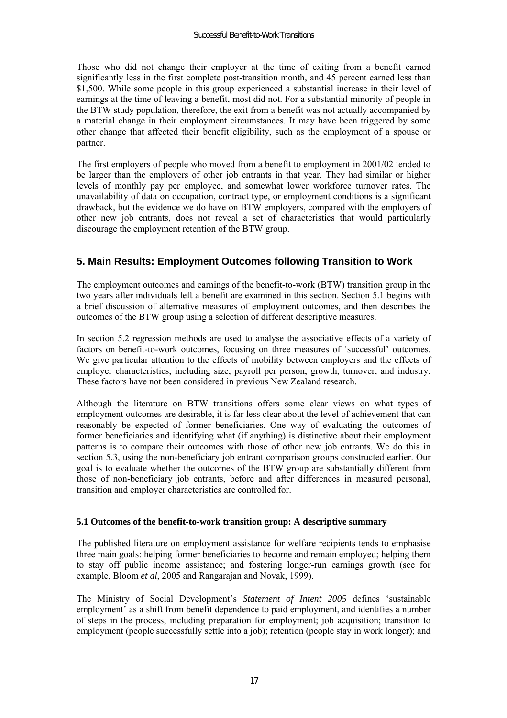Those who did not change their employer at the time of exiting from a benefit earned significantly less in the first complete post-transition month, and 45 percent earned less than \$1,500. While some people in this group experienced a substantial increase in their level of earnings at the time of leaving a benefit, most did not. For a substantial minority of people in the BTW study population, therefore, the exit from a benefit was not actually accompanied by a material change in their employment circumstances. It may have been triggered by some other change that affected their benefit eligibility, such as the employment of a spouse or partner.

The first employers of people who moved from a benefit to employment in 2001/02 tended to be larger than the employers of other job entrants in that year. They had similar or higher levels of monthly pay per employee, and somewhat lower workforce turnover rates. The unavailability of data on occupation, contract type, or employment conditions is a significant drawback, but the evidence we do have on BTW employers, compared with the employers of other new job entrants, does not reveal a set of characteristics that would particularly discourage the employment retention of the BTW group.

# **5. Main Results: Employment Outcomes following Transition to Work**

The employment outcomes and earnings of the benefit-to-work (BTW) transition group in the two years after individuals left a benefit are examined in this section. Section 5.1 begins with a brief discussion of alternative measures of employment outcomes, and then describes the outcomes of the BTW group using a selection of different descriptive measures.

In section 5.2 regression methods are used to analyse the associative effects of a variety of factors on benefit-to-work outcomes, focusing on three measures of 'successful' outcomes. We give particular attention to the effects of mobility between employers and the effects of employer characteristics, including size, payroll per person, growth, turnover, and industry. These factors have not been considered in previous New Zealand research.

Although the literature on BTW transitions offers some clear views on what types of employment outcomes are desirable, it is far less clear about the level of achievement that can reasonably be expected of former beneficiaries. One way of evaluating the outcomes of former beneficiaries and identifying what (if anything) is distinctive about their employment patterns is to compare their outcomes with those of other new job entrants. We do this in section 5.3, using the non-beneficiary job entrant comparison groups constructed earlier. Our goal is to evaluate whether the outcomes of the BTW group are substantially different from those of non-beneficiary job entrants, before and after differences in measured personal, transition and employer characteristics are controlled for.

# **5.1 Outcomes of the benefit-to-work transition group: A descriptive summary**

The published literature on employment assistance for welfare recipients tends to emphasise three main goals: helping former beneficiaries to become and remain employed; helping them to stay off public income assistance; and fostering longer-run earnings growth (see for example, Bloom *et al*, 2005 and Rangarajan and Novak, 1999).

The Ministry of Social Development's *Statement of Intent 2005* defines 'sustainable employment' as a shift from benefit dependence to paid employment, and identifies a number of steps in the process, including preparation for employment; job acquisition; transition to employment (people successfully settle into a job); retention (people stay in work longer); and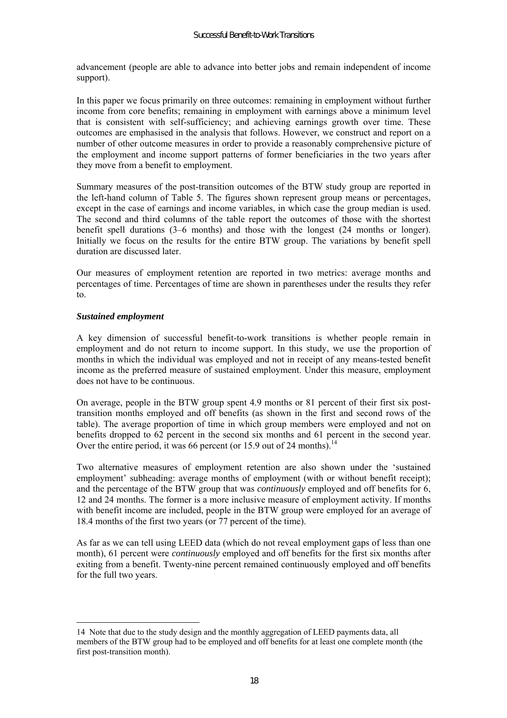advancement (people are able to advance into better jobs and remain independent of income support).

In this paper we focus primarily on three outcomes: remaining in employment without further income from core benefits; remaining in employment with earnings above a minimum level that is consistent with self-sufficiency; and achieving earnings growth over time. These outcomes are emphasised in the analysis that follows. However, we construct and report on a number of other outcome measures in order to provide a reasonably comprehensive picture of the employment and income support patterns of former beneficiaries in the two years after they move from a benefit to employment.

Summary measures of the post-transition outcomes of the BTW study group are reported in the left-hand column of Table 5. The figures shown represent group means or percentages, except in the case of earnings and income variables, in which case the group median is used. The second and third columns of the table report the outcomes of those with the shortest benefit spell durations  $(3-6 \text{ months})$  and those with the longest  $(24 \text{ months or longer})$ . Initially we focus on the results for the entire BTW group. The variations by benefit spell duration are discussed later.

Our measures of employment retention are reported in two metrics: average months and percentages of time. Percentages of time are shown in parentheses under the results they refer to.

#### *Sustained employment*

 $\overline{a}$ 

A key dimension of successful benefit-to-work transitions is whether people remain in employment and do not return to income support. In this study, we use the proportion of months in which the individual was employed and not in receipt of any means-tested benefit income as the preferred measure of sustained employment. Under this measure, employment does not have to be continuous.

On average, people in the BTW group spent 4.9 months or 81 percent of their first six posttransition months employed and off benefits (as shown in the first and second rows of the table). The average proportion of time in which group members were employed and not on benefits dropped to 62 percent in the second six months and 61 percent in the second year. Over the entire period, it was 66 percent (or 15.9 out of 24 months).<sup>14</sup>

Two alternative measures of employment retention are also shown under the 'sustained employment' subheading: average months of employment (with or without benefit receipt); and the percentage of the BTW group that was *continuously* employed and off benefits for 6, 12 and 24 months. The former is a more inclusive measure of employment activity. If months with benefit income are included, people in the BTW group were employed for an average of 18.4 months of the first two years (or  $\overline{77}$  percent of the time).

As far as we can tell using LEED data (which do not reveal employment gaps of less than one month), 61 percent were *continuously* employed and off benefits for the first six months after exiting from a benefit. Twenty-nine percent remained continuously employed and off benefits for the full two years.

<sup>14</sup> Note that due to the study design and the monthly aggregation of LEED payments data, all members of the BTW group had to be employed and off benefits for at least one complete month (the first post-transition month).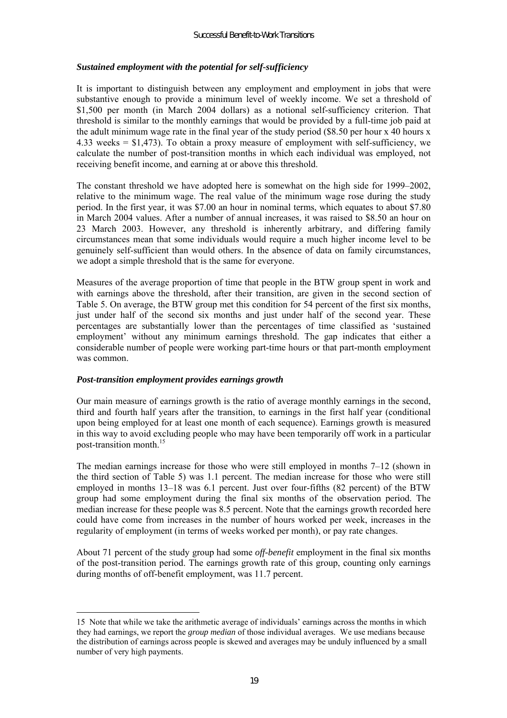### *Sustained employment with the potential for self-sufficiency*

It is important to distinguish between any employment and employment in jobs that were substantive enough to provide a minimum level of weekly income. We set a threshold of \$1,500 per month (in March 2004 dollars) as a notional self-sufficiency criterion. That threshold is similar to the monthly earnings that would be provided by a full-time job paid at the adult minimum wage rate in the final year of the study period (\$8.50 per hour x 40 hours x 4.33 weeks = \$1,473). To obtain a proxy measure of employment with self-sufficiency, we calculate the number of post-transition months in which each individual was employed, not receiving benefit income, and earning at or above this threshold.

The constant threshold we have adopted here is somewhat on the high side for  $1999-2002$ , relative to the minimum wage. The real value of the minimum wage rose during the study period. In the first year, it was \$7.00 an hour in nominal terms, which equates to about \$7.80 in March 2004 values. After a number of annual increases, it was raised to \$8.50 an hour on 23 March 2003. However, any threshold is inherently arbitrary, and differing family circumstances mean that some individuals would require a much higher income level to be genuinely self-sufficient than would others. In the absence of data on family circumstances, we adopt a simple threshold that is the same for everyone.

Measures of the average proportion of time that people in the BTW group spent in work and with earnings above the threshold, after their transition, are given in the second section of Table 5. On average, the BTW group met this condition for 54 percent of the first six months, just under half of the second six months and just under half of the second year. These percentages are substantially lower than the percentages of time classified as ësustained employment' without any minimum earnings threshold. The gap indicates that either a considerable number of people were working part-time hours or that part-month employment was common.

#### *Post-transition employment provides earnings growth*

 $\overline{a}$ 

Our main measure of earnings growth is the ratio of average monthly earnings in the second, third and fourth half years after the transition, to earnings in the first half year (conditional upon being employed for at least one month of each sequence). Earnings growth is measured in this way to avoid excluding people who may have been temporarily off work in a particular post-transition month.15

The median earnings increase for those who were still employed in months  $7-12$  (shown in the third section of Table 5) was 1.1 percent. The median increase for those who were still employed in months  $13-18$  was 6.1 percent. Just over four-fifths (82 percent) of the BTW group had some employment during the final six months of the observation period. The median increase for these people was 8.5 percent. Note that the earnings growth recorded here could have come from increases in the number of hours worked per week, increases in the regularity of employment (in terms of weeks worked per month), or pay rate changes.

About 71 percent of the study group had some *off-benefit* employment in the final six months of the post-transition period. The earnings growth rate of this group, counting only earnings during months of off-benefit employment, was 11.7 percent.

<sup>15</sup> Note that while we take the arithmetic average of individuals' earnings across the months in which they had earnings, we report the *group median* of those individual averages. We use medians because the distribution of earnings across people is skewed and averages may be unduly influenced by a small number of very high payments.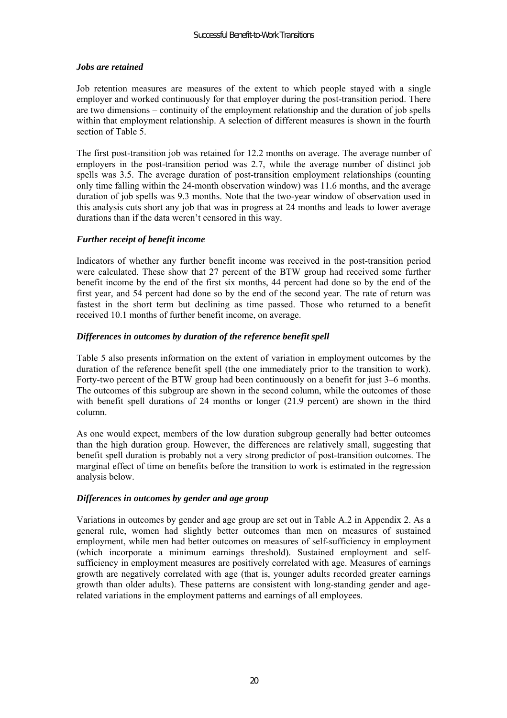#### *Jobs are retained*

Job retention measures are measures of the extent to which people stayed with a single employer and worked continuously for that employer during the post-transition period. There are two dimensions – continuity of the employment relationship and the duration of job spells within that employment relationship. A selection of different measures is shown in the fourth section of Table 5.

The first post-transition job was retained for 12.2 months on average. The average number of employers in the post-transition period was 2.7, while the average number of distinct job spells was 3.5. The average duration of post-transition employment relationships (counting only time falling within the 24-month observation window) was 11.6 months, and the average duration of job spells was 9.3 months. Note that the two-year window of observation used in this analysis cuts short any job that was in progress at 24 months and leads to lower average durations than if the data weren't censored in this way.

### *Further receipt of benefit income*

Indicators of whether any further benefit income was received in the post-transition period were calculated. These show that 27 percent of the BTW group had received some further benefit income by the end of the first six months, 44 percent had done so by the end of the first year, and 54 percent had done so by the end of the second year. The rate of return was fastest in the short term but declining as time passed. Those who returned to a benefit received 10.1 months of further benefit income, on average.

### *Differences in outcomes by duration of the reference benefit spell*

Table 5 also presents information on the extent of variation in employment outcomes by the duration of the reference benefit spell (the one immediately prior to the transition to work). Forty-two percent of the BTW group had been continuously on a benefit for just  $3-6$  months. The outcomes of this subgroup are shown in the second column, while the outcomes of those with benefit spell durations of 24 months or longer (21.9 percent) are shown in the third column.

As one would expect, members of the low duration subgroup generally had better outcomes than the high duration group. However, the differences are relatively small, suggesting that benefit spell duration is probably not a very strong predictor of post-transition outcomes. The marginal effect of time on benefits before the transition to work is estimated in the regression analysis below.

# *Differences in outcomes by gender and age group*

Variations in outcomes by gender and age group are set out in Table A.2 in Appendix 2. As a general rule, women had slightly better outcomes than men on measures of sustained employment, while men had better outcomes on measures of self-sufficiency in employment (which incorporate a minimum earnings threshold). Sustained employment and selfsufficiency in employment measures are positively correlated with age. Measures of earnings growth are negatively correlated with age (that is, younger adults recorded greater earnings growth than older adults). These patterns are consistent with long-standing gender and agerelated variations in the employment patterns and earnings of all employees.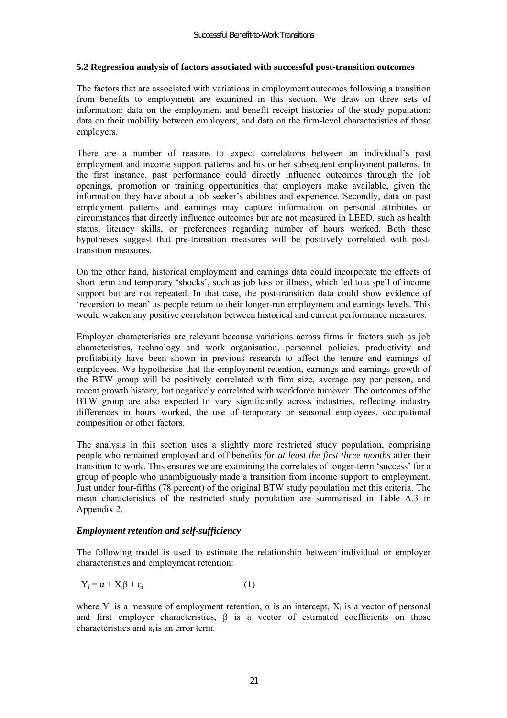#### **5.2 Regression analysis of factors associated with successful post-transition outcomes**

The factors that are associated with variations in employment outcomes following a transition from benefits to employment are examined in this section. We draw on three sets of information: data on the employment and benefit receipt histories of the study population; data on their mobility between employers; and data on the firm-level characteristics of those employers.

There are a number of reasons to expect correlations between an individual's past employment and income support patterns and his or her subsequent employment patterns. In the first instance, past performance could directly influence outcomes through the job openings, promotion or training opportunities that employers make available, given the information they have about a job seeker's abilities and experience. Secondly, data on past employment patterns and earnings may capture information on personal attributes or circumstances that directly influence outcomes but are not measured in LEED, such as health status, literacy skills, or preferences regarding number of hours worked. Both these hypotheses suggest that pre-transition measures will be positively correlated with posttransition measures.

On the other hand, historical employment and earnings data could incorporate the effects of short term and temporary 'shocks', such as job loss or illness, which led to a spell of income support but are not repeated. In that case, the post-transition data could show evidence of ëreversion to meaní as people return to their longer-run employment and earnings levels. This would weaken any positive correlation between historical and current performance measures.

Employer characteristics are relevant because variations across firms in factors such as job characteristics, technology and work organisation, personnel policies, productivity and profitability have been shown in previous research to affect the tenure and earnings of employees. We hypothesise that the employment retention, earnings and earnings growth of the BTW group will be positively correlated with firm size, average pay per person, and recent growth history, but negatively correlated with workforce turnover. The outcomes of the BTW group are also expected to vary significantly across industries, reflecting industry differences in hours worked, the use of temporary or seasonal employees, occupational composition or other factors.

The analysis in this section uses a slightly more restricted study population, comprising people who remained employed and off benefits *for at least the first three months* after their transition to work. This ensures we are examining the correlates of longer-term 'success' for a group of people who unambiguously made a transition from income support to employment. Just under four-fifths (78 percent) of the original BTW study population met this criteria. The mean characteristics of the restricted study population are summarised in Table A.3 in Appendix 2.

#### *Employment retention and self-sufficiency*

The following model is used to estimate the relationship between individual or employer characteristics and employment retention:

$$
Y_i = \alpha + X_i \beta + \varepsilon_i \tag{1}
$$

where  $Y_i$  is a measure of employment retention,  $\alpha$  is an intercept,  $X_i$  is a vector of personal and first employer characteristics, β is a vector of estimated coefficients on those characteristics and  $\varepsilon_i$  is an error term.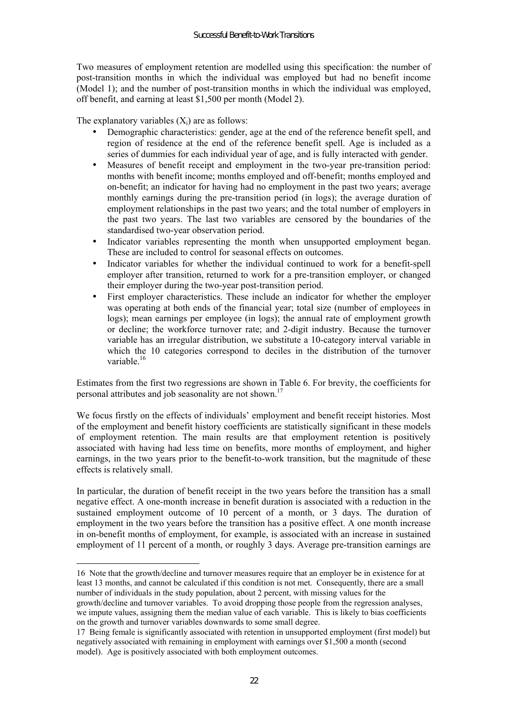Two measures of employment retention are modelled using this specification: the number of post-transition months in which the individual was employed but had no benefit income (Model 1); and the number of post-transition months in which the individual was employed, off benefit, and earning at least \$1,500 per month (Model 2).

The explanatory variables  $(X_i)$  are as follows:

 $\overline{a}$ 

- Demographic characteristics: gender, age at the end of the reference benefit spell, and region of residence at the end of the reference benefit spell. Age is included as a series of dummies for each individual year of age, and is fully interacted with gender.
- Measures of benefit receipt and employment in the two-year pre-transition period: months with benefit income; months employed and off-benefit; months employed and on-benefit; an indicator for having had no employment in the past two years; average monthly earnings during the pre-transition period (in logs); the average duration of employment relationships in the past two years; and the total number of employers in the past two years. The last two variables are censored by the boundaries of the standardised two-year observation period.
- Indicator variables representing the month when unsupported employment began. These are included to control for seasonal effects on outcomes.
- Indicator variables for whether the individual continued to work for a benefit-spell employer after transition, returned to work for a pre-transition employer, or changed their employer during the two-year post-transition period.
- First employer characteristics. These include an indicator for whether the employer was operating at both ends of the financial year; total size (number of employees in logs); mean earnings per employee (in logs); the annual rate of employment growth or decline; the workforce turnover rate; and 2-digit industry. Because the turnover variable has an irregular distribution, we substitute a 10-category interval variable in which the 10 categories correspond to deciles in the distribution of the turnover variable $16$

Estimates from the first two regressions are shown in Table 6. For brevity, the coefficients for personal attributes and job seasonality are not shown.<sup>17</sup>

We focus firstly on the effects of individuals' employment and benefit receipt histories. Most of the employment and benefit history coefficients are statistically significant in these models of employment retention. The main results are that employment retention is positively associated with having had less time on benefits, more months of employment, and higher earnings, in the two years prior to the benefit-to-work transition, but the magnitude of these effects is relatively small.

In particular, the duration of benefit receipt in the two years before the transition has a small negative effect. A one-month increase in benefit duration is associated with a reduction in the sustained employment outcome of 10 percent of a month, or 3 days. The duration of employment in the two years before the transition has a positive effect. A one month increase in on-benefit months of employment, for example, is associated with an increase in sustained employment of 11 percent of a month, or roughly 3 days. Average pre-transition earnings are

we impute values, assigning them the median value of each variable. This is likely to bias coefficients on the growth and turnover variables downwards to some small degree.

<sup>16</sup> Note that the growth/decline and turnover measures require that an employer be in existence for at least 13 months, and cannot be calculated if this condition is not met. Consequently, there are a small number of individuals in the study population, about 2 percent, with missing values for the growth/decline and turnover variables. To avoid dropping those people from the regression analyses,

<sup>17</sup> Being female is significantly associated with retention in unsupported employment (first model) but negatively associated with remaining in employment with earnings over \$1,500 a month (second model). Age is positively associated with both employment outcomes.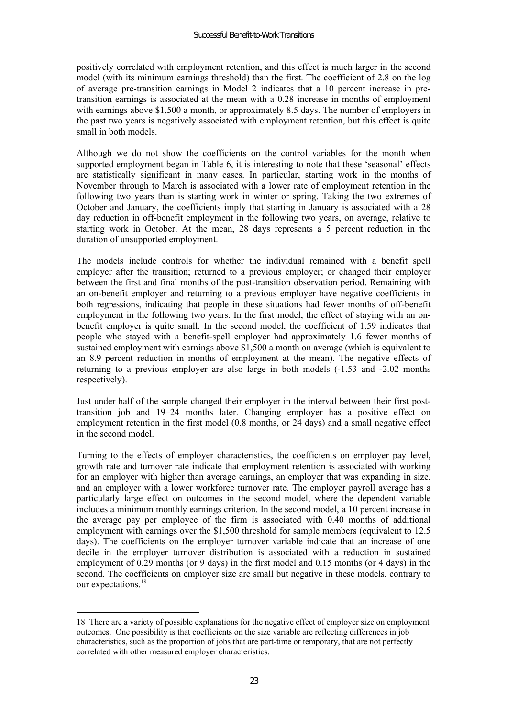positively correlated with employment retention, and this effect is much larger in the second model (with its minimum earnings threshold) than the first. The coefficient of 2.8 on the log of average pre-transition earnings in Model 2 indicates that a 10 percent increase in pretransition earnings is associated at the mean with a 0.28 increase in months of employment with earnings above \$1,500 a month, or approximately 8.5 days. The number of employers in the past two years is negatively associated with employment retention, but this effect is quite small in both models.

Although we do not show the coefficients on the control variables for the month when supported employment began in Table 6, it is interesting to note that these 'seasonal' effects are statistically significant in many cases. In particular, starting work in the months of November through to March is associated with a lower rate of employment retention in the following two years than is starting work in winter or spring. Taking the two extremes of October and January, the coefficients imply that starting in January is associated with a 28 day reduction in off-benefit employment in the following two years, on average, relative to starting work in October. At the mean, 28 days represents a 5 percent reduction in the duration of unsupported employment.

The models include controls for whether the individual remained with a benefit spell employer after the transition; returned to a previous employer; or changed their employer between the first and final months of the post-transition observation period. Remaining with an on-benefit employer and returning to a previous employer have negative coefficients in both regressions, indicating that people in these situations had fewer months of off-benefit employment in the following two years. In the first model, the effect of staying with an onbenefit employer is quite small. In the second model, the coefficient of 1.59 indicates that people who stayed with a benefit-spell employer had approximately 1.6 fewer months of sustained employment with earnings above \$1,500 a month on average (which is equivalent to an 8.9 percent reduction in months of employment at the mean). The negative effects of returning to a previous employer are also large in both models (-1.53 and -2.02 months respectively).

Just under half of the sample changed their employer in the interval between their first posttransition job and  $19-24$  months later. Changing employer has a positive effect on employment retention in the first model (0.8 months, or 24 days) and a small negative effect in the second model.

Turning to the effects of employer characteristics, the coefficients on employer pay level, growth rate and turnover rate indicate that employment retention is associated with working for an employer with higher than average earnings, an employer that was expanding in size, and an employer with a lower workforce turnover rate. The employer payroll average has a particularly large effect on outcomes in the second model, where the dependent variable includes a minimum monthly earnings criterion. In the second model, a 10 percent increase in the average pay per employee of the firm is associated with 0.40 months of additional employment with earnings over the \$1,500 threshold for sample members (equivalent to 12.5 days). The coefficients on the employer turnover variable indicate that an increase of one decile in the employer turnover distribution is associated with a reduction in sustained employment of 0.29 months (or 9 days) in the first model and 0.15 months (or 4 days) in the second. The coefficients on employer size are small but negative in these models, contrary to our expectations<sup>18</sup>

 $\overline{a}$ 

<sup>18</sup> There are a variety of possible explanations for the negative effect of employer size on employment outcomes. One possibility is that coefficients on the size variable are reflecting differences in job characteristics, such as the proportion of jobs that are part-time or temporary, that are not perfectly correlated with other measured employer characteristics.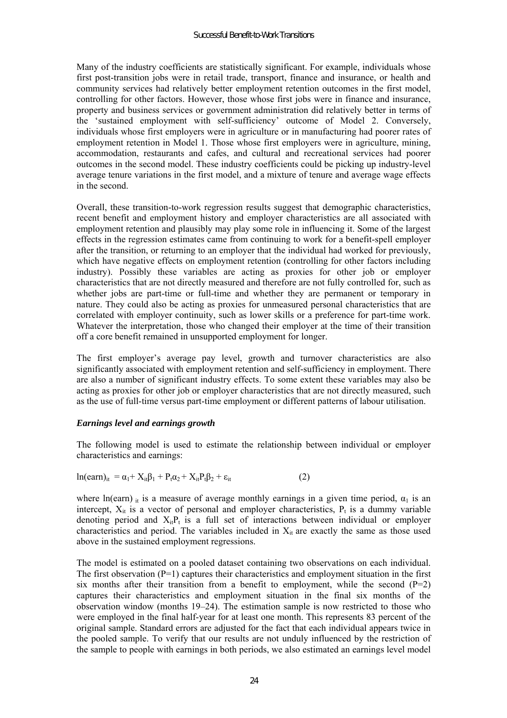Many of the industry coefficients are statistically significant. For example, individuals whose first post-transition jobs were in retail trade, transport, finance and insurance, or health and community services had relatively better employment retention outcomes in the first model, controlling for other factors. However, those whose first jobs were in finance and insurance, property and business services or government administration did relatively better in terms of the 'sustained employment with self-sufficiency' outcome of Model 2. Conversely, individuals whose first employers were in agriculture or in manufacturing had poorer rates of employment retention in Model 1. Those whose first employers were in agriculture, mining, accommodation, restaurants and cafes, and cultural and recreational services had poorer outcomes in the second model. These industry coefficients could be picking up industry-level average tenure variations in the first model, and a mixture of tenure and average wage effects in the second.

Overall, these transition-to-work regression results suggest that demographic characteristics, recent benefit and employment history and employer characteristics are all associated with employment retention and plausibly may play some role in influencing it. Some of the largest effects in the regression estimates came from continuing to work for a benefit-spell employer after the transition, or returning to an employer that the individual had worked for previously, which have negative effects on employment retention (controlling for other factors including industry). Possibly these variables are acting as proxies for other job or employer characteristics that are not directly measured and therefore are not fully controlled for, such as whether jobs are part-time or full-time and whether they are permanent or temporary in nature. They could also be acting as proxies for unmeasured personal characteristics that are correlated with employer continuity, such as lower skills or a preference for part-time work. Whatever the interpretation, those who changed their employer at the time of their transition off a core benefit remained in unsupported employment for longer.

The first employer's average pay level, growth and turnover characteristics are also significantly associated with employment retention and self-sufficiency in employment. There are also a number of significant industry effects. To some extent these variables may also be acting as proxies for other job or employer characteristics that are not directly measured, such as the use of full-time versus part-time employment or different patterns of labour utilisation.

#### *Earnings level and earnings growth*

The following model is used to estimate the relationship between individual or employer characteristics and earnings:

$$
\ln(\text{earn})_{it} = \alpha_1 + X_{it}\beta_1 + P_t\alpha_2 + X_{it}P_t\beta_2 + \varepsilon_{it}
$$
 (2)

where ln(earn) it is a measure of average monthly earnings in a given time period,  $\alpha_1$  is an intercept,  $X_{it}$  is a vector of personal and employer characteristics,  $P_t$  is a dummy variable denoting period and  $X_{it}P_t$  is a full set of interactions between individual or employer characteristics and period. The variables included in  $X_{it}$  are exactly the same as those used above in the sustained employment regressions.

The model is estimated on a pooled dataset containing two observations on each individual. The first observation  $(P=1)$  captures their characteristics and employment situation in the first six months after their transition from a benefit to employment, while the second  $(P=2)$ captures their characteristics and employment situation in the final six months of the observation window (months  $19-24$ ). The estimation sample is now restricted to those who were employed in the final half-year for at least one month. This represents 83 percent of the original sample. Standard errors are adjusted for the fact that each individual appears twice in the pooled sample. To verify that our results are not unduly influenced by the restriction of the sample to people with earnings in both periods, we also estimated an earnings level model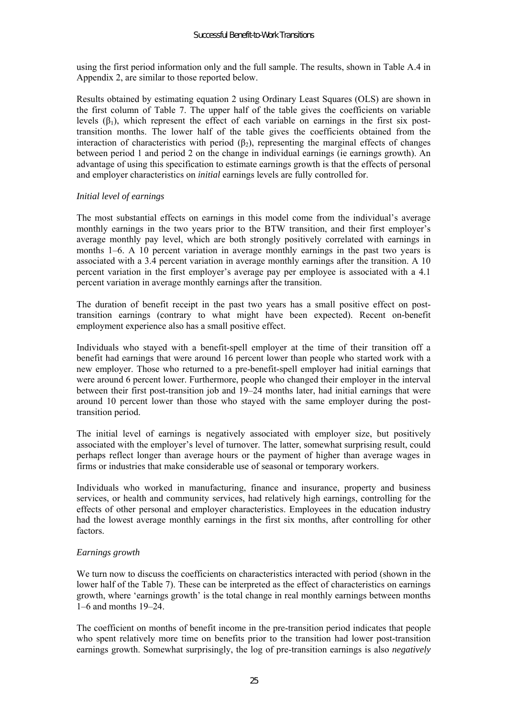using the first period information only and the full sample. The results, shown in Table A.4 in Appendix 2, are similar to those reported below.

Results obtained by estimating equation 2 using Ordinary Least Squares (OLS) are shown in the first column of Table 7. The upper half of the table gives the coefficients on variable levels  $(\beta_1)$ , which represent the effect of each variable on earnings in the first six posttransition months. The lower half of the table gives the coefficients obtained from the interaction of characteristics with period  $(\beta_2)$ , representing the marginal effects of changes between period 1 and period 2 on the change in individual earnings (ie earnings growth). An advantage of using this specification to estimate earnings growth is that the effects of personal and employer characteristics on *initial* earnings levels are fully controlled for.

#### *Initial level of earnings*

The most substantial effects on earnings in this model come from the individual's average monthly earnings in the two years prior to the BTW transition, and their first employer's average monthly pay level, which are both strongly positively correlated with earnings in months  $1-6$ . A 10 percent variation in average monthly earnings in the past two years is associated with a 3.4 percent variation in average monthly earnings after the transition. A 10 percent variation in the first employer's average pay per employee is associated with a 4.1 percent variation in average monthly earnings after the transition.

The duration of benefit receipt in the past two years has a small positive effect on posttransition earnings (contrary to what might have been expected). Recent on-benefit employment experience also has a small positive effect.

Individuals who stayed with a benefit-spell employer at the time of their transition off a benefit had earnings that were around 16 percent lower than people who started work with a new employer. Those who returned to a pre-benefit-spell employer had initial earnings that were around 6 percent lower. Furthermore, people who changed their employer in the interval between their first post-transition job and  $19-24$  months later, had initial earnings that were around 10 percent lower than those who stayed with the same employer during the posttransition period.

The initial level of earnings is negatively associated with employer size, but positively associated with the employer's level of turnover. The latter, somewhat surprising result, could perhaps reflect longer than average hours or the payment of higher than average wages in firms or industries that make considerable use of seasonal or temporary workers.

Individuals who worked in manufacturing, finance and insurance, property and business services, or health and community services, had relatively high earnings, controlling for the effects of other personal and employer characteristics. Employees in the education industry had the lowest average monthly earnings in the first six months, after controlling for other factors.

# *Earnings growth*

We turn now to discuss the coefficients on characteristics interacted with period (shown in the lower half of the Table 7). These can be interpreted as the effect of characteristics on earnings growth, where 'earnings growth' is the total change in real monthly earnings between months  $1-6$  and months  $19-24$ .

The coefficient on months of benefit income in the pre-transition period indicates that people who spent relatively more time on benefits prior to the transition had lower post-transition earnings growth. Somewhat surprisingly, the log of pre-transition earnings is also *negatively*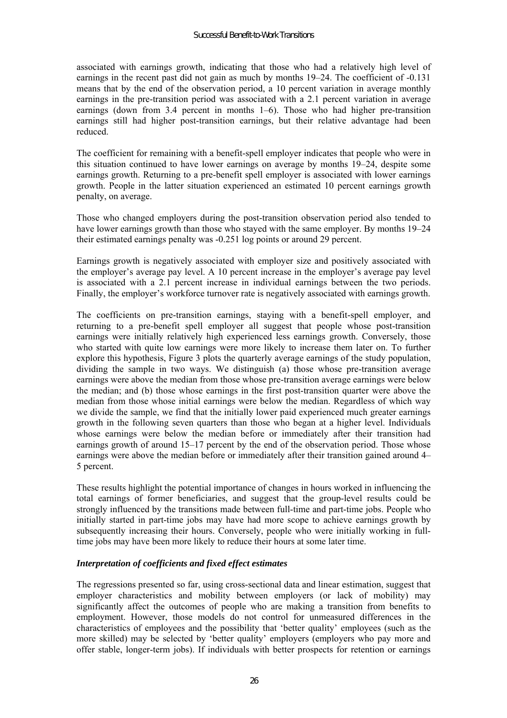associated with earnings growth, indicating that those who had a relatively high level of earnings in the recent past did not gain as much by months  $19-24$ . The coefficient of  $-0.131$ means that by the end of the observation period, a 10 percent variation in average monthly earnings in the pre-transition period was associated with a 2.1 percent variation in average earnings (down from 3.4 percent in months  $1-6$ ). Those who had higher pre-transition earnings still had higher post-transition earnings, but their relative advantage had been reduced.

The coefficient for remaining with a benefit-spell employer indicates that people who were in this situation continued to have lower earnings on average by months  $19-24$ , despite some earnings growth. Returning to a pre-benefit spell employer is associated with lower earnings growth. People in the latter situation experienced an estimated 10 percent earnings growth penalty, on average.

Those who changed employers during the post-transition observation period also tended to have lower earnings growth than those who stayed with the same employer. By months 19–24 their estimated earnings penalty was -0.251 log points or around 29 percent.

Earnings growth is negatively associated with employer size and positively associated with the employer's average pay level. A 10 percent increase in the employer's average pay level is associated with a 2.1 percent increase in individual earnings between the two periods. Finally, the employer's workforce turnover rate is negatively associated with earnings growth.

The coefficients on pre-transition earnings, staying with a benefit-spell employer, and returning to a pre-benefit spell employer all suggest that people whose post-transition earnings were initially relatively high experienced less earnings growth. Conversely, those who started with quite low earnings were more likely to increase them later on. To further explore this hypothesis, Figure 3 plots the quarterly average earnings of the study population, dividing the sample in two ways. We distinguish (a) those whose pre-transition average earnings were above the median from those whose pre-transition average earnings were below the median; and (b) those whose earnings in the first post-transition quarter were above the median from those whose initial earnings were below the median. Regardless of which way we divide the sample, we find that the initially lower paid experienced much greater earnings growth in the following seven quarters than those who began at a higher level. Individuals whose earnings were below the median before or immediately after their transition had earnings growth of around  $15-17$  percent by the end of the observation period. Those whose earnings were above the median before or immediately after their transition gained around  $4-$ 5 percent.

These results highlight the potential importance of changes in hours worked in influencing the total earnings of former beneficiaries, and suggest that the group-level results could be strongly influenced by the transitions made between full-time and part-time jobs. People who initially started in part-time jobs may have had more scope to achieve earnings growth by subsequently increasing their hours. Conversely, people who were initially working in fulltime jobs may have been more likely to reduce their hours at some later time.

# *Interpretation of coefficients and fixed effect estimates*

The regressions presented so far, using cross-sectional data and linear estimation, suggest that employer characteristics and mobility between employers (or lack of mobility) may significantly affect the outcomes of people who are making a transition from benefits to employment. However, those models do not control for unmeasured differences in the characteristics of employees and the possibility that 'better quality' employees (such as the more skilled) may be selected by 'better quality' employers (employers who pay more and offer stable, longer-term jobs). If individuals with better prospects for retention or earnings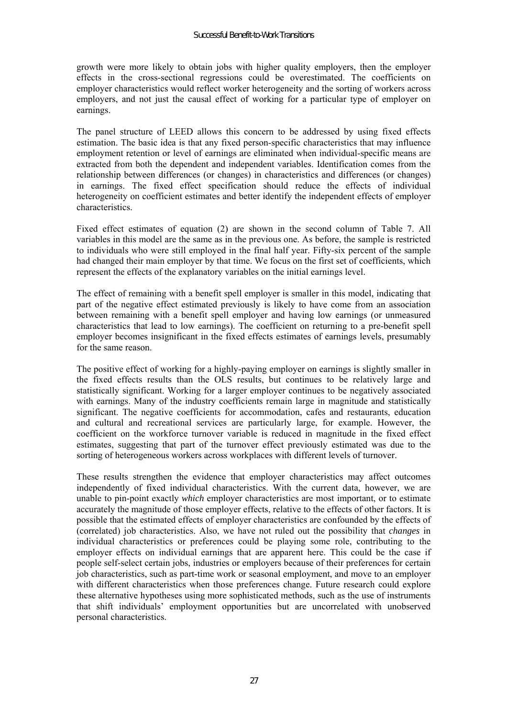growth were more likely to obtain jobs with higher quality employers, then the employer effects in the cross-sectional regressions could be overestimated. The coefficients on employer characteristics would reflect worker heterogeneity and the sorting of workers across employers, and not just the causal effect of working for a particular type of employer on earnings.

The panel structure of LEED allows this concern to be addressed by using fixed effects estimation. The basic idea is that any fixed person-specific characteristics that may influence employment retention or level of earnings are eliminated when individual-specific means are extracted from both the dependent and independent variables. Identification comes from the relationship between differences (or changes) in characteristics and differences (or changes) in earnings. The fixed effect specification should reduce the effects of individual heterogeneity on coefficient estimates and better identify the independent effects of employer characteristics.

Fixed effect estimates of equation (2) are shown in the second column of Table 7. All variables in this model are the same as in the previous one. As before, the sample is restricted to individuals who were still employed in the final half year. Fifty-six percent of the sample had changed their main employer by that time. We focus on the first set of coefficients, which represent the effects of the explanatory variables on the initial earnings level.

The effect of remaining with a benefit spell employer is smaller in this model, indicating that part of the negative effect estimated previously is likely to have come from an association between remaining with a benefit spell employer and having low earnings (or unmeasured characteristics that lead to low earnings). The coefficient on returning to a pre-benefit spell employer becomes insignificant in the fixed effects estimates of earnings levels, presumably for the same reason.

The positive effect of working for a highly-paying employer on earnings is slightly smaller in the fixed effects results than the OLS results, but continues to be relatively large and statistically significant. Working for a larger employer continues to be negatively associated with earnings. Many of the industry coefficients remain large in magnitude and statistically significant. The negative coefficients for accommodation, cafes and restaurants, education and cultural and recreational services are particularly large, for example. However, the coefficient on the workforce turnover variable is reduced in magnitude in the fixed effect estimates, suggesting that part of the turnover effect previously estimated was due to the sorting of heterogeneous workers across workplaces with different levels of turnover.

These results strengthen the evidence that employer characteristics may affect outcomes independently of fixed individual characteristics. With the current data, however, we are unable to pin-point exactly *which* employer characteristics are most important, or to estimate accurately the magnitude of those employer effects, relative to the effects of other factors. It is possible that the estimated effects of employer characteristics are confounded by the effects of (correlated) job characteristics. Also, we have not ruled out the possibility that *changes* in individual characteristics or preferences could be playing some role, contributing to the employer effects on individual earnings that are apparent here. This could be the case if people self-select certain jobs, industries or employers because of their preferences for certain job characteristics, such as part-time work or seasonal employment, and move to an employer with different characteristics when those preferences change. Future research could explore these alternative hypotheses using more sophisticated methods, such as the use of instruments that shift individualsí employment opportunities but are uncorrelated with unobserved personal characteristics.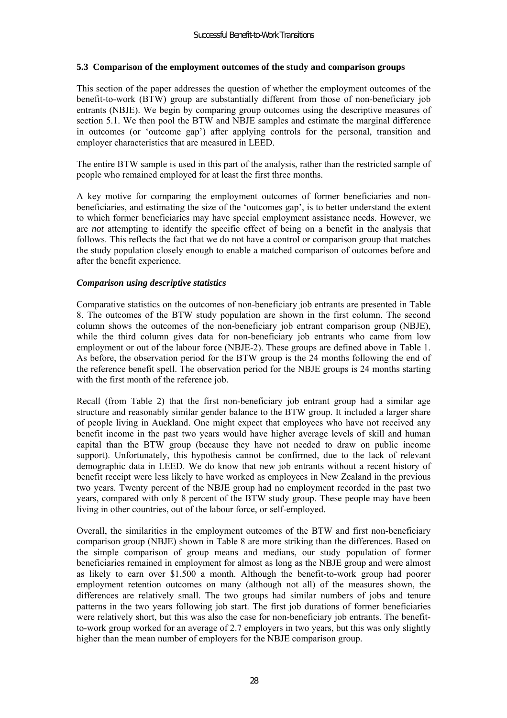#### **5.3 Comparison of the employment outcomes of the study and comparison groups**

This section of the paper addresses the question of whether the employment outcomes of the benefit-to-work (BTW) group are substantially different from those of non-beneficiary job entrants (NBJE). We begin by comparing group outcomes using the descriptive measures of section 5.1. We then pool the BTW and NBJE samples and estimate the marginal difference in outcomes (or 'outcome gap') after applying controls for the personal, transition and employer characteristics that are measured in LEED.

The entire BTW sample is used in this part of the analysis, rather than the restricted sample of people who remained employed for at least the first three months.

A key motive for comparing the employment outcomes of former beneficiaries and nonbeneficiaries, and estimating the size of the 'outcomes gap', is to better understand the extent to which former beneficiaries may have special employment assistance needs. However, we are *not* attempting to identify the specific effect of being on a benefit in the analysis that follows. This reflects the fact that we do not have a control or comparison group that matches the study population closely enough to enable a matched comparison of outcomes before and after the benefit experience.

#### *Comparison using descriptive statistics*

Comparative statistics on the outcomes of non-beneficiary job entrants are presented in Table 8. The outcomes of the BTW study population are shown in the first column. The second column shows the outcomes of the non-beneficiary job entrant comparison group (NBJE), while the third column gives data for non-beneficiary job entrants who came from low employment or out of the labour force (NBJE-2). These groups are defined above in Table 1. As before, the observation period for the BTW group is the 24 months following the end of the reference benefit spell. The observation period for the NBJE groups is 24 months starting with the first month of the reference job.

Recall (from Table 2) that the first non-beneficiary job entrant group had a similar age structure and reasonably similar gender balance to the BTW group. It included a larger share of people living in Auckland. One might expect that employees who have not received any benefit income in the past two years would have higher average levels of skill and human capital than the BTW group (because they have not needed to draw on public income support). Unfortunately, this hypothesis cannot be confirmed, due to the lack of relevant demographic data in LEED. We do know that new job entrants without a recent history of benefit receipt were less likely to have worked as employees in New Zealand in the previous two years. Twenty percent of the NBJE group had no employment recorded in the past two years, compared with only 8 percent of the BTW study group. These people may have been living in other countries, out of the labour force, or self-employed.

Overall, the similarities in the employment outcomes of the BTW and first non-beneficiary comparison group (NBJE) shown in Table 8 are more striking than the differences. Based on the simple comparison of group means and medians, our study population of former beneficiaries remained in employment for almost as long as the NBJE group and were almost as likely to earn over \$1,500 a month. Although the benefit-to-work group had poorer employment retention outcomes on many (although not all) of the measures shown, the differences are relatively small. The two groups had similar numbers of jobs and tenure patterns in the two years following job start. The first job durations of former beneficiaries were relatively short, but this was also the case for non-beneficiary job entrants. The benefitto-work group worked for an average of 2.7 employers in two years, but this was only slightly higher than the mean number of employers for the NBJE comparison group.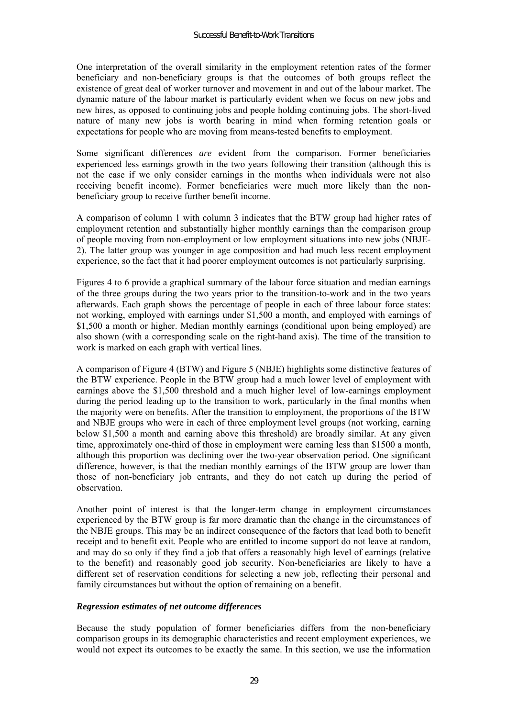One interpretation of the overall similarity in the employment retention rates of the former beneficiary and non-beneficiary groups is that the outcomes of both groups reflect the existence of great deal of worker turnover and movement in and out of the labour market. The dynamic nature of the labour market is particularly evident when we focus on new jobs and new hires, as opposed to continuing jobs and people holding continuing jobs. The short-lived nature of many new jobs is worth bearing in mind when forming retention goals or expectations for people who are moving from means-tested benefits to employment.

Some significant differences *are* evident from the comparison. Former beneficiaries experienced less earnings growth in the two years following their transition (although this is not the case if we only consider earnings in the months when individuals were not also receiving benefit income). Former beneficiaries were much more likely than the nonbeneficiary group to receive further benefit income.

A comparison of column 1 with column 3 indicates that the BTW group had higher rates of employment retention and substantially higher monthly earnings than the comparison group of people moving from non-employment or low employment situations into new jobs (NBJE-2). The latter group was younger in age composition and had much less recent employment experience, so the fact that it had poorer employment outcomes is not particularly surprising.

Figures 4 to 6 provide a graphical summary of the labour force situation and median earnings of the three groups during the two years prior to the transition-to-work and in the two years afterwards. Each graph shows the percentage of people in each of three labour force states: not working, employed with earnings under \$1,500 a month, and employed with earnings of \$1,500 a month or higher. Median monthly earnings (conditional upon being employed) are also shown (with a corresponding scale on the right-hand axis). The time of the transition to work is marked on each graph with vertical lines.

A comparison of Figure 4 (BTW) and Figure 5 (NBJE) highlights some distinctive features of the BTW experience. People in the BTW group had a much lower level of employment with earnings above the \$1,500 threshold and a much higher level of low-earnings employment during the period leading up to the transition to work, particularly in the final months when the majority were on benefits. After the transition to employment, the proportions of the BTW and NBJE groups who were in each of three employment level groups (not working, earning below \$1,500 a month and earning above this threshold) are broadly similar. At any given time, approximately one-third of those in employment were earning less than \$1500 a month, although this proportion was declining over the two-year observation period. One significant difference, however, is that the median monthly earnings of the BTW group are lower than those of non-beneficiary job entrants, and they do not catch up during the period of observation.

Another point of interest is that the longer-term change in employment circumstances experienced by the BTW group is far more dramatic than the change in the circumstances of the NBJE groups. This may be an indirect consequence of the factors that lead both to benefit receipt and to benefit exit. People who are entitled to income support do not leave at random, and may do so only if they find a job that offers a reasonably high level of earnings (relative to the benefit) and reasonably good job security. Non-beneficiaries are likely to have a different set of reservation conditions for selecting a new job, reflecting their personal and family circumstances but without the option of remaining on a benefit.

#### *Regression estimates of net outcome differences*

Because the study population of former beneficiaries differs from the non-beneficiary comparison groups in its demographic characteristics and recent employment experiences, we would not expect its outcomes to be exactly the same. In this section, we use the information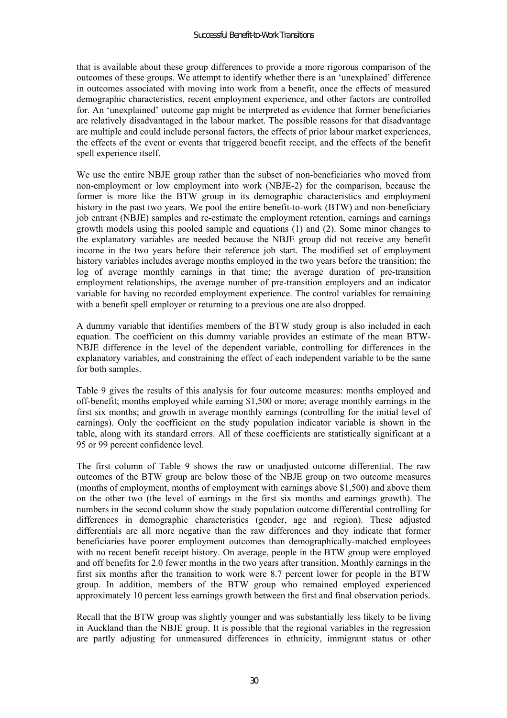that is available about these group differences to provide a more rigorous comparison of the outcomes of these groups. We attempt to identify whether there is an 'unexplained' difference in outcomes associated with moving into work from a benefit, once the effects of measured demographic characteristics, recent employment experience, and other factors are controlled for. An 'unexplained' outcome gap might be interpreted as evidence that former beneficiaries are relatively disadvantaged in the labour market. The possible reasons for that disadvantage are multiple and could include personal factors, the effects of prior labour market experiences, the effects of the event or events that triggered benefit receipt, and the effects of the benefit spell experience itself.

We use the entire NBJE group rather than the subset of non-beneficiaries who moved from non-employment or low employment into work (NBJE-2) for the comparison, because the former is more like the BTW group in its demographic characteristics and employment history in the past two years. We pool the entire benefit-to-work (BTW) and non-beneficiary job entrant (NBJE) samples and re-estimate the employment retention, earnings and earnings growth models using this pooled sample and equations (1) and (2). Some minor changes to the explanatory variables are needed because the NBJE group did not receive any benefit income in the two years before their reference job start. The modified set of employment history variables includes average months employed in the two years before the transition; the log of average monthly earnings in that time; the average duration of pre-transition employment relationships, the average number of pre-transition employers and an indicator variable for having no recorded employment experience. The control variables for remaining with a benefit spell employer or returning to a previous one are also dropped.

A dummy variable that identifies members of the BTW study group is also included in each equation. The coefficient on this dummy variable provides an estimate of the mean BTW-NBJE difference in the level of the dependent variable, controlling for differences in the explanatory variables, and constraining the effect of each independent variable to be the same for both samples.

Table 9 gives the results of this analysis for four outcome measures: months employed and off-benefit; months employed while earning \$1,500 or more; average monthly earnings in the first six months; and growth in average monthly earnings (controlling for the initial level of earnings). Only the coefficient on the study population indicator variable is shown in the table, along with its standard errors. All of these coefficients are statistically significant at a 95 or 99 percent confidence level.

The first column of Table 9 shows the raw or unadjusted outcome differential. The raw outcomes of the BTW group are below those of the NBJE group on two outcome measures (months of employment, months of employment with earnings above \$1,500) and above them on the other two (the level of earnings in the first six months and earnings growth). The numbers in the second column show the study population outcome differential controlling for differences in demographic characteristics (gender, age and region). These adjusted differentials are all more negative than the raw differences and they indicate that former beneficiaries have poorer employment outcomes than demographically-matched employees with no recent benefit receipt history. On average, people in the BTW group were employed and off benefits for 2.0 fewer months in the two years after transition. Monthly earnings in the first six months after the transition to work were 8.7 percent lower for people in the BTW group. In addition, members of the BTW group who remained employed experienced approximately 10 percent less earnings growth between the first and final observation periods.

Recall that the BTW group was slightly younger and was substantially less likely to be living in Auckland than the NBJE group. It is possible that the regional variables in the regression are partly adjusting for unmeasured differences in ethnicity, immigrant status or other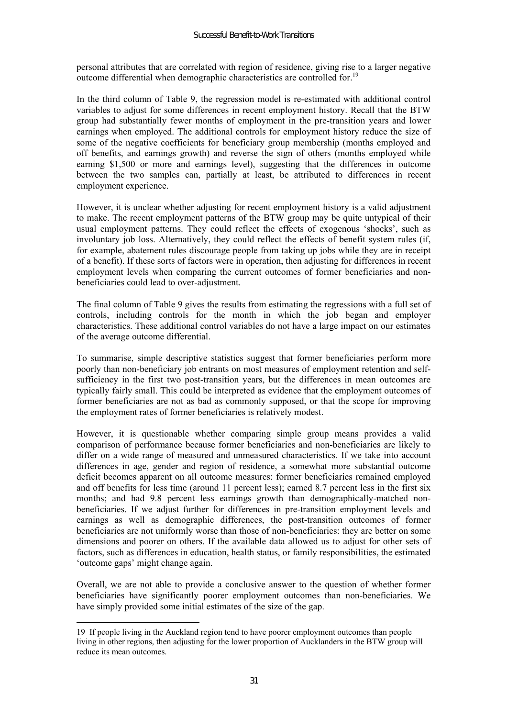personal attributes that are correlated with region of residence, giving rise to a larger negative outcome differential when demographic characteristics are controlled for.<sup>19</sup>

In the third column of Table 9, the regression model is re-estimated with additional control variables to adjust for some differences in recent employment history. Recall that the BTW group had substantially fewer months of employment in the pre-transition years and lower earnings when employed. The additional controls for employment history reduce the size of some of the negative coefficients for beneficiary group membership (months employed and off benefits, and earnings growth) and reverse the sign of others (months employed while earning \$1,500 or more and earnings level), suggesting that the differences in outcome between the two samples can, partially at least, be attributed to differences in recent employment experience.

However, it is unclear whether adjusting for recent employment history is a valid adjustment to make. The recent employment patterns of the BTW group may be quite untypical of their usual employment patterns. They could reflect the effects of exogenous 'shocks', such as involuntary job loss. Alternatively, they could reflect the effects of benefit system rules (if, for example, abatement rules discourage people from taking up jobs while they are in receipt of a benefit). If these sorts of factors were in operation, then adjusting for differences in recent employment levels when comparing the current outcomes of former beneficiaries and nonbeneficiaries could lead to over-adjustment.

The final column of Table 9 gives the results from estimating the regressions with a full set of controls, including controls for the month in which the job began and employer characteristics. These additional control variables do not have a large impact on our estimates of the average outcome differential.

To summarise, simple descriptive statistics suggest that former beneficiaries perform more poorly than non-beneficiary job entrants on most measures of employment retention and selfsufficiency in the first two post-transition years, but the differences in mean outcomes are typically fairly small. This could be interpreted as evidence that the employment outcomes of former beneficiaries are not as bad as commonly supposed, or that the scope for improving the employment rates of former beneficiaries is relatively modest.

However, it is questionable whether comparing simple group means provides a valid comparison of performance because former beneficiaries and non-beneficiaries are likely to differ on a wide range of measured and unmeasured characteristics. If we take into account differences in age, gender and region of residence, a somewhat more substantial outcome deficit becomes apparent on all outcome measures: former beneficiaries remained employed and off benefits for less time (around 11 percent less); earned 8.7 percent less in the first six months; and had 9.8 percent less earnings growth than demographically-matched nonbeneficiaries. If we adjust further for differences in pre-transition employment levels and earnings as well as demographic differences, the post-transition outcomes of former beneficiaries are not uniformly worse than those of non-beneficiaries: they are better on some dimensions and poorer on others. If the available data allowed us to adjust for other sets of factors, such as differences in education, health status, or family responsibilities, the estimated 'outcome gaps' might change again.

Overall, we are not able to provide a conclusive answer to the question of whether former beneficiaries have significantly poorer employment outcomes than non-beneficiaries. We have simply provided some initial estimates of the size of the gap.

 $\overline{a}$ 

<sup>19</sup> If people living in the Auckland region tend to have poorer employment outcomes than people living in other regions, then adjusting for the lower proportion of Aucklanders in the BTW group will reduce its mean outcomes.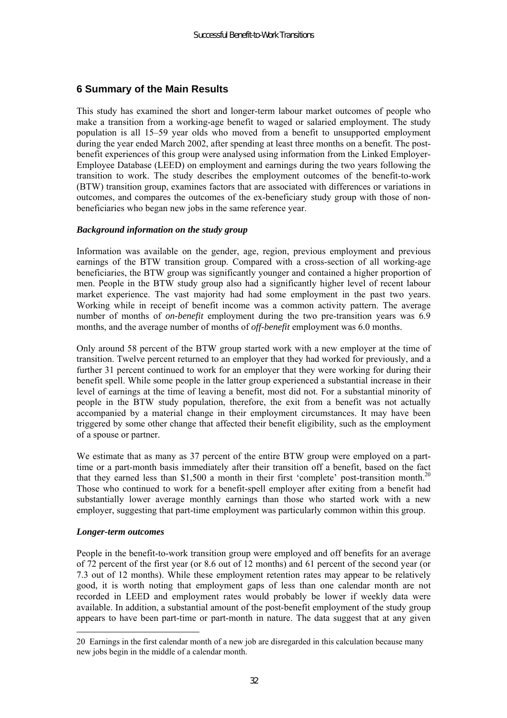# **6 Summary of the Main Results**

This study has examined the short and longer-term labour market outcomes of people who make a transition from a working-age benefit to waged or salaried employment. The study population is all 15–59 year olds who moved from a benefit to unsupported employment during the year ended March 2002, after spending at least three months on a benefit. The postbenefit experiences of this group were analysed using information from the Linked Employer-Employee Database (LEED) on employment and earnings during the two years following the transition to work. The study describes the employment outcomes of the benefit-to-work (BTW) transition group, examines factors that are associated with differences or variations in outcomes, and compares the outcomes of the ex-beneficiary study group with those of nonbeneficiaries who began new jobs in the same reference year.

#### *Background information on the study group*

Information was available on the gender, age, region, previous employment and previous earnings of the BTW transition group. Compared with a cross-section of all working-age beneficiaries, the BTW group was significantly younger and contained a higher proportion of men. People in the BTW study group also had a significantly higher level of recent labour market experience. The vast majority had had some employment in the past two years. Working while in receipt of benefit income was a common activity pattern. The average number of months of *on-benefit* employment during the two pre-transition years was 6.9 months, and the average number of months of *off-benefit* employment was 6.0 months.

Only around 58 percent of the BTW group started work with a new employer at the time of transition. Twelve percent returned to an employer that they had worked for previously, and a further 31 percent continued to work for an employer that they were working for during their benefit spell. While some people in the latter group experienced a substantial increase in their level of earnings at the time of leaving a benefit, most did not. For a substantial minority of people in the BTW study population, therefore, the exit from a benefit was not actually accompanied by a material change in their employment circumstances. It may have been triggered by some other change that affected their benefit eligibility, such as the employment of a spouse or partner.

We estimate that as many as 37 percent of the entire BTW group were employed on a parttime or a part-month basis immediately after their transition off a benefit, based on the fact that they earned less than \$1,500 a month in their first 'complete' post-transition month.<sup>20</sup> Those who continued to work for a benefit-spell employer after exiting from a benefit had substantially lower average monthly earnings than those who started work with a new employer, suggesting that part-time employment was particularly common within this group.

#### *Longer-term outcomes*

 $\overline{a}$ 

People in the benefit-to-work transition group were employed and off benefits for an average of 72 percent of the first year (or 8.6 out of 12 months) and 61 percent of the second year (or 7.3 out of 12 months). While these employment retention rates may appear to be relatively good, it is worth noting that employment gaps of less than one calendar month are not recorded in LEED and employment rates would probably be lower if weekly data were available. In addition, a substantial amount of the post-benefit employment of the study group appears to have been part-time or part-month in nature. The data suggest that at any given

<sup>20</sup> Earnings in the first calendar month of a new job are disregarded in this calculation because many new jobs begin in the middle of a calendar month.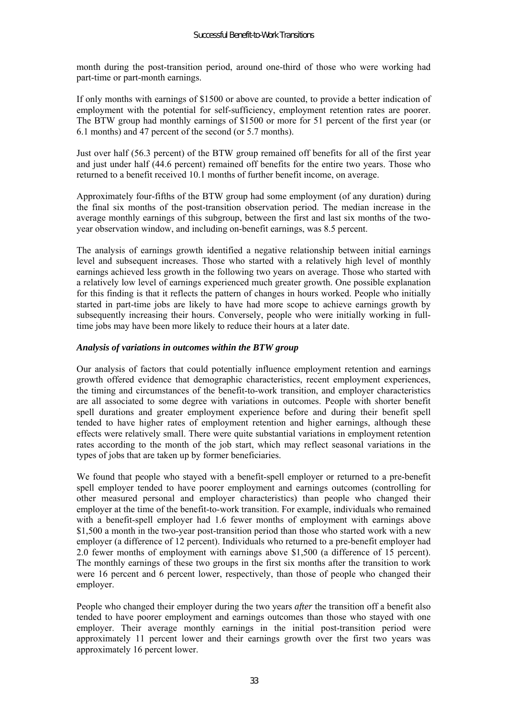month during the post-transition period, around one-third of those who were working had part-time or part-month earnings.

If only months with earnings of \$1500 or above are counted, to provide a better indication of employment with the potential for self-sufficiency, employment retention rates are poorer. The BTW group had monthly earnings of \$1500 or more for 51 percent of the first year (or 6.1 months) and 47 percent of the second (or 5.7 months).

Just over half (56.3 percent) of the BTW group remained off benefits for all of the first year and just under half (44.6 percent) remained off benefits for the entire two years. Those who returned to a benefit received 10.1 months of further benefit income, on average.

Approximately four-fifths of the BTW group had some employment (of any duration) during the final six months of the post-transition observation period. The median increase in the average monthly earnings of this subgroup, between the first and last six months of the twoyear observation window, and including on-benefit earnings, was 8.5 percent.

The analysis of earnings growth identified a negative relationship between initial earnings level and subsequent increases. Those who started with a relatively high level of monthly earnings achieved less growth in the following two years on average. Those who started with a relatively low level of earnings experienced much greater growth. One possible explanation for this finding is that it reflects the pattern of changes in hours worked. People who initially started in part-time jobs are likely to have had more scope to achieve earnings growth by subsequently increasing their hours. Conversely, people who were initially working in fulltime jobs may have been more likely to reduce their hours at a later date.

#### *Analysis of variations in outcomes within the BTW group*

Our analysis of factors that could potentially influence employment retention and earnings growth offered evidence that demographic characteristics, recent employment experiences, the timing and circumstances of the benefit-to-work transition, and employer characteristics are all associated to some degree with variations in outcomes. People with shorter benefit spell durations and greater employment experience before and during their benefit spell tended to have higher rates of employment retention and higher earnings, although these effects were relatively small. There were quite substantial variations in employment retention rates according to the month of the job start, which may reflect seasonal variations in the types of jobs that are taken up by former beneficiaries.

We found that people who stayed with a benefit-spell employer or returned to a pre-benefit spell employer tended to have poorer employment and earnings outcomes (controlling for other measured personal and employer characteristics) than people who changed their employer at the time of the benefit-to-work transition. For example, individuals who remained with a benefit-spell employer had 1.6 fewer months of employment with earnings above \$1,500 a month in the two-year post-transition period than those who started work with a new employer (a difference of 12 percent). Individuals who returned to a pre-benefit employer had 2.0 fewer months of employment with earnings above \$1,500 (a difference of 15 percent). The monthly earnings of these two groups in the first six months after the transition to work were 16 percent and 6 percent lower, respectively, than those of people who changed their employer.

People who changed their employer during the two years *after* the transition off a benefit also tended to have poorer employment and earnings outcomes than those who stayed with one employer. Their average monthly earnings in the initial post-transition period were approximately 11 percent lower and their earnings growth over the first two years was approximately 16 percent lower.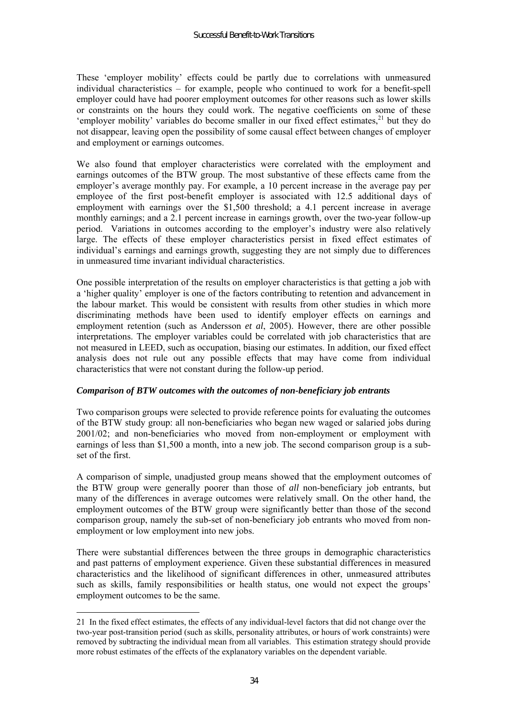These 'employer mobility' effects could be partly due to correlations with unmeasured individual characteristics  $-$  for example, people who continued to work for a benefit-spell employer could have had poorer employment outcomes for other reasons such as lower skills or constraints on the hours they could work. The negative coefficients on some of these 'employer mobility' variables do become smaller in our fixed effect estimates, $^{21}$  but they do not disappear, leaving open the possibility of some causal effect between changes of employer and employment or earnings outcomes.

We also found that employer characteristics were correlated with the employment and earnings outcomes of the BTW group. The most substantive of these effects came from the employer's average monthly pay. For example, a 10 percent increase in the average pay per employee of the first post-benefit employer is associated with 12.5 additional days of employment with earnings over the \$1,500 threshold; a 4.1 percent increase in average monthly earnings; and a 2.1 percent increase in earnings growth, over the two-year follow-up period. Variations in outcomes according to the employer's industry were also relatively large. The effects of these employer characteristics persist in fixed effect estimates of individual's earnings and earnings growth, suggesting they are not simply due to differences in unmeasured time invariant individual characteristics.

One possible interpretation of the results on employer characteristics is that getting a job with a 'higher quality' employer is one of the factors contributing to retention and advancement in the labour market. This would be consistent with results from other studies in which more discriminating methods have been used to identify employer effects on earnings and employment retention (such as Andersson *et al*, 2005). However, there are other possible interpretations. The employer variables could be correlated with job characteristics that are not measured in LEED, such as occupation, biasing our estimates. In addition, our fixed effect analysis does not rule out any possible effects that may have come from individual characteristics that were not constant during the follow-up period.

#### *Comparison of BTW outcomes with the outcomes of non-beneficiary job entrants*

Two comparison groups were selected to provide reference points for evaluating the outcomes of the BTW study group: all non-beneficiaries who began new waged or salaried jobs during 2001/02; and non-beneficiaries who moved from non-employment or employment with earnings of less than \$1,500 a month, into a new job. The second comparison group is a subset of the first.

A comparison of simple, unadjusted group means showed that the employment outcomes of the BTW group were generally poorer than those of *all* non-beneficiary job entrants, but many of the differences in average outcomes were relatively small. On the other hand, the employment outcomes of the BTW group were significantly better than those of the second comparison group, namely the sub-set of non-beneficiary job entrants who moved from nonemployment or low employment into new jobs.

There were substantial differences between the three groups in demographic characteristics and past patterns of employment experience. Given these substantial differences in measured characteristics and the likelihood of significant differences in other, unmeasured attributes such as skills, family responsibilities or health status, one would not expect the groups' employment outcomes to be the same.

 $\overline{a}$ 

<sup>21</sup> In the fixed effect estimates, the effects of any individual-level factors that did not change over the two-year post-transition period (such as skills, personality attributes, or hours of work constraints) were removed by subtracting the individual mean from all variables. This estimation strategy should provide more robust estimates of the effects of the explanatory variables on the dependent variable.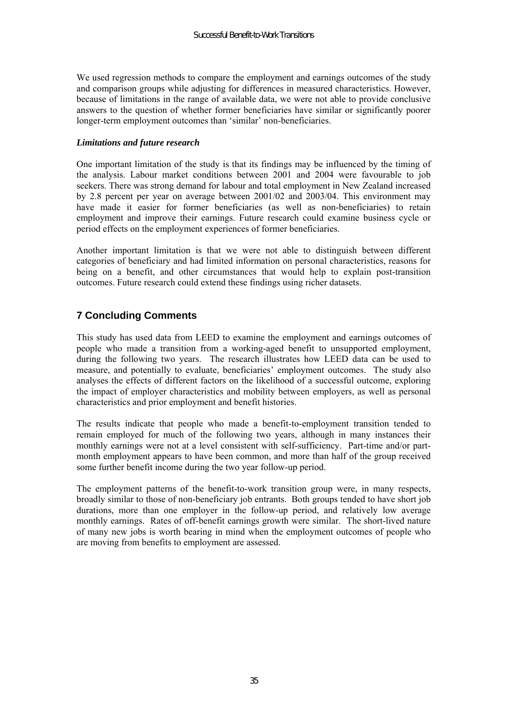We used regression methods to compare the employment and earnings outcomes of the study and comparison groups while adjusting for differences in measured characteristics. However, because of limitations in the range of available data, we were not able to provide conclusive answers to the question of whether former beneficiaries have similar or significantly poorer longer-term employment outcomes than 'similar' non-beneficiaries.

#### *Limitations and future research*

One important limitation of the study is that its findings may be influenced by the timing of the analysis. Labour market conditions between 2001 and 2004 were favourable to job seekers. There was strong demand for labour and total employment in New Zealand increased by 2.8 percent per year on average between 2001/02 and 2003/04. This environment may have made it easier for former beneficiaries (as well as non-beneficiaries) to retain employment and improve their earnings. Future research could examine business cycle or period effects on the employment experiences of former beneficiaries.

Another important limitation is that we were not able to distinguish between different categories of beneficiary and had limited information on personal characteristics, reasons for being on a benefit, and other circumstances that would help to explain post-transition outcomes. Future research could extend these findings using richer datasets.

# **7 Concluding Comments**

This study has used data from LEED to examine the employment and earnings outcomes of people who made a transition from a working-aged benefit to unsupported employment, during the following two years. The research illustrates how LEED data can be used to measure, and potentially to evaluate, beneficiaries' employment outcomes. The study also analyses the effects of different factors on the likelihood of a successful outcome, exploring the impact of employer characteristics and mobility between employers, as well as personal characteristics and prior employment and benefit histories.

The results indicate that people who made a benefit-to-employment transition tended to remain employed for much of the following two years, although in many instances their monthly earnings were not at a level consistent with self-sufficiency. Part-time and/or partmonth employment appears to have been common, and more than half of the group received some further benefit income during the two year follow-up period.

The employment patterns of the benefit-to-work transition group were, in many respects, broadly similar to those of non-beneficiary job entrants. Both groups tended to have short job durations, more than one employer in the follow-up period, and relatively low average monthly earnings. Rates of off-benefit earnings growth were similar. The short-lived nature of many new jobs is worth bearing in mind when the employment outcomes of people who are moving from benefits to employment are assessed.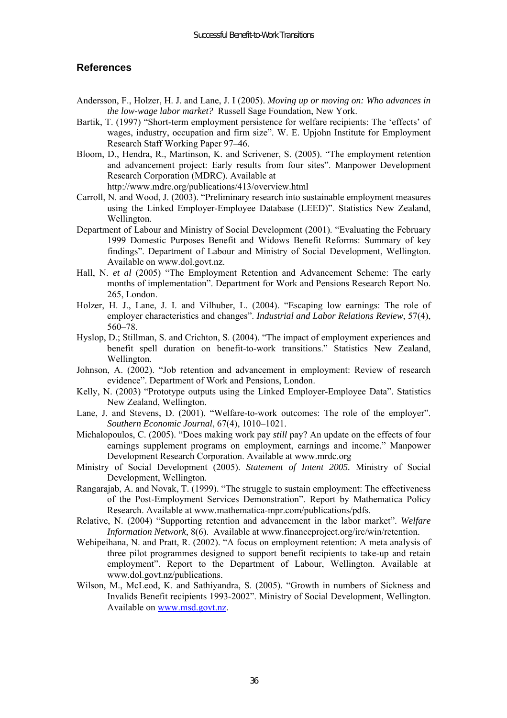# **References**

- Andersson, F., Holzer, H. J. and Lane, J. I (2005). *Moving up or moving on: Who advances in the low-wage labor market?* Russell Sage Foundation, New York.
- Bartik, T. (1997) "Short-term employment persistence for welfare recipients: The 'effects' of wages, industry, occupation and firm size". W. E. Upjohn Institute for Employment Research Staff Working Paper 97–46.
- Bloom, D., Hendra, R., Martinson, K. and Scrivener, S. (2005). "The employment retention and advancement project: Early results from four sites". Manpower Development Research Corporation (MDRC). Available at
	- http://www.mdrc.org/publications/413/overview.html
- Carroll, N. and Wood, J. (2003). "Preliminary research into sustainable employment measures using the Linked Employer-Employee Database (LEED)". Statistics New Zealand, Wellington.
- Department of Labour and Ministry of Social Development (2001). "Evaluating the February 1999 Domestic Purposes Benefit and Widows Benefit Reforms: Summary of key findingsî. Department of Labour and Ministry of Social Development, Wellington. Available on www.dol.govt.nz.
- Hall, N. *et al* (2005) "The Employment Retention and Advancement Scheme: The early months of implementationî. Department for Work and Pensions Research Report No. 265, London.
- Holzer, H. J., Lane, J. I. and Vilhuber, L. (2004). "Escaping low earnings: The role of employer characteristics and changes". *Industrial and Labor Relations Review*, 57(4), 560-78.
- Hyslop, D.; Stillman, S. and Crichton, S. (2004). "The impact of employment experiences and benefit spell duration on benefit-to-work transitions." Statistics New Zealand, Wellington.
- Johnson, A. (2002). "Job retention and advancement in employment: Review of research evidence". Department of Work and Pensions, London.
- Kelly, N. (2003) "Prototype outputs using the Linked Employer-Employee Data". Statistics New Zealand, Wellington.
- Lane, J. and Stevens, D. (2001). "Welfare-to-work outcomes: The role of the employer". *Southern Economic Journal*, 67(4), 1010-1021.
- Michalopoulos, C. (2005). "Does making work pay *still* pay? An update on the effects of four earnings supplement programs on employment, earnings and income." Manpower Development Research Corporation. Available at www.mrdc.org
- Ministry of Social Development (2005). *Statement of Intent 2005.* Ministry of Social Development, Wellington.
- Rangarajab, A. and Novak, T. (1999). "The struggle to sustain employment: The effectiveness of the Post-Employment Services Demonstrationî. Report by Mathematica Policy Research. Available at www.mathematica-mpr.com/publications/pdfs.
- Relative, N. (2004) "Supporting retention and advancement in the labor market". *Welfare Information Network*, 8(6). Available at www.financeproject.org/irc/win/retention.
- Wehipeihana, N. and Pratt, R. (2002). "A focus on employment retention: A meta analysis of three pilot programmes designed to support benefit recipients to take-up and retain employment". Report to the Department of Labour, Wellington. Available at www.dol.govt.nz/publications.
- Wilson, M., McLeod, K. and Sathiyandra, S. (2005). "Growth in numbers of Sickness and Invalids Benefit recipients 1993-2002î. Ministry of Social Development, Wellington. Available on www.msd.govt.nz.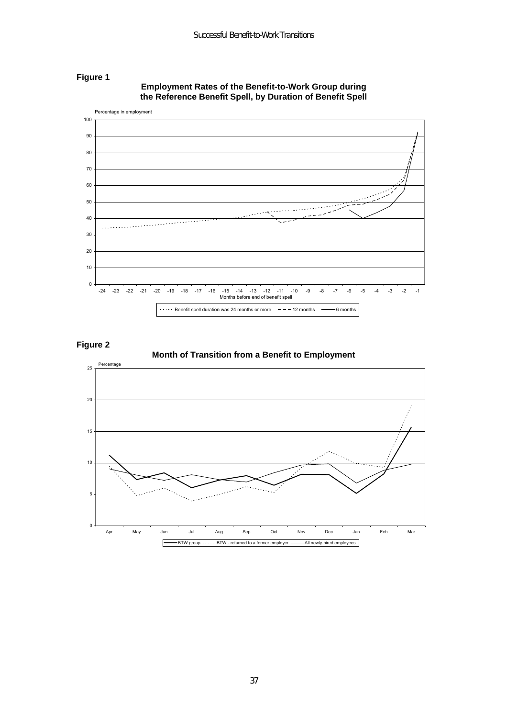

**Employment Rates of the Benefit-to-Work Group during the Reference Benefit Spell, by Duration of Benefit Spell** 

**Figure 2** 

**Figure 1** 

**Month of Transition from a Benefit to Employment** 

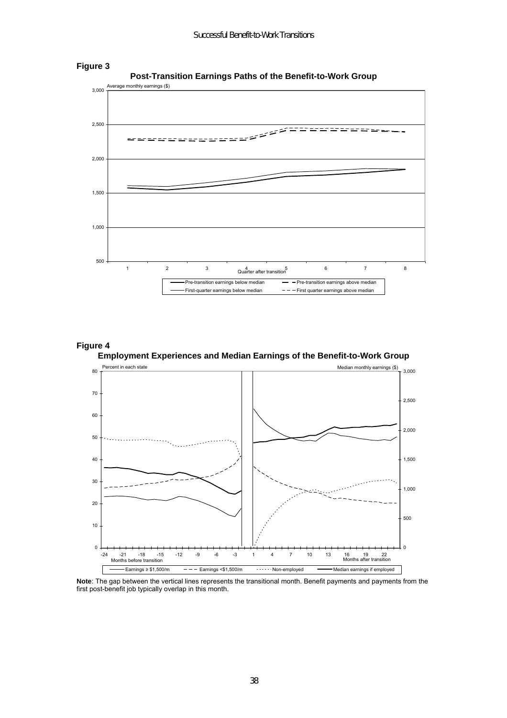



**Figure 3** 

### **Figure 4 Employment Experiences and Median Earnings of the Benefit-to-Work Group**



**Note**: The gap between the vertical lines represents the transitional month. Benefit payments and payments from the first post-benefit job typically overlap in this month.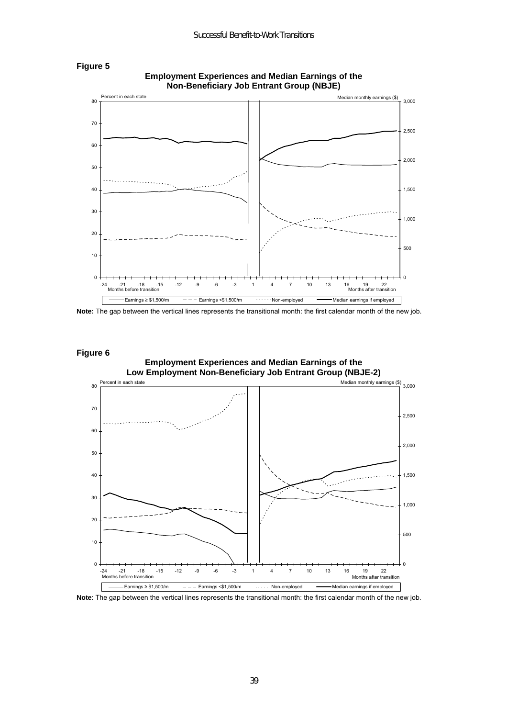

**Employment Experiences and Median Earnings of the Non-Beneficiary Job Entrant Group (NBJE)** 

**Note:** The gap between the vertical lines represents the transitional month: the first calendar month of the new job.



**Figure 5** 



**Note**: The gap between the vertical lines represents the transitional month: the first calendar month of the new job.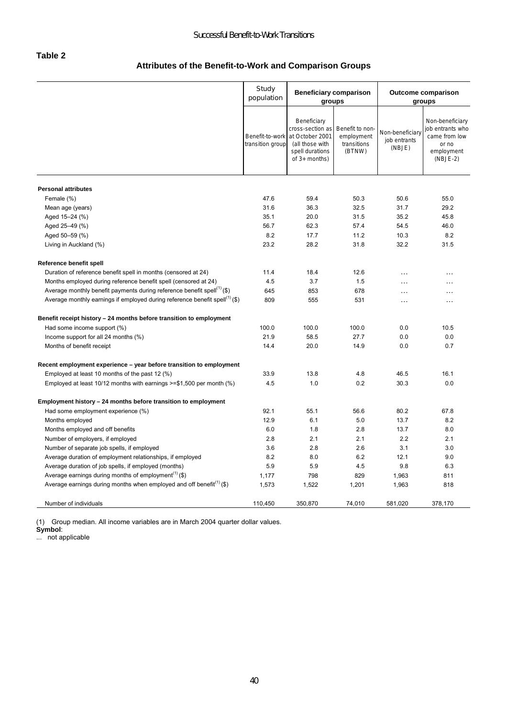#### **Table 2**

# **Attributes of the Benefit-to-Work and Comparison Groups**

|                                                                                         | Study<br>population                 | <b>Beneficiary comparison</b><br>groups                                                                     |                                                        | <b>Outcome comparison</b><br>groups       |                                                                                           |
|-----------------------------------------------------------------------------------------|-------------------------------------|-------------------------------------------------------------------------------------------------------------|--------------------------------------------------------|-------------------------------------------|-------------------------------------------------------------------------------------------|
|                                                                                         | Benefit-to-work<br>transition group | Beneficiary<br>cross-section as<br>at October 2001<br>(all those with<br>spell durations<br>of $3+$ months) | Benefit to non-<br>employment<br>transitions<br>(BTNW) | Non-beneficiary<br>job entrants<br>(NBJE) | Non-beneficiary<br>job entrants who<br>came from low<br>or no<br>employment<br>$(NBJE-2)$ |
| <b>Personal attributes</b>                                                              |                                     |                                                                                                             |                                                        |                                           |                                                                                           |
| Female (%)                                                                              | 47.6                                | 59.4                                                                                                        | 50.3                                                   | 50.6                                      | 55.0                                                                                      |
| Mean age (years)                                                                        | 31.6                                | 36.3                                                                                                        | 32.5                                                   | 31.7                                      | 29.2                                                                                      |
| Aged 15-24 (%)                                                                          | 35.1                                | 20.0                                                                                                        | 31.5                                                   | 35.2                                      | 45.8                                                                                      |
| Aged 25-49 (%)                                                                          | 56.7                                | 62.3                                                                                                        | 57.4                                                   | 54.5                                      | 46.0                                                                                      |
| Aged 50-59 (%)                                                                          | 8.2                                 | 17.7                                                                                                        | 11.2                                                   | 10.3                                      | 8.2                                                                                       |
| Living in Auckland (%)                                                                  | 23.2                                | 28.2                                                                                                        | 31.8                                                   | 32.2                                      | 31.5                                                                                      |
| Reference benefit spell                                                                 |                                     |                                                                                                             |                                                        |                                           |                                                                                           |
| Duration of reference benefit spell in months (censored at 24)                          | 11.4                                | 18.4                                                                                                        | 12.6                                                   | $\ddotsc$                                 | $\cdots$                                                                                  |
| Months employed during reference benefit spell (censored at 24)                         | 4.5                                 | 3.7                                                                                                         | 1.5                                                    | $\cdots$                                  | $\ddotsc$                                                                                 |
| Average monthly benefit payments during reference benefit spell <sup>(1)</sup> (\$)     | 645                                 | 853                                                                                                         | 678                                                    | $\cdot$                                   | $\cdots$                                                                                  |
| Average monthly earnings if employed during reference benefit spell <sup>(1)</sup> (\$) | 809                                 | 555                                                                                                         | 531                                                    | $\ddotsc$                                 | $\cdots$                                                                                  |
| Benefit receipt history - 24 months before transition to employment                     |                                     |                                                                                                             |                                                        |                                           |                                                                                           |
| Had some income support (%)                                                             | 100.0                               | 100.0                                                                                                       | 100.0                                                  | 0.0                                       | 10.5                                                                                      |
| Income support for all 24 months (%)                                                    | 21.9                                | 58.5                                                                                                        | 27.7                                                   | 0.0                                       | 0.0                                                                                       |
| Months of benefit receipt                                                               | 14.4                                | 20.0                                                                                                        | 14.9                                                   | 0.0                                       | 0.7                                                                                       |
| Recent employment experience – year before transition to employment                     |                                     |                                                                                                             |                                                        |                                           |                                                                                           |
| Employed at least 10 months of the past 12 (%)                                          | 33.9                                | 13.8                                                                                                        | 4.8                                                    | 46.5                                      | 16.1                                                                                      |
| Employed at least 10/12 months with earnings $\ge$ =\$1,500 per month (%)               | 4.5                                 | 1.0                                                                                                         | 0.2                                                    | 30.3                                      | 0.0                                                                                       |
| Employment history - 24 months before transition to employment                          |                                     |                                                                                                             |                                                        |                                           |                                                                                           |
| Had some employment experience (%)                                                      | 92.1                                | 55.1                                                                                                        | 56.6                                                   | 80.2                                      | 67.8                                                                                      |
| Months employed                                                                         | 12.9                                | 6.1                                                                                                         | 5.0                                                    | 13.7                                      | 8.2                                                                                       |
| Months employed and off benefits                                                        | 6.0                                 | 1.8                                                                                                         | 2.8                                                    | 13.7                                      | 8.0                                                                                       |
| Number of employers, if employed                                                        | 2.8                                 | 2.1                                                                                                         | 2.1                                                    | 2.2                                       | 2.1                                                                                       |
| Number of separate job spells, if employed                                              | 3.6                                 | 2.8                                                                                                         | 2.6                                                    | 3.1                                       | 3.0                                                                                       |
| Average duration of employment relationships, if employed                               | 8.2                                 | 8.0                                                                                                         | 6.2                                                    | 12.1                                      | 9.0                                                                                       |
| Average duration of job spells, if employed (months)                                    | 5.9                                 | 5.9                                                                                                         | 4.5                                                    | 9.8                                       | 6.3                                                                                       |
| Average earnings during months of employment <sup>(1)</sup> (\$)                        | 1,177                               | 798                                                                                                         | 829                                                    | 1,963                                     | 811                                                                                       |
| Average earnings during months when employed and off benefit <sup>(1)</sup> (\$)        | 1,573                               | 1,522                                                                                                       | 1,201                                                  | 1,963                                     | 818                                                                                       |
| Number of individuals                                                                   | 110,450                             | 350,870                                                                                                     | 74,010                                                 | 581,020                                   | 378,170                                                                                   |

(1) Group median. All income variables are in March 2004 quarter dollar values.

**Symbol**:

... not applicable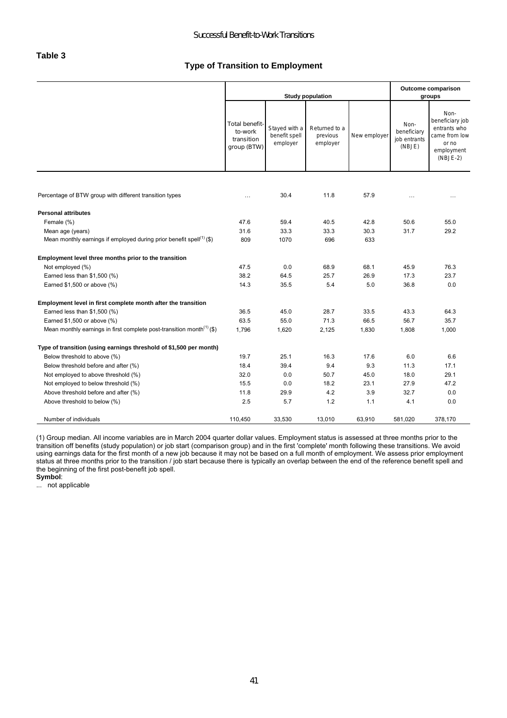#### **Type of Transition to Employment**

|                                                                                   |                                                        |                                            | <b>Study population</b>               |              | Outcome comparison<br>groups                  |                                                                                               |  |
|-----------------------------------------------------------------------------------|--------------------------------------------------------|--------------------------------------------|---------------------------------------|--------------|-----------------------------------------------|-----------------------------------------------------------------------------------------------|--|
|                                                                                   | Total benefit-<br>to-work<br>transition<br>group (BTW) | Stayed with a<br>benefit spell<br>employer | Returned to a<br>previous<br>employer | New employer | Non-<br>beneficiary<br>job entrants<br>(NBJE) | Non-<br>beneficiary job<br>entrants who<br>came from low<br>or no<br>employment<br>$(NBJE-2)$ |  |
|                                                                                   |                                                        |                                            |                                       |              |                                               |                                                                                               |  |
| Percentage of BTW group with different transition types                           | $\cdots$                                               | 30.4                                       | 11.8                                  | 57.9         | $\cdots$                                      | $\cdots$                                                                                      |  |
| <b>Personal attributes</b>                                                        |                                                        |                                            |                                       |              |                                               |                                                                                               |  |
| Female (%)                                                                        | 47.6                                                   | 59.4                                       | 40.5                                  | 42.8         | 50.6                                          | 55.0                                                                                          |  |
| Mean age (years)                                                                  | 31.6                                                   | 33.3                                       | 33.3                                  | 30.3         | 31.7                                          | 29.2                                                                                          |  |
| Mean monthly earnings if employed during prior benefit spell <sup>(1)</sup> (\$)  | 809                                                    | 1070                                       | 696                                   | 633          |                                               |                                                                                               |  |
| Employment level three months prior to the transition                             |                                                        |                                            |                                       |              |                                               |                                                                                               |  |
| Not employed (%)                                                                  | 47.5                                                   | 0.0                                        | 68.9                                  | 68.1         | 45.9                                          | 76.3                                                                                          |  |
| Earned less than \$1,500 (%)                                                      | 38.2                                                   | 64.5                                       | 25.7                                  | 26.9         | 17.3                                          | 23.7                                                                                          |  |
| Earned \$1,500 or above (%)                                                       | 14.3                                                   | 35.5                                       | 5.4                                   | 5.0          | 36.8                                          | 0.0                                                                                           |  |
| Employment level in first complete month after the transition                     |                                                        |                                            |                                       |              |                                               |                                                                                               |  |
| Earned less than \$1,500 (%)                                                      | 36.5                                                   | 45.0                                       | 28.7                                  | 33.5         | 43.3                                          | 64.3                                                                                          |  |
| Earned \$1,500 or above (%)                                                       | 63.5                                                   | 55.0                                       | 71.3                                  | 66.5         | 56.7                                          | 35.7                                                                                          |  |
| Mean monthly earnings in first complete post-transition month <sup>(1)</sup> (\$) | 1,796                                                  | 1,620                                      | 2,125                                 | 1,830        | 1,808                                         | 1,000                                                                                         |  |
| Type of transition (using earnings threshold of \$1,500 per month)                |                                                        |                                            |                                       |              |                                               |                                                                                               |  |
| Below threshold to above (%)                                                      | 19.7                                                   | 25.1                                       | 16.3                                  | 17.6         | 6.0                                           | 6.6                                                                                           |  |
| Below threshold before and after (%)                                              | 18.4                                                   | 39.4                                       | 9.4                                   | 9.3          | 11.3                                          | 17.1                                                                                          |  |
| Not employed to above threshold (%)                                               | 32.0                                                   | 0.0                                        | 50.7                                  | 45.0         | 18.0                                          | 29.1                                                                                          |  |
| Not employed to below threshold (%)                                               | 15.5                                                   | 0.0                                        | 18.2                                  | 23.1         | 27.9                                          | 47.2                                                                                          |  |
| Above threshold before and after (%)                                              | 11.8                                                   | 29.9                                       | 4.2                                   | 3.9          | 32.7                                          | 0.0                                                                                           |  |
| Above threshold to below (%)                                                      | 2.5                                                    | 5.7                                        | 1.2                                   | 1.1          | 4.1                                           | 0.0                                                                                           |  |
| Number of individuals                                                             | 110,450                                                | 33,530                                     | 13,010                                | 63,910       | 581,020                                       | 378,170                                                                                       |  |

(1) Group median. All income variables are in March 2004 quarter dollar values. Employment status is assessed at three months prior to the transition off benefits (study population) or job start (comparison group) and in the first 'complete' month following these transitions. We avoid using earnings data for the first month of a new job because it may not be based on a full month of employment. We assess prior employment status at three months prior to the transition / job start because there is typically an overlap between the end of the reference benefit spell and the beginning of the first post-benefit job spell.

**Symbol**: ... not applicable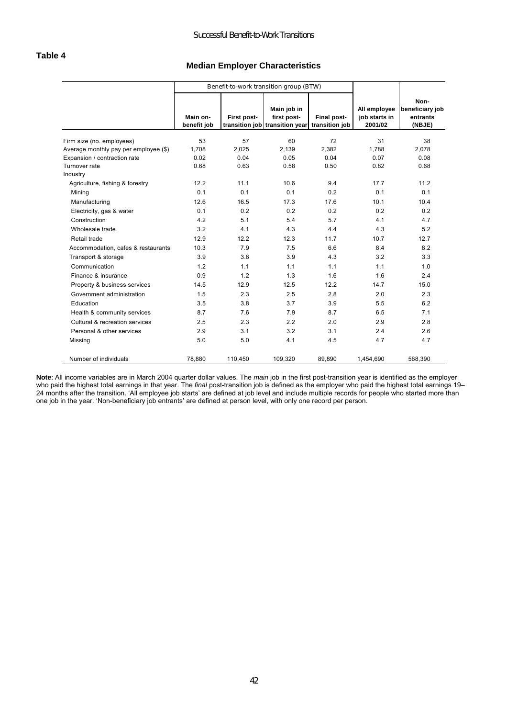#### **Median Employer Characteristics**

|                                                                       |                         | Benefit-to-work transition group (BTW) |                                                                             |             |                                          |                                               |
|-----------------------------------------------------------------------|-------------------------|----------------------------------------|-----------------------------------------------------------------------------|-------------|------------------------------------------|-----------------------------------------------|
|                                                                       | Main on-<br>benefit job | First post-                            | Main job in<br>first post-<br>transition job transition year transition job | Final post- | All employee<br>job starts in<br>2001/02 | Non-<br>beneficiary job<br>entrants<br>(NBJE) |
|                                                                       |                         |                                        |                                                                             |             |                                          |                                               |
| Firm size (no. employees)                                             | 53<br>1.708             | 57<br>2.025                            | 60<br>2.139                                                                 | 72<br>2.382 | 31<br>1.788                              | 38<br>2.078                                   |
| Average monthly pay per employee (\$)<br>Expansion / contraction rate | 0.02                    | 0.04                                   | 0.05                                                                        | 0.04        | 0.07                                     | 0.08                                          |
| Turnover rate                                                         | 0.68                    | 0.63                                   | 0.58                                                                        | 0.50        | 0.82                                     | 0.68                                          |
| Industry                                                              |                         |                                        |                                                                             |             |                                          |                                               |
| Agriculture, fishing & forestry                                       | 12.2                    | 11.1                                   | 10.6                                                                        | 9.4         | 17.7                                     | 11.2                                          |
| Mining                                                                | 0.1                     | 0.1                                    | 0.1                                                                         | 0.2         | 0.1                                      | 0.1                                           |
| Manufacturing                                                         | 12.6                    | 16.5                                   | 17.3                                                                        | 17.6        | 10.1                                     | 10.4                                          |
| Electricity, gas & water                                              | 0.1                     | 0.2                                    | 0.2                                                                         | 0.2         | 0.2                                      | 0.2                                           |
| Construction                                                          | 4.2                     | 5.1                                    | 5.4                                                                         | 5.7         | 4.1                                      | 4.7                                           |
| Wholesale trade                                                       | 3.2                     | 4.1                                    | 4.3                                                                         | 4.4         | 4.3                                      | 5.2                                           |
| Retail trade                                                          | 12.9                    | 12.2                                   | 12.3                                                                        | 11.7        | 10.7                                     | 12.7                                          |
| Accommodation, cafes & restaurants                                    | 10.3                    | 7.9                                    | 7.5                                                                         | 6.6         | 8.4                                      | 8.2                                           |
| Transport & storage                                                   | 3.9                     | 3.6                                    | 3.9                                                                         | 4.3         | 3.2                                      | 3.3                                           |
| Communication                                                         | 1.2                     | 1.1                                    | 1.1                                                                         | 1.1         | 1.1                                      | 1.0                                           |
| Finance & insurance                                                   | 0.9                     | 1.2                                    | 1.3                                                                         | 1.6         | 1.6                                      | 2.4                                           |
| Property & business services                                          | 14.5                    | 12.9                                   | 12.5                                                                        | 12.2        | 14.7                                     | 15.0                                          |
| Government administration                                             | 1.5                     | 2.3                                    | 2.5                                                                         | 2.8         | 2.0                                      | 2.3                                           |
| Education                                                             | 3.5                     | 3.8                                    | 3.7                                                                         | 3.9         | 5.5                                      | 6.2                                           |
| Health & community services                                           | 8.7                     | 7.6                                    | 7.9                                                                         | 8.7         | 6.5                                      | 7.1                                           |
| Cultural & recreation services                                        | 2.5                     | 2.3                                    | 2.2                                                                         | 2.0         | 2.9                                      | 2.8                                           |
| Personal & other services                                             | 2.9                     | 3.1                                    | 3.2                                                                         | 3.1         | 2.4                                      | 2.6                                           |
| Missing                                                               | 5.0                     | 5.0                                    | 4.1                                                                         | 4.5         | 4.7                                      | 4.7                                           |
| Number of individuals                                                 | 78,880                  | 110,450                                | 109,320                                                                     | 89.890      | 1,454,690                                | 568,390                                       |

**Note**: All income variables are in March 2004 quarter dollar values. The *main* job in the first post-transition year is identified as the employer who paid the highest total earnings in that year. The *final* post-transition job is defined as the employer who paid the highest total earnings 19– 24 months after the transition. 'All employee job starts' are defined at job level and include multiple records for people who started more than one job in the year. 'Non-beneficiary job entrants' are defined at person level, with only one record per person.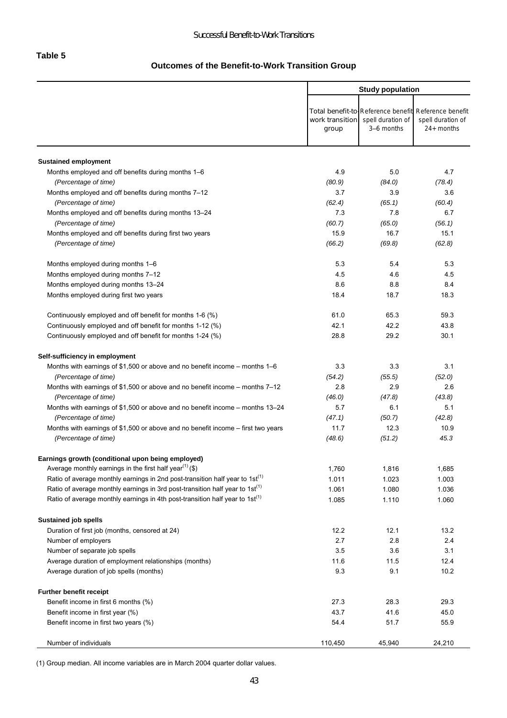# **Outcomes of the Benefit-to-Work Transition Group**

|                                                                                          |                          | <b>Study population</b>         |                                                                                           |  |
|------------------------------------------------------------------------------------------|--------------------------|---------------------------------|-------------------------------------------------------------------------------------------|--|
|                                                                                          | work transition<br>group | spell duration of<br>3-6 months | Total benefit-to-Reference benefit Reference benefit<br>spell duration of<br>$24+$ months |  |
| <b>Sustained employment</b>                                                              |                          |                                 |                                                                                           |  |
| Months employed and off benefits during months 1-6                                       | 4.9                      | 5.0                             | 4.7                                                                                       |  |
| (Percentage of time)                                                                     | (80.9)                   | (84.0)                          | (78.4)                                                                                    |  |
| Months employed and off benefits during months 7-12                                      | 3.7                      | 3.9                             | 3.6                                                                                       |  |
| (Percentage of time)                                                                     | (62.4)                   | (65.1)                          | (60.4)                                                                                    |  |
| Months employed and off benefits during months 13-24                                     | 7.3                      | 7.8                             | 6.7                                                                                       |  |
| (Percentage of time)                                                                     | (60.7)                   | (65.0)                          | (56.1)                                                                                    |  |
| Months employed and off benefits during first two years                                  | 15.9                     | 16.7                            | 15.1                                                                                      |  |
| (Percentage of time)                                                                     | (66.2)                   | (69.8)                          | (62.8)                                                                                    |  |
| Months employed during months 1-6                                                        | 5.3                      | 5.4                             | 5.3                                                                                       |  |
| Months employed during months 7-12                                                       | 4.5                      | 4.6                             | 4.5                                                                                       |  |
| Months employed during months 13-24                                                      | 8.6                      | 8.8                             | 8.4                                                                                       |  |
| Months employed during first two years                                                   | 18.4                     | 18.7                            | 18.3                                                                                      |  |
| Continuously employed and off benefit for months 1-6 (%)                                 | 61.0                     | 65.3                            | 59.3                                                                                      |  |
| Continuously employed and off benefit for months 1-12 (%)                                | 42.1                     | 42.2                            | 43.8                                                                                      |  |
| Continuously employed and off benefit for months 1-24 (%)                                | 28.8                     | 29.2                            | 30.1                                                                                      |  |
| Self-sufficiency in employment                                                           |                          |                                 |                                                                                           |  |
| Months with earnings of \$1,500 or above and no benefit income – months $1-6$            | 3.3                      | 3.3                             | 3.1                                                                                       |  |
| (Percentage of time)                                                                     | (54.2)                   | (55.5)                          | (52.0)                                                                                    |  |
| Months with earnings of \$1,500 or above and no benefit income – months $7-12$           | 2.8                      | 2.9                             | 2.6                                                                                       |  |
| (Percentage of time)                                                                     | (46.0)                   | (47.8)                          | (43.8)                                                                                    |  |
| Months with earnings of \$1,500 or above and no benefit income – months 13–24            | 5.7                      | 6.1                             | 5.1                                                                                       |  |
| (Percentage of time)                                                                     | (47.1)                   | (50.7)                          | (42.8)                                                                                    |  |
| Months with earnings of \$1,500 or above and no benefit income $-$ first two years       | 11.7                     | 12.3                            | 10.9                                                                                      |  |
| (Percentage of time)                                                                     | (48.6)                   | (51.2)                          | 45.3                                                                                      |  |
| Earnings growth (conditional upon being employed)                                        |                          |                                 |                                                                                           |  |
| Average monthly earnings in the first half year <sup>(1)</sup> (\$)                      | 1,760                    | 1,816                           | 1,685                                                                                     |  |
| Ratio of average monthly earnings in 2nd post-transition half year to 1st <sup>(1)</sup> | 1.011                    | 1.023                           | 1.003                                                                                     |  |
| Ratio of average monthly earnings in 3rd post-transition half year to 1st <sup>(1)</sup> | 1.061                    | 1.080                           | 1.036                                                                                     |  |
| Ratio of average monthly earnings in 4th post-transition half year to 1st <sup>(1)</sup> | 1.085                    | 1.110                           | 1.060                                                                                     |  |
| Sustained job spells                                                                     |                          |                                 |                                                                                           |  |
| Duration of first job (months, censored at 24)                                           | 12.2                     | 12.1                            | 13.2                                                                                      |  |
| Number of employers                                                                      | 2.7                      | 2.8                             | 2.4                                                                                       |  |
| Number of separate job spells                                                            | 3.5                      | 3.6                             | 3.1                                                                                       |  |
| Average duration of employment relationships (months)                                    | 11.6                     | 11.5                            | 12.4                                                                                      |  |
| Average duration of job spells (months)                                                  | 9.3                      | 9.1                             | 10.2                                                                                      |  |
| Further benefit receipt                                                                  |                          |                                 |                                                                                           |  |
| Benefit income in first 6 months (%)                                                     | 27.3                     | 28.3                            | 29.3                                                                                      |  |
| Benefit income in first year (%)                                                         | 43.7                     | 41.6                            | 45.0                                                                                      |  |
| Benefit income in first two years (%)                                                    | 54.4                     | 51.7                            | 55.9                                                                                      |  |
| Number of individuals                                                                    | 110,450                  | 45,940                          | 24,210                                                                                    |  |

(1) Group median. All income variables are in March 2004 quarter dollar values.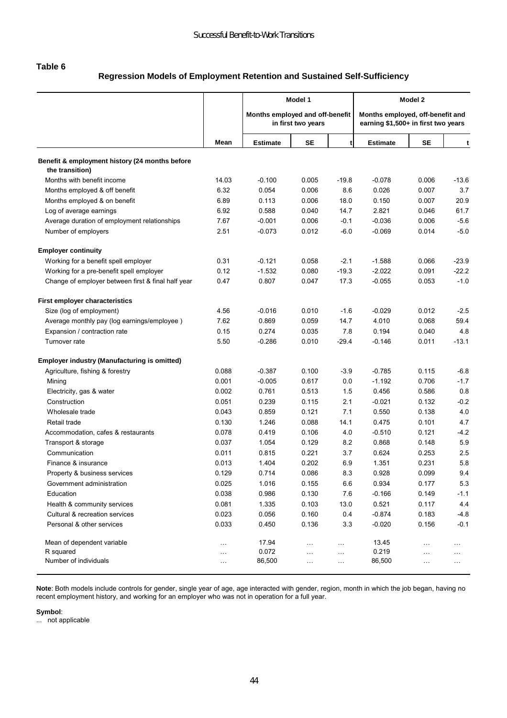#### **Table 6**

# **Regression Models of Employment Retention and Sustained Self-Sufficiency**

|                                                                   |          | Model 1                         |                    |           | Model 2                                                                 |           |          |  |
|-------------------------------------------------------------------|----------|---------------------------------|--------------------|-----------|-------------------------------------------------------------------------|-----------|----------|--|
|                                                                   |          | Months employed and off-benefit | in first two years |           | Months employed, off-benefit and<br>earning \$1,500+ in first two years |           |          |  |
|                                                                   | Mean     | <b>Estimate</b>                 | <b>SE</b>          | t         | <b>Estimate</b>                                                         | <b>SE</b> | t        |  |
| Benefit & employment history (24 months before<br>the transition) |          |                                 |                    |           |                                                                         |           |          |  |
| Months with benefit income                                        | 14.03    | $-0.100$                        | 0.005              | $-19.8$   | $-0.078$                                                                | 0.006     | -13.6    |  |
| Months employed & off benefit                                     | 6.32     | 0.054                           | 0.006              | 8.6       | 0.026                                                                   | 0.007     | 3.7      |  |
| Months employed & on benefit                                      | 6.89     | 0.113                           | 0.006              | 18.0      | 0.150                                                                   | 0.007     | 20.9     |  |
| Log of average earnings                                           | 6.92     | 0.588                           | 0.040              | 14.7      | 2.821                                                                   | 0.046     | 61.7     |  |
| Average duration of employment relationships                      | 7.67     | $-0.001$                        | 0.006              | $-0.1$    | $-0.036$                                                                | 0.006     | $-5.6$   |  |
| Number of employers                                               | 2.51     | $-0.073$                        | 0.012              | $-6.0$    | $-0.069$                                                                | 0.014     | $-5.0$   |  |
| <b>Employer continuity</b>                                        |          |                                 |                    |           |                                                                         |           |          |  |
| Working for a benefit spell employer                              | 0.31     | $-0.121$                        | 0.058              | $-2.1$    | $-1.588$                                                                | 0.066     | $-23.9$  |  |
| Working for a pre-benefit spell employer                          | 0.12     | $-1.532$                        | 0.080              | $-19.3$   | $-2.022$                                                                | 0.091     | $-22.2$  |  |
| Change of employer between first & final half year                | 0.47     | 0.807                           | 0.047              | 17.3      | $-0.055$                                                                | 0.053     | $-1.0$   |  |
| First employer characteristics                                    |          |                                 |                    |           |                                                                         |           |          |  |
| Size (log of employment)                                          | 4.56     | $-0.016$                        | 0.010              | $-1.6$    | $-0.029$                                                                | 0.012     | $-2.5$   |  |
| Average monthly pay (log earnings/employee)                       | 7.62     | 0.869                           | 0.059              | 14.7      | 4.010                                                                   | 0.068     | 59.4     |  |
| Expansion / contraction rate                                      | 0.15     | 0.274                           | 0.035              | 7.8       | 0.194                                                                   | 0.040     | 4.8      |  |
| Turnover rate                                                     | 5.50     | $-0.286$                        | 0.010              | $-29.4$   | $-0.146$                                                                | 0.011     | $-13.1$  |  |
| <b>Employer industry (Manufacturing is omitted)</b>               |          |                                 |                    |           |                                                                         |           |          |  |
| Agriculture, fishing & forestry                                   | 0.088    | $-0.387$                        | 0.100              | $-3.9$    | $-0.785$                                                                | 0.115     | $-6.8$   |  |
| Mining                                                            | 0.001    | $-0.005$                        | 0.617              | 0.0       | $-1.192$                                                                | 0.706     | $-1.7$   |  |
| Electricity, gas & water                                          | 0.002    | 0.761                           | 0.513              | 1.5       | 0.456                                                                   | 0.586     | 0.8      |  |
| Construction                                                      | 0.051    | 0.239                           | 0.115              | 2.1       | $-0.021$                                                                | 0.132     | $-0.2$   |  |
| Wholesale trade                                                   | 0.043    | 0.859                           | 0.121              | 7.1       | 0.550                                                                   | 0.138     | 4.0      |  |
| Retail trade                                                      | 0.130    | 1.246                           | 0.088              | 14.1      | 0.475                                                                   | 0.101     | 4.7      |  |
| Accommodation, cafes & restaurants                                | 0.078    | 0.419                           | 0.106              | 4.0       | $-0.510$                                                                | 0.121     | $-4.2$   |  |
| Transport & storage                                               | 0.037    | 1.054                           | 0.129              | 8.2       | 0.868                                                                   | 0.148     | 5.9      |  |
| Communication                                                     | 0.011    | 0.815                           | 0.221              | 3.7       | 0.624                                                                   | 0.253     | 2.5      |  |
| Finance & insurance                                               | 0.013    | 1.404                           | 0.202              | 6.9       | 1.351                                                                   | 0.231     | 5.8      |  |
| Property & business services                                      | 0.129    | 0.714                           | 0.086              | 8.3       | 0.928                                                                   | 0.099     | 9.4      |  |
| Government administration                                         | 0.025    | 1.016                           | 0.155              | 6.6       | 0.934                                                                   | 0.177     | 5.3      |  |
| Education                                                         | 0.038    | 0.986                           | 0.130              | 7.6       | $-0.166$                                                                | 0.149     | $-1.1$   |  |
| Health & community services                                       | 0.081    | 1.335                           | 0.103              | 13.0      | 0.521                                                                   | 0.117     | 4.4      |  |
| Cultural & recreation services                                    | 0.023    | 0.056                           | 0.160              | 0.4       | $-0.874$                                                                | 0.183     | $-4.8$   |  |
| Personal & other services                                         | 0.033    | 0.450                           | 0.136              | 3.3       | $-0.020$                                                                | 0.156     | $-0.1$   |  |
| Mean of dependent variable                                        |          | 17.94                           | $\ldots$           | $\ldots$  | 13.45                                                                   | $\cdots$  | $\cdots$ |  |
| R squared                                                         | $\cdots$ | 0.072                           | $\sim$ .           | $\ldots$  | 0.219                                                                   | $\ldots$  | $\ldots$ |  |
| Number of individuals                                             |          | 86,500                          | $\sim$ .           | $\ddotsc$ | 86,500                                                                  | $\ldots$  | $\cdots$ |  |

**Note**: Both models include controls for gender, single year of age, age interacted with gender, region, month in which the job began, having no recent employment history, and working for an employer who was not in operation for a full year.

**Symbol**:

... not applicable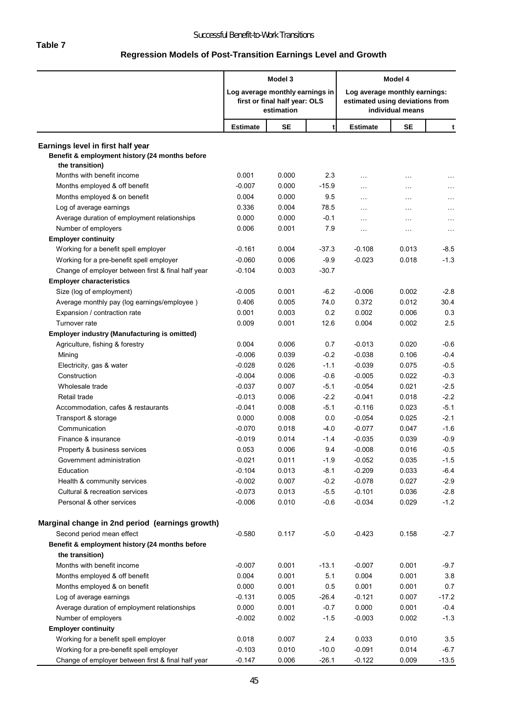# **Regression Models of Post-Transition Earnings Level and Growth**

|                                                                                                        | Model 3                         |                                             | Model 4 |                                                                  |                  |               |
|--------------------------------------------------------------------------------------------------------|---------------------------------|---------------------------------------------|---------|------------------------------------------------------------------|------------------|---------------|
|                                                                                                        | Log average monthly earnings in | first or final half year: OLS<br>estimation |         | Log average monthly earnings:<br>estimated using deviations from | individual means |               |
|                                                                                                        | <b>Estimate</b>                 | <b>SE</b>                                   | t       | <b>Estimate</b>                                                  | <b>SE</b>        | t             |
| Earnings level in first half year<br>Benefit & employment history (24 months before<br>the transition) |                                 |                                             |         |                                                                  |                  |               |
| Months with benefit income                                                                             | 0.001                           | 0.000                                       | 2.3     | $\cdots$                                                         | .                | $\sim$ $\sim$ |
| Months employed & off benefit                                                                          | $-0.007$                        | 0.000                                       | $-15.9$ | $\ddotsc$                                                        | .                | $\cdots$      |
| Months employed & on benefit                                                                           | 0.004                           | 0.000                                       | 9.5     | $\ddotsc$                                                        | $\ddotsc$        | $\sim$ .      |
| Log of average earnings                                                                                | 0.336                           | 0.004                                       | 78.5    | $\cdots$                                                         | $\cdots$         | $\cdots$      |
| Average duration of employment relationships                                                           | 0.000                           | 0.000                                       | $-0.1$  | $\cdots$                                                         | .                | .             |
| Number of employers                                                                                    | 0.006                           | 0.001                                       | 7.9     | $\ddotsc$                                                        | $\ddotsc$        | $\sim$ .      |
| <b>Employer continuity</b>                                                                             |                                 |                                             |         |                                                                  |                  |               |
| Working for a benefit spell employer                                                                   | $-0.161$                        | 0.004                                       | $-37.3$ | $-0.108$                                                         | 0.013            | $-8.5$        |
| Working for a pre-benefit spell employer                                                               | $-0.060$                        | 0.006                                       | $-9.9$  | $-0.023$                                                         | 0.018            | $-1.3$        |
| Change of employer between first & final half year                                                     | $-0.104$                        | 0.003                                       | $-30.7$ |                                                                  |                  |               |
| <b>Employer characteristics</b>                                                                        |                                 |                                             |         |                                                                  |                  |               |
| Size (log of employment)                                                                               | $-0.005$                        | 0.001                                       | $-6.2$  | $-0.006$                                                         | 0.002            | $-2.8$        |
| Average monthly pay (log earnings/employee)                                                            | 0.406                           | 0.005                                       | 74.0    | 0.372                                                            | 0.012            | 30.4          |
| Expansion / contraction rate                                                                           | 0.001                           | 0.003                                       | 0.2     | 0.002                                                            | 0.006            | 0.3           |
| Turnover rate                                                                                          | 0.009                           | 0.001                                       | 12.6    | 0.004                                                            | 0.002            | 2.5           |
| Employer industry (Manufacturing is omitted)                                                           |                                 |                                             |         |                                                                  |                  |               |
| Agriculture, fishing & forestry                                                                        | 0.004                           | 0.006                                       | 0.7     | $-0.013$                                                         | 0.020            | $-0.6$        |
| Mining                                                                                                 | $-0.006$                        | 0.039                                       | $-0.2$  | $-0.038$                                                         | 0.106            | $-0.4$        |
| Electricity, gas & water                                                                               | $-0.028$                        | 0.026                                       | $-1.1$  | $-0.039$                                                         | 0.075            | $-0.5$        |
| Construction                                                                                           | $-0.004$                        | 0.006                                       | $-0.6$  | $-0.005$                                                         | 0.022            | $-0.3$        |
| Wholesale trade                                                                                        | $-0.037$                        | 0.007                                       | $-5.1$  | $-0.054$                                                         | 0.021            | $-2.5$        |
| Retail trade                                                                                           | $-0.013$                        | 0.006                                       | $-2.2$  | $-0.041$                                                         | 0.018            | $-2.2$        |
| Accommodation, cafes & restaurants                                                                     | $-0.041$                        | 0.008                                       | $-5.1$  | $-0.116$                                                         | 0.023            | $-5.1$        |
| Transport & storage                                                                                    | 0.000                           | 0.008                                       | 0.0     | $-0.054$                                                         | 0.025            | $-2.1$        |
| Communication                                                                                          | $-0.070$                        | 0.018                                       | $-4.0$  | $-0.077$                                                         | 0.047            | $-1.6$        |
| Finance & insurance                                                                                    | $-0.019$                        | 0.014                                       | $-1.4$  | $-0.035$                                                         | 0.039            | $-0.9$        |
| Property & business services                                                                           | 0.053                           | 0.006                                       | 9.4     | $-0.008$                                                         | 0.016            | $-0.5$        |
| Government administration                                                                              | $-0.021$                        | 0.011                                       | $-1.9$  | $-0.052$                                                         | 0.035            | $-1.5$        |
| Education                                                                                              | $-0.104$                        | 0.013                                       | $-8.1$  | $-0.209$                                                         | 0.033            | $-6.4$        |
| Health & community services                                                                            | $-0.002$                        | 0.007                                       | $-0.2$  | $-0.078$                                                         | 0.027            | $-2.9$        |
| Cultural & recreation services                                                                         | $-0.073$                        | 0.013                                       | $-5.5$  | $-0.101$                                                         | 0.036            | $-2.8$        |
| Personal & other services                                                                              | $-0.006$                        | 0.010                                       | $-0.6$  | $-0.034$                                                         | 0.029            | $-1.2$        |
| Marginal change in 2nd period (earnings growth)                                                        |                                 |                                             |         |                                                                  |                  |               |
| Second period mean effect                                                                              | $-0.580$                        | 0.117                                       | $-5.0$  | $-0.423$                                                         | 0.158            | $-2.7$        |
| Benefit & employment history (24 months before                                                         |                                 |                                             |         |                                                                  |                  |               |
| the transition)                                                                                        |                                 |                                             |         |                                                                  |                  |               |
| Months with benefit income                                                                             | $-0.007$                        | 0.001                                       | $-13.1$ | $-0.007$                                                         | 0.001            | $-9.7$        |
| Months employed & off benefit                                                                          | 0.004                           | 0.001                                       | 5.1     | 0.004                                                            | 0.001            | 3.8           |
| Months employed & on benefit                                                                           | 0.000                           | 0.001                                       | 0.5     | 0.001                                                            | 0.001            | 0.7           |
| Log of average earnings                                                                                | $-0.131$                        | 0.005                                       | $-26.4$ | $-0.121$                                                         | 0.007            | $-17.2$       |
| Average duration of employment relationships                                                           | 0.000                           | 0.001                                       | $-0.7$  | 0.000                                                            | 0.001            | $-0.4$        |
| Number of employers                                                                                    | $-0.002$                        | 0.002                                       | $-1.5$  | $-0.003$                                                         | 0.002            | $-1.3$        |
| <b>Employer continuity</b>                                                                             |                                 |                                             |         |                                                                  |                  |               |
| Working for a benefit spell employer                                                                   | 0.018                           | 0.007                                       | 2.4     | 0.033                                                            | 0.010            | 3.5           |
| Working for a pre-benefit spell employer                                                               | $-0.103$                        | 0.010                                       | $-10.0$ | $-0.091$                                                         | 0.014            | $-6.7$        |
| Change of employer between first & final half year                                                     | $-0.147$                        | 0.006                                       | $-26.1$ | $-0.122$                                                         | 0.009            | $-13.5$       |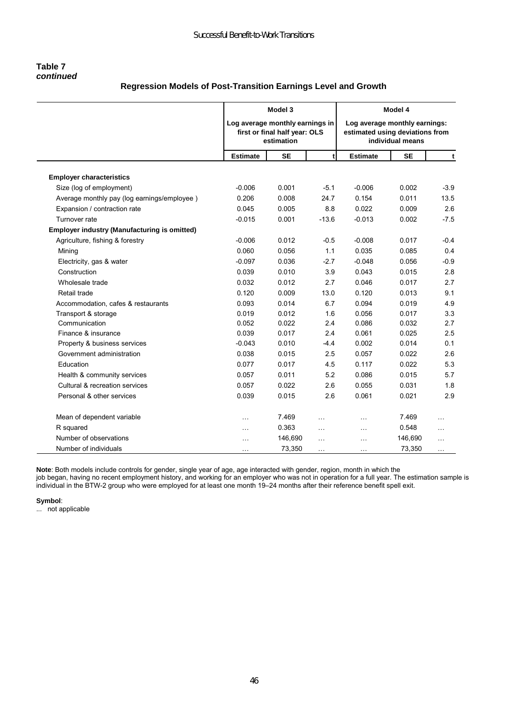#### **Table 7**  *continued*

# **Regression Models of Post-Transition Earnings Level and Growth**

|                                                     |                 | Model 3<br>Log average monthly earnings in<br>first or final half year: OLS<br>estimation |                |                 | Model 4<br>Log average monthly earnings:<br>estimated using deviations from<br>individual means |          |  |
|-----------------------------------------------------|-----------------|-------------------------------------------------------------------------------------------|----------------|-----------------|-------------------------------------------------------------------------------------------------|----------|--|
|                                                     | <b>Estimate</b> | <b>SE</b>                                                                                 |                | <b>Estimate</b> | <b>SE</b>                                                                                       | t        |  |
| <b>Employer characteristics</b>                     |                 |                                                                                           |                |                 |                                                                                                 |          |  |
| Size (log of employment)                            | $-0.006$        | 0.001                                                                                     | $-5.1$         | $-0.006$        | 0.002                                                                                           | $-3.9$   |  |
| Average monthly pay (log earnings/employee)         | 0.206           | 0.008                                                                                     | 24.7           | 0.154           | 0.011                                                                                           | 13.5     |  |
| Expansion / contraction rate                        | 0.045           | 0.005                                                                                     | 8.8            | 0.022           | 0.009                                                                                           | 2.6      |  |
| Turnover rate                                       | $-0.015$        | 0.001                                                                                     | $-13.6$        | $-0.013$        | 0.002                                                                                           | $-7.5$   |  |
| <b>Employer industry (Manufacturing is omitted)</b> |                 |                                                                                           |                |                 |                                                                                                 |          |  |
| Agriculture, fishing & forestry                     | $-0.006$        | 0.012                                                                                     | $-0.5$         | $-0.008$        | 0.017                                                                                           | $-0.4$   |  |
| Mining                                              | 0.060           | 0.056                                                                                     | 1.1            | 0.035           | 0.085                                                                                           | 0.4      |  |
| Electricity, gas & water                            | $-0.097$        | 0.036                                                                                     | $-2.7$         | $-0.048$        | 0.056                                                                                           | $-0.9$   |  |
| Construction                                        | 0.039           | 0.010                                                                                     | 3.9            | 0.043           | 0.015                                                                                           | 2.8      |  |
| Wholesale trade                                     | 0.032           | 0.012                                                                                     | 2.7            | 0.046           | 0.017                                                                                           | 2.7      |  |
| Retail trade                                        | 0.120           | 0.009                                                                                     | 13.0           | 0.120           | 0.013                                                                                           | 9.1      |  |
| Accommodation, cafes & restaurants                  | 0.093           | 0.014                                                                                     | 6.7            | 0.094           | 0.019                                                                                           | 4.9      |  |
| Transport & storage                                 | 0.019           | 0.012                                                                                     | 1.6            | 0.056           | 0.017                                                                                           | 3.3      |  |
| Communication                                       | 0.052           | 0.022                                                                                     | 2.4            | 0.086           | 0.032                                                                                           | 2.7      |  |
| Finance & insurance                                 | 0.039           | 0.017                                                                                     | 2.4            | 0.061           | 0.025                                                                                           | 2.5      |  |
| Property & business services                        | $-0.043$        | 0.010                                                                                     | $-4.4$         | 0.002           | 0.014                                                                                           | 0.1      |  |
| Government administration                           | 0.038           | 0.015                                                                                     | 2.5            | 0.057           | 0.022                                                                                           | 2.6      |  |
| Education                                           | 0.077           | 0.017                                                                                     | 4.5            | 0.117           | 0.022                                                                                           | 5.3      |  |
| Health & community services                         | 0.057           | 0.011                                                                                     | 5.2            | 0.086           | 0.015                                                                                           | 5.7      |  |
| Cultural & recreation services                      | 0.057           | 0.022                                                                                     | 2.6            | 0.055           | 0.031                                                                                           | 1.8      |  |
| Personal & other services                           | 0.039           | 0.015                                                                                     | 2.6            | 0.061           | 0.021                                                                                           | 2.9      |  |
| Mean of dependent variable                          | .               | 7.469                                                                                     | $\overline{a}$ | $\ddotsc$       | 7.469                                                                                           | $\cdots$ |  |
| R squared                                           | .               | 0.363                                                                                     | .              | .               | 0.548                                                                                           | .        |  |
| Number of observations                              | $\cdots$        | 146,690                                                                                   | $\ddotsc$      | .               | 146,690                                                                                         | .        |  |
| Number of individuals                               | $\cdots$        | 73,350                                                                                    | $\ddotsc$      | .               | 73,350                                                                                          | .        |  |

**Note**: Both models include controls for gender, single year of age, age interacted with gender, region, month in which the job began, having no recent employment history, and working for an employer who was not in operation for a full year. The estimation sample is

individual in the BTW-2 group who were employed for at least one month 19–24 months after their reference benefit spell exit.

**Symbol**:

... not applicable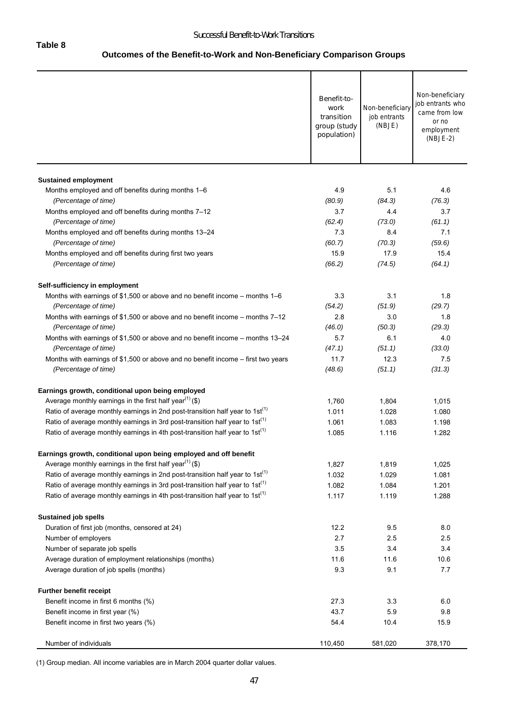# **Outcomes of the Benefit-to-Work and Non-Beneficiary Comparison Groups**

|                                                                                          | Benefit-to-<br>work<br>transition<br>group (study<br>population) | Non-beneficiary<br>job entrants<br>(NBJE) | Non-beneficiary<br>job entrants who<br>came from low<br>or no<br>employment<br>$(NBJE-2)$ |
|------------------------------------------------------------------------------------------|------------------------------------------------------------------|-------------------------------------------|-------------------------------------------------------------------------------------------|
|                                                                                          |                                                                  |                                           |                                                                                           |
| <b>Sustained employment</b><br>Months employed and off benefits during months 1–6        | 4.9                                                              | 5.1                                       | 4.6                                                                                       |
| (Percentage of time)                                                                     | (80.9)                                                           | (84.3)                                    | (76.3)                                                                                    |
| Months employed and off benefits during months 7-12                                      | 3.7                                                              | 4.4                                       | 3.7                                                                                       |
| (Percentage of time)                                                                     | (62.4)                                                           | (73.0)                                    | (61.1)                                                                                    |
| Months employed and off benefits during months 13-24                                     | 7.3                                                              | 8.4                                       | 7.1                                                                                       |
| (Percentage of time)                                                                     | (60.7)                                                           | (70.3)                                    | (59.6)                                                                                    |
| Months employed and off benefits during first two years                                  | 15.9                                                             | 17.9                                      | 15.4                                                                                      |
| (Percentage of time)                                                                     | (66.2)                                                           | (74.5)                                    | (64.1)                                                                                    |
| Self-sufficiency in employment                                                           |                                                                  |                                           |                                                                                           |
| Months with earnings of \$1,500 or above and no benefit income – months $1-6$            | 3.3                                                              | 3.1                                       | 1.8                                                                                       |
| (Percentage of time)                                                                     | (54.2)                                                           | (51.9)                                    | (29.7)                                                                                    |
| Months with earnings of \$1,500 or above and no benefit income - months 7-12             | 2.8                                                              | 3.0                                       | 1.8                                                                                       |
| (Percentage of time)                                                                     | (46.0)                                                           | (50.3)                                    | (29.3)                                                                                    |
| Months with earnings of \$1,500 or above and no benefit income - months 13-24            | 5.7                                                              | 6.1                                       | 4.0                                                                                       |
| (Percentage of time)                                                                     | (47.1)                                                           | (51.1)                                    | (33.0)                                                                                    |
| Months with earnings of \$1,500 or above and no benefit income - first two years         | 11.7                                                             | 12.3                                      | 7.5                                                                                       |
| (Percentage of time)                                                                     | (48.6)                                                           | (51.1)                                    | (31.3)                                                                                    |
| Earnings growth, conditional upon being employed                                         |                                                                  |                                           |                                                                                           |
| Average monthly earnings in the first half year <sup>(1)</sup> (\$)                      | 1,760                                                            | 1,804                                     | 1,015                                                                                     |
| Ratio of average monthly earnings in 2nd post-transition half year to 1st <sup>(1)</sup> | 1.011                                                            | 1.028                                     | 1.080                                                                                     |
| Ratio of average monthly earnings in 3rd post-transition half year to 1st <sup>(1)</sup> | 1.061                                                            | 1.083                                     | 1.198                                                                                     |
| Ratio of average monthly earnings in 4th post-transition half year to $1st^{(1)}$        | 1.085                                                            | 1.116                                     | 1.282                                                                                     |
| Earnings growth, conditional upon being employed and off benefit                         |                                                                  |                                           |                                                                                           |
| Average monthly earnings in the first half year <sup>(1)</sup> (\$)                      | 1,827                                                            | 1,819                                     | 1,025                                                                                     |
| Ratio of average monthly earnings in 2nd post-transition half year to 1st <sup>(1)</sup> | 1.032                                                            | 1.029                                     | 1.081                                                                                     |
| Ratio of average monthly earnings in 3rd post-transition half year to 1st <sup>(1)</sup> | 1.082                                                            | 1.084                                     | 1.201                                                                                     |
| Ratio of average monthly earnings in 4th post-transition half year to 1st <sup>(1)</sup> | 1.117                                                            | 1.119                                     | 1.288                                                                                     |
| <b>Sustained job spells</b>                                                              |                                                                  |                                           |                                                                                           |
| Duration of first job (months, censored at 24)                                           | 12.2                                                             | 9.5                                       | 8.0                                                                                       |
| Number of employers                                                                      | 2.7                                                              | 2.5                                       | 2.5                                                                                       |
| Number of separate job spells                                                            | 3.5                                                              | 3.4                                       | 3.4                                                                                       |
| Average duration of employment relationships (months)                                    | 11.6                                                             | 11.6                                      | 10.6                                                                                      |
| Average duration of job spells (months)                                                  | 9.3                                                              | 9.1                                       | 7.7                                                                                       |
| Further benefit receipt                                                                  |                                                                  |                                           |                                                                                           |
| Benefit income in first 6 months (%)                                                     | 27.3                                                             | 3.3                                       | 6.0                                                                                       |
| Benefit income in first year (%)                                                         | 43.7                                                             | 5.9                                       | 9.8                                                                                       |
| Benefit income in first two years (%)                                                    | 54.4                                                             | 10.4                                      | 15.9                                                                                      |
| Number of individuals                                                                    | 110,450                                                          | 581,020                                   | 378,170                                                                                   |

(1) Group median. All income variables are in March 2004 quarter dollar values.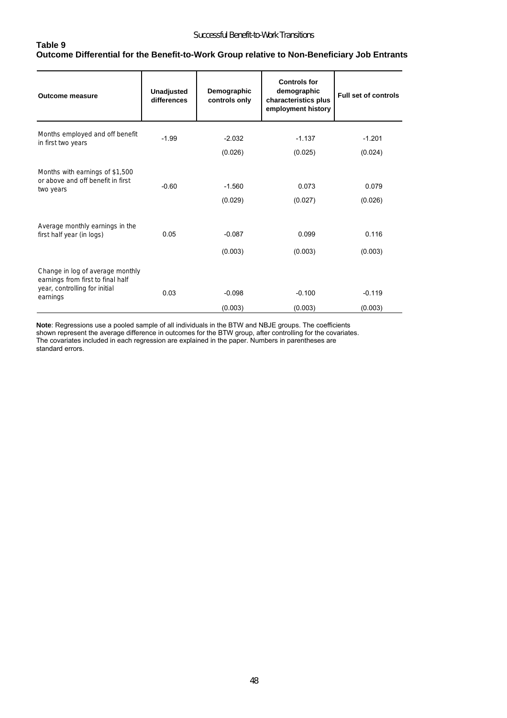### **Table 9 Outcome Differential for the Benefit-to-Work Group relative to Non-Beneficiary Job Entrants**

| <b>Outcome measure</b>                                                                                             | <b>Unadjusted</b><br>differences | Demographic<br>controls only | <b>Controls for</b><br>demographic<br>characteristics plus<br>employment history | <b>Full set of controls</b> |
|--------------------------------------------------------------------------------------------------------------------|----------------------------------|------------------------------|----------------------------------------------------------------------------------|-----------------------------|
| Months employed and off benefit<br>in first two years                                                              | $-1.99$                          | $-2.032$                     | $-1.137$                                                                         | $-1.201$                    |
|                                                                                                                    |                                  | (0.026)                      | (0.025)                                                                          | (0.024)                     |
| Months with earnings of \$1,500<br>or above and off benefit in first<br>two years                                  | $-0.60$                          | $-1.560$                     | 0.073                                                                            | 0.079                       |
|                                                                                                                    |                                  | (0.029)                      | (0.027)                                                                          | (0.026)                     |
| Average monthly earnings in the<br>first half year (in logs)                                                       | 0.05                             | $-0.087$<br>(0.003)          | 0.099<br>(0.003)                                                                 | 0.116<br>(0.003)            |
| Change in log of average monthly<br>earnings from first to final half<br>year, controlling for initial<br>earnings | 0.03                             | $-0.098$                     | $-0.100$                                                                         | $-0.119$                    |
|                                                                                                                    |                                  | (0.003)                      | (0.003)                                                                          | (0.003)                     |

**Note**: Regressions use a pooled sample of all individuals in the BTW and NBJE groups. The coefficients shown represent the average difference in outcomes for the BTW group, after controlling for the covariates. The covariates included in each regression are explained in the paper. Numbers in parentheses are standard errors.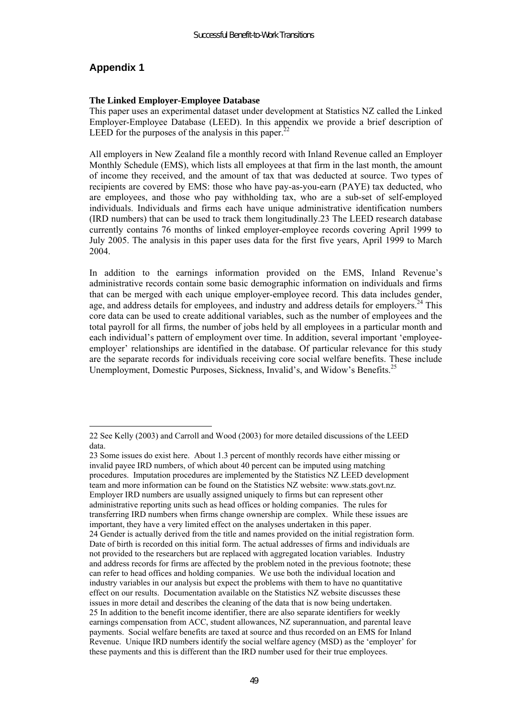# **Appendix 1**

 $\overline{a}$ 

#### **The Linked Employer-Employee Database**

This paper uses an experimental dataset under development at Statistics NZ called the Linked Employer-Employee Database (LEED). In this appendix we provide a brief description of LEED for the purposes of the analysis in this paper.<sup>22</sup>

All employers in New Zealand file a monthly record with Inland Revenue called an Employer Monthly Schedule (EMS), which lists all employees at that firm in the last month, the amount of income they received, and the amount of tax that was deducted at source. Two types of recipients are covered by EMS: those who have pay-as-you-earn (PAYE) tax deducted, who are employees, and those who pay withholding tax, who are a sub-set of self-employed individuals. Individuals and firms each have unique administrative identification numbers (IRD numbers) that can be used to track them longitudinally.23 The LEED research database currently contains 76 months of linked employer-employee records covering April 1999 to July 2005. The analysis in this paper uses data for the first five years, April 1999 to March 2004.

In addition to the earnings information provided on the EMS, Inland Revenue's administrative records contain some basic demographic information on individuals and firms that can be merged with each unique employer-employee record. This data includes gender, age, and address details for employees, and industry and address details for employers.<sup>24</sup> This core data can be used to create additional variables, such as the number of employees and the total payroll for all firms, the number of jobs held by all employees in a particular month and each individual's pattern of employment over time. In addition, several important 'employeeemployer' relationships are identified in the database. Of particular relevance for this study are the separate records for individuals receiving core social welfare benefits. These include Unemployment, Domestic Purposes, Sickness, Invalid's, and Widow's Benefits.<sup>25</sup>

<sup>22</sup> See Kelly (2003) and Carroll and Wood (2003) for more detailed discussions of the LEED data.

<sup>23</sup> Some issues do exist here. About 1.3 percent of monthly records have either missing or invalid payee IRD numbers, of which about 40 percent can be imputed using matching procedures. Imputation procedures are implemented by the Statistics NZ LEED development team and more information can be found on the Statistics NZ website: www.stats.govt.nz. Employer IRD numbers are usually assigned uniquely to firms but can represent other administrative reporting units such as head offices or holding companies. The rules for transferring IRD numbers when firms change ownership are complex. While these issues are important, they have a very limited effect on the analyses undertaken in this paper. 24 Gender is actually derived from the title and names provided on the initial registration form. Date of birth is recorded on this initial form. The actual addresses of firms and individuals are not provided to the researchers but are replaced with aggregated location variables. Industry and address records for firms are affected by the problem noted in the previous footnote; these can refer to head offices and holding companies. We use both the individual location and industry variables in our analysis but expect the problems with them to have no quantitative effect on our results. Documentation available on the Statistics NZ website discusses these issues in more detail and describes the cleaning of the data that is now being undertaken. 25 In addition to the benefit income identifier, there are also separate identifiers for weekly earnings compensation from ACC, student allowances, NZ superannuation, and parental leave payments. Social welfare benefits are taxed at source and thus recorded on an EMS for Inland Revenue. Unique IRD numbers identify the social welfare agency (MSD) as the 'employer' for these payments and this is different than the IRD number used for their true employees.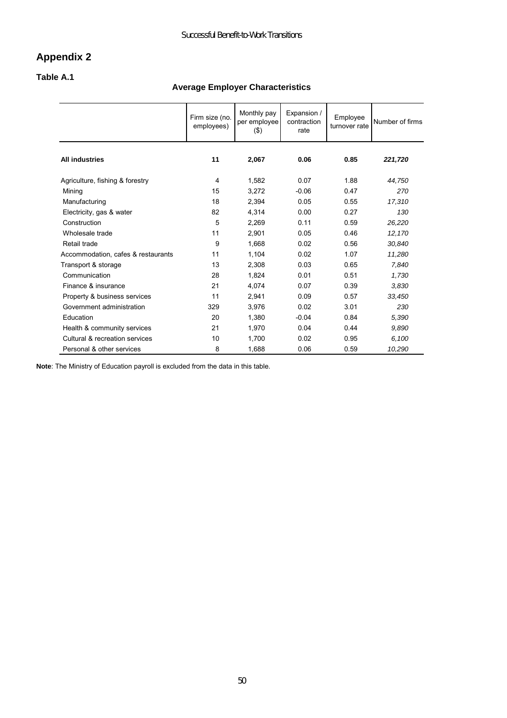# **Appendix 2**

#### **Table A.1**

# **Average Employer Characteristics**

|                                    | Firm size (no.<br>employees) | Monthly pay<br>per employee<br>$($ \$) | Expansion /<br>contraction<br>rate | Employee<br>turnover rate | Number of firms |
|------------------------------------|------------------------------|----------------------------------------|------------------------------------|---------------------------|-----------------|
| <b>All industries</b>              | 11                           | 2,067                                  | 0.06                               | 0.85                      | 221,720         |
| Agriculture, fishing & forestry    | 4                            | 1,582                                  | 0.07                               | 1.88                      | 44,750          |
| Mining                             | 15                           | 3,272                                  | $-0.06$                            | 0.47                      | 270             |
| Manufacturing                      | 18                           | 2,394                                  | 0.05                               | 0.55                      | 17,310          |
| Electricity, gas & water           | 82                           | 4,314                                  | 0.00                               | 0.27                      | 130             |
| Construction                       | 5                            | 2,269                                  | 0.11                               | 0.59                      | 26,220          |
| Wholesale trade                    | 11                           | 2,901                                  | 0.05                               | 0.46                      | 12,170          |
| Retail trade                       | 9                            | 1,668                                  | 0.02                               | 0.56                      | 30,840          |
| Accommodation, cafes & restaurants | 11                           | 1,104                                  | 0.02                               | 1.07                      | 11,280          |
| Transport & storage                | 13                           | 2,308                                  | 0.03                               | 0.65                      | 7,840           |
| Communication                      | 28                           | 1,824                                  | 0.01                               | 0.51                      | 1,730           |
| Finance & insurance                | 21                           | 4,074                                  | 0.07                               | 0.39                      | 3,830           |
| Property & business services       | 11                           | 2,941                                  | 0.09                               | 0.57                      | 33,450          |
| Government administration          | 329                          | 3,976                                  | 0.02                               | 3.01                      | 230             |
| Education                          | 20                           | 1,380                                  | $-0.04$                            | 0.84                      | 5,390           |
| Health & community services        | 21                           | 1,970                                  | 0.04                               | 0.44                      | 9,890           |
| Cultural & recreation services     | 10                           | 1,700                                  | 0.02                               | 0.95                      | 6,100           |
| Personal & other services          | 8                            | 1,688                                  | 0.06                               | 0.59                      | 10,290          |

**Note**: The Ministry of Education payroll is excluded from the data in this table.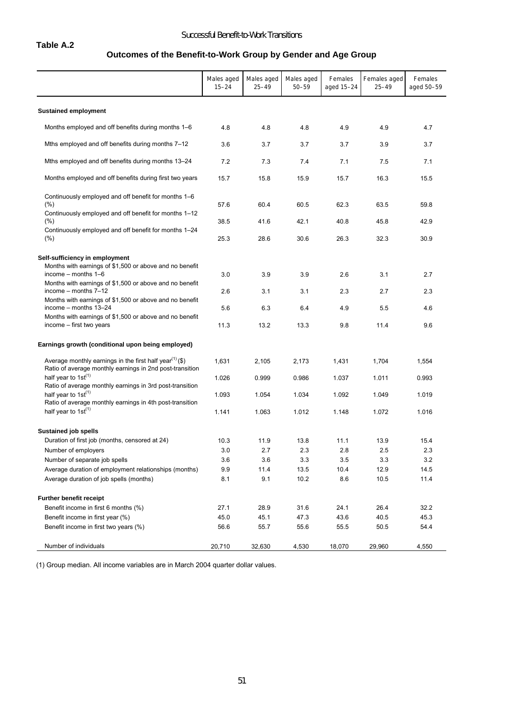# **Table A.2**

#### Successful Benefit-to-Work Transitions

# **Outcomes of the Benefit-to-Work Group by Gender and Age Group**

|                                                                                                                                                                     | Males aged<br>$15 - 24$ | Males aged<br>$25 - 49$ | Males aged<br>$50 - 59$ | Females<br>aged 15-24 | Females aged<br>$25 - 49$ | Females<br>aged 50-59 |
|---------------------------------------------------------------------------------------------------------------------------------------------------------------------|-------------------------|-------------------------|-------------------------|-----------------------|---------------------------|-----------------------|
| <b>Sustained employment</b>                                                                                                                                         |                         |                         |                         |                       |                           |                       |
| Months employed and off benefits during months 1–6                                                                                                                  | 4.8                     | 4.8                     | 4.8                     | 4.9                   | 4.9                       | 4.7                   |
| Mths employed and off benefits during months 7–12                                                                                                                   | 3.6                     | 3.7                     | 3.7                     | 3.7                   | 3.9                       | 3.7                   |
| Mths employed and off benefits during months 13–24                                                                                                                  | 7.2                     | 7.3                     | 7.4                     | 7.1                   | 7.5                       | 7.1                   |
| Months employed and off benefits during first two years                                                                                                             | 15.7                    | 15.8                    | 15.9                    | 15.7                  | 16.3                      | 15.5                  |
| Continuously employed and off benefit for months 1-6<br>$(\%)$<br>Continuously employed and off benefit for months 1–12                                             | 57.6                    | 60.4                    | 60.5                    | 62.3                  | 63.5                      | 59.8                  |
| $(\% )$                                                                                                                                                             | 38.5                    | 41.6                    | 42.1                    | 40.8                  | 45.8                      | 42.9                  |
| Continuously employed and off benefit for months 1–24<br>$(\%)$                                                                                                     | 25.3                    | 28.6                    | 30.6                    | 26.3                  | 32.3                      | 30.9                  |
| Self-sufficiency in employment                                                                                                                                      |                         |                         |                         |                       |                           |                       |
| Months with earnings of \$1,500 or above and no benefit<br>income $-$ months $1-6$                                                                                  | 3.0                     | 3.9                     | 3.9                     | 2.6                   | 3.1                       | 2.7                   |
| Months with earnings of \$1,500 or above and no benefit<br>income - months 7-12<br>Months with earnings of \$1,500 or above and no benefit<br>income - months 13-24 | 2.6                     | 3.1                     | 3.1                     | 2.3                   | 2.7                       | 2.3                   |
|                                                                                                                                                                     | 5.6                     | 6.3                     | 6.4                     | 4.9                   | 5.5                       | 4.6                   |
| Months with earnings of \$1,500 or above and no benefit<br>income – first two years                                                                                 | 11.3                    | 13.2                    | 13.3                    | 9.8                   | 11.4                      | 9.6                   |
| Earnings growth (conditional upon being employed)                                                                                                                   |                         |                         |                         |                       |                           |                       |
| Average monthly earnings in the first half year <sup>(1)</sup> (\$)<br>Ratio of average monthly earnings in 2nd post-transition                                     | 1,631                   | 2,105                   | 2,173                   | 1,431                 | 1,704                     | 1,554                 |
| half year to $1st^{(1)}$<br>Ratio of average monthly earnings in 3rd post-transition                                                                                | 1.026                   | 0.999                   | 0.986                   | 1.037                 | 1.011                     | 0.993                 |
| half year to $1st^{(1)}$<br>Ratio of average monthly earnings in 4th post-transition                                                                                | 1.093                   | 1.054                   | 1.034                   | 1.092                 | 1.049                     | 1.019                 |
| half year to $1st^{(1)}$                                                                                                                                            | 1.141                   | 1.063                   | 1.012                   | 1.148                 | 1.072                     | 1.016                 |
| <b>Sustained job spells</b>                                                                                                                                         |                         |                         |                         |                       |                           |                       |
| Duration of first job (months, censored at 24)                                                                                                                      | 10.3                    | 11.9                    | 13.8                    | 11.1                  | 13.9                      | 15.4                  |
| Number of employers                                                                                                                                                 | 3.0                     | 2.7                     | 2.3                     | 2.8                   | 2.5                       | 2.3                   |
| Number of separate job spells                                                                                                                                       | 3.6                     | 3.6                     | 3.3                     | 3.5                   | 3.3                       | 3.2                   |
| Average duration of employment relationships (months)                                                                                                               | 9.9                     | 11.4                    | 13.5                    | 10.4                  | 12.9                      | 14.5                  |
| Average duration of job spells (months)                                                                                                                             | 8.1                     | 9.1                     | 10.2                    | 8.6                   | 10.5                      | 11.4                  |
| <b>Further benefit receipt</b>                                                                                                                                      |                         |                         |                         |                       |                           |                       |
| Benefit income in first 6 months (%)                                                                                                                                | 27.1                    | 28.9                    | 31.6                    | 24.1                  | 26.4                      | 32.2                  |
| Benefit income in first year (%)                                                                                                                                    | 45.0                    | 45.1                    | 47.3                    | 43.6                  | 40.5                      | 45.3                  |
| Benefit income in first two years (%)                                                                                                                               | 56.6                    | 55.7                    | 55.6                    | 55.5                  | 50.5                      | 54.4                  |
| Number of individuals                                                                                                                                               | 20,710                  | 32,630                  | 4,530                   | 18,070                | 29,960                    | 4,550                 |

(1) Group median. All income variables are in March 2004 quarter dollar values.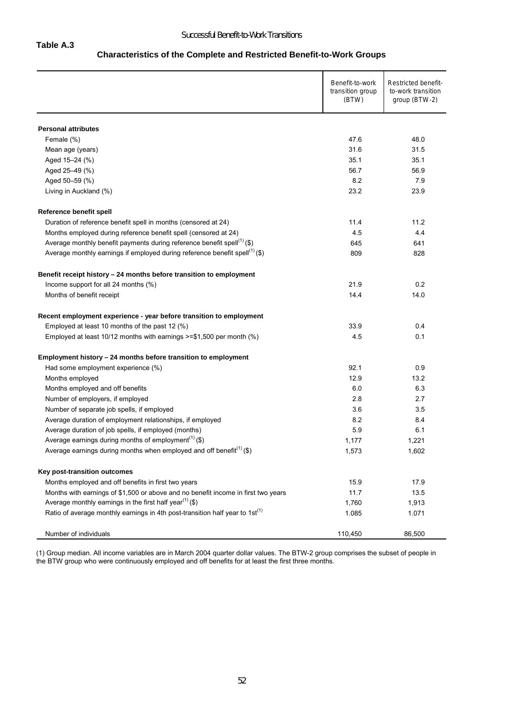#### **Characteristics of the Complete and Restricted Benefit-to-Work Groups**

|                                                                                         | Benefit-to-work<br>transition group<br>(BTW) | Restricted benefit-<br>to-work transition<br>group (BTW-2) |
|-----------------------------------------------------------------------------------------|----------------------------------------------|------------------------------------------------------------|
| <b>Personal attributes</b>                                                              |                                              |                                                            |
| Female (%)                                                                              | 47.6                                         | 48.0                                                       |
| Mean age (years)                                                                        | 31.6                                         | 31.5                                                       |
| Aged 15-24 (%)                                                                          | 35.1                                         | 35.1                                                       |
| Aged 25-49 (%)                                                                          | 56.7                                         | 56.9                                                       |
| Aged 50-59 (%)                                                                          | 8.2                                          | 7.9                                                        |
| Living in Auckland (%)                                                                  | 23.2                                         | 23.9                                                       |
| Reference benefit spell                                                                 |                                              |                                                            |
| Duration of reference benefit spell in months (censored at 24)                          | 11.4                                         | 11.2                                                       |
| Months employed during reference benefit spell (censored at 24)                         | 4.5                                          | 4.4                                                        |
| Average monthly benefit payments during reference benefit spell <sup>(1)</sup> (\$)     | 645                                          | 641                                                        |
| Average monthly earnings if employed during reference benefit spell <sup>(1)</sup> (\$) | 809                                          | 828                                                        |
| Benefit receipt history - 24 months before transition to employment                     |                                              |                                                            |
| Income support for all 24 months (%)                                                    | 21.9                                         | 0.2                                                        |
| Months of benefit receipt                                                               | 14.4                                         | 14.0                                                       |
| Recent employment experience - year before transition to employment                     |                                              |                                                            |
| Employed at least 10 months of the past 12 (%)                                          | 33.9                                         | 0.4                                                        |
| Employed at least 10/12 months with earnings >=\$1,500 per month (%)                    | 4.5                                          | 0.1                                                        |
| Employment history - 24 months before transition to employment                          |                                              |                                                            |
| Had some employment experience (%)                                                      | 92.1                                         | 0.9                                                        |
| Months employed                                                                         | 12.9                                         | 13.2                                                       |
| Months employed and off benefits                                                        | 6.0                                          | 6.3                                                        |
| Number of employers, if employed                                                        | 2.8                                          | 2.7                                                        |
| Number of separate job spells, if employed                                              | 3.6                                          | 3.5                                                        |
| Average duration of employment relationships, if employed                               | 8.2                                          | 8.4                                                        |
| Average duration of job spells, if employed (months)                                    | 5.9                                          | 6.1                                                        |
| Average earnings during months of employment <sup>(1)</sup> (\$)                        | 1,177                                        | 1,221                                                      |
| Average earnings during months when employed and off benefit <sup>(1)</sup> (\$)        | 1,573                                        | 1,602                                                      |
| Key post-transition outcomes                                                            |                                              |                                                            |
| Months employed and off benefits in first two years                                     | 15.9                                         | 17.9                                                       |
| Months with earnings of \$1,500 or above and no benefit income in first two years       | 11.7                                         | 13.5                                                       |
| Average monthly earnings in the first half year <sup>(1)</sup> (\$)                     | 1,760                                        | 1,913                                                      |
| Ratio of average monthly earnings in 4th post-transition half year to $1st^{(1)}$       | 1.085                                        | 1.071                                                      |
| Number of individuals                                                                   | 110,450                                      | 86,500                                                     |

(1) Group median. All income variables are in March 2004 quarter dollar values. The BTW-2 group comprises the subset of people in the BTW group who were continuously employed and off benefits for at least the first three months.